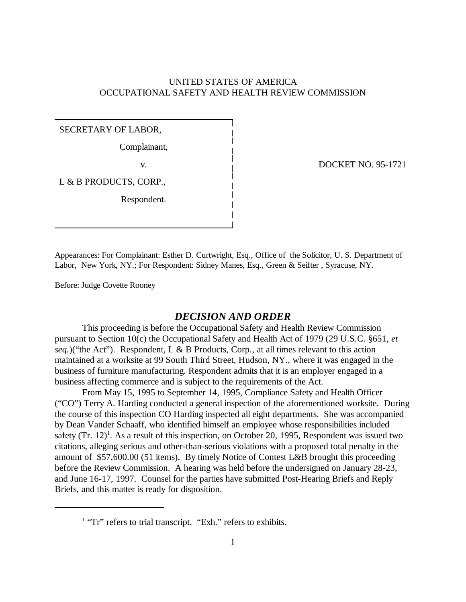# UNITED STATES OF AMERICA OCCUPATIONAL SAFETY AND HEALTH REVIEW COMMISSION

## SECRETARY OF LABOR,

Complainant,

L & B PRODUCTS, CORP.,

Respondent.

v. DOCKET NO. 95-1721

Appearances: For Complainant: Esther D. Curtwright, Esq., Office of the Solicitor, U. S. Department of Labor, New York, NY.; For Respondent: Sidney Manes, Esq., Green & Seifter , Syracuse, NY.

Before: Judge Covette Rooney

## *DECISION AND ORDER*

This proceeding is before the Occupational Safety and Health Review Commission pursuant to Section 10(c) the Occupational Safety and Health Act of 1979 (29 U.S.C. §651, *et seq.*)("the Act"). Respondent, L & B Products, Corp., at all times relevant to this action maintained at a worksite at 99 South Third Street, Hudson, NY., where it was engaged in the business of furniture manufacturing. Respondent admits that it is an employer engaged in a business affecting commerce and is subject to the requirements of the Act.

From May 15, 1995 to September 14, 1995, Compliance Safety and Health Officer ("CO") Terry A. Harding conducted a general inspection of the aforementioned worksite. During the course of this inspection CO Harding inspected all eight departments. She was accompanied by Dean Vander Schaaff, who identified himself an employee whose responsibilities included safety  $(Tr. 12)^1$ . As a result of this inspection, on October 20, 1995, Respondent was issued two citations, alleging serious and other-than-serious violations with a proposed total penalty in the amount of \$57,600.00 (51 items). By timely Notice of Contest L&B brought this proceeding before the Review Commission. A hearing was held before the undersigned on January 28-23, and June 16-17, 1997. Counsel for the parties have submitted Post-Hearing Briefs and Reply Briefs, and this matter is ready for disposition.

<sup>&</sup>lt;sup>1</sup> "Tr" refers to trial transcript. "Exh." refers to exhibits.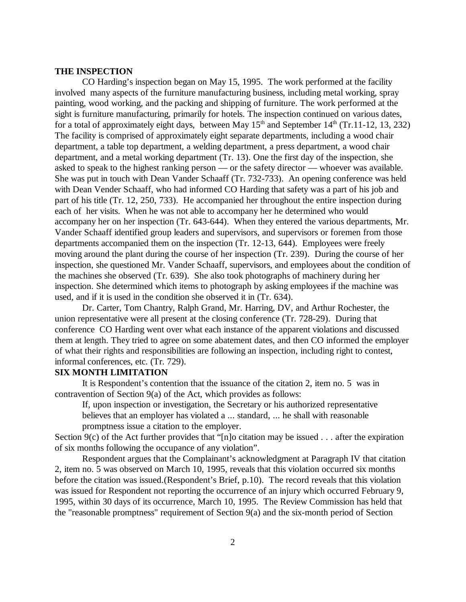#### **THE INSPECTION**

CO Harding's inspection began on May 15, 1995. The work performed at the facility involved many aspects of the furniture manufacturing business, including metal working, spray painting, wood working, and the packing and shipping of furniture. The work performed at the sight is furniture manufacturing, primarily for hotels. The inspection continued on various dates, for a total of approximately eight days, between May  $15<sup>th</sup>$  and September  $14<sup>th</sup>$  (Tr.11-12, 13, 232) The facility is comprised of approximately eight separate departments, including a wood chair department, a table top department, a welding department, a press department, a wood chair department, and a metal working department (Tr. 13). One the first day of the inspection, she asked to speak to the highest ranking person — or the safety director — whoever was available. She was put in touch with Dean Vander Schaaff (Tr. 732-733). An opening conference was held with Dean Vender Schaaff, who had informed CO Harding that safety was a part of his job and part of his title (Tr. 12, 250, 733). He accompanied her throughout the entire inspection during each of her visits. When he was not able to accompany her he determined who would accompany her on her inspection (Tr. 643-644). When they entered the various departments, Mr. Vander Schaaff identified group leaders and supervisors, and supervisors or foremen from those departments accompanied them on the inspection (Tr. 12-13, 644). Employees were freely moving around the plant during the course of her inspection (Tr. 239). During the course of her inspection, she questioned Mr. Vander Schaaff, supervisors, and employees about the condition of the machines she observed (Tr. 639). She also took photographs of machinery during her inspection. She determined which items to photograph by asking employees if the machine was used, and if it is used in the condition she observed it in (Tr. 634).

Dr. Carter, Tom Chantry, Ralph Grand, Mr. Harring, DV, and Arthur Rochester, the union representative were all present at the closing conference (Tr. 728-29). During that conference CO Harding went over what each instance of the apparent violations and discussed them at length. They tried to agree on some abatement dates, and then CO informed the employer of what their rights and responsibilities are following an inspection, including right to contest, informal conferences, etc. (Tr. 729).

## **SIX MONTH LIMITATION**

It is Respondent's contention that the issuance of the citation 2, item no. 5 was in contravention of Section 9(a) of the Act, which provides as follows:

 If, upon inspection or investigation, the Secretary or his authorized representative believes that an employer has violated a ... standard, ... he shall with reasonable promptness issue a citation to the employer.

Section 9(c) of the Act further provides that "[n]o citation may be issued  $\dots$  after the expiration of six months following the occupance of any violation".

Respondent argues that the Complainant's acknowledgment at Paragraph IV that citation 2, item no. 5 was observed on March 10, 1995, reveals that this violation occurred six months before the citation was issued.(Respondent's Brief, p.10). The record reveals that this violation was issued for Respondent not reporting the occurrence of an injury which occurred February 9, 1995, within 30 days of its occurrence, March 10, 1995. The Review Commission has held that the "reasonable promptness" requirement of Section 9(a) and the six-month period of Section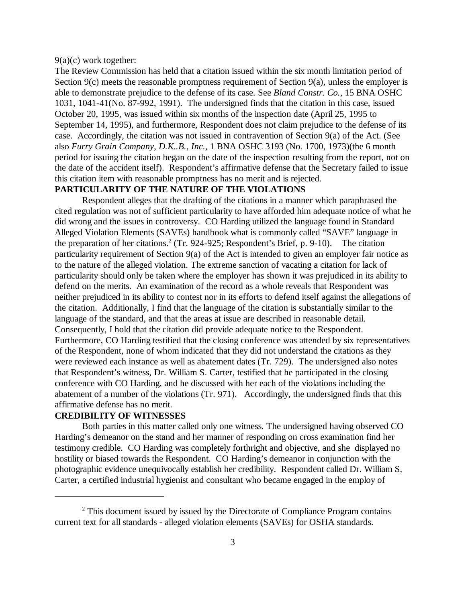9(a)(c) work together:

The Review Commission has held that a citation issued within the six month limitation period of Section 9(c) meets the reasonable promptness requirement of Section 9(a), unless the employer is able to demonstrate prejudice to the defense of its case. See *Bland Constr. Co.*, 15 BNA OSHC 1031, 1041-41(No. 87-992, 1991). The undersigned finds that the citation in this case, issued October 20, 1995, was issued within six months of the inspection date (April 25, 1995 to September 14, 1995), and furthermore, Respondent does not claim prejudice to the defense of its case. Accordingly, the citation was not issued in contravention of Section 9(a) of the Act. (See also *Furry Grain Company, D.K..B., Inc.,* 1 BNA OSHC 3193 (No. 1700, 1973)(the 6 month period for issuing the citation began on the date of the inspection resulting from the report, not on the date of the accident itself). Respondent's affirmative defense that the Secretary failed to issue this citation item with reasonable promptness has no merit and is rejected.

# **PARTICULARITY OF THE NATURE OF THE VIOLATIONS**

Respondent alleges that the drafting of the citations in a manner which paraphrased the cited regulation was not of sufficient particularity to have afforded him adequate notice of what he did wrong and the issues in controversy. CO Harding utilized the language found in Standard Alleged Violation Elements (SAVEs) handbook what is commonly called "SAVE" language in the preparation of her citations.<sup>2</sup> (Tr. 924-925; Respondent's Brief, p. 9-10). The citation particularity requirement of Section 9(a) of the Act is intended to given an employer fair notice as to the nature of the alleged violation. The extreme sanction of vacating a citation for lack of particularity should only be taken where the employer has shown it was prejudiced in its ability to defend on the merits. An examination of the record as a whole reveals that Respondent was neither prejudiced in its ability to contest nor in its efforts to defend itself against the allegations of the citation. Additionally, I find that the language of the citation is substantially similar to the language of the standard, and that the areas at issue are described in reasonable detail. Consequently, I hold that the citation did provide adequate notice to the Respondent. Furthermore, CO Harding testified that the closing conference was attended by six representatives of the Respondent, none of whom indicated that they did not understand the citations as they were reviewed each instance as well as abatement dates (Tr. 729). The undersigned also notes that Respondent's witness, Dr. William S. Carter, testified that he participated in the closing conference with CO Harding, and he discussed with her each of the violations including the abatement of a number of the violations (Tr. 971). Accordingly, the undersigned finds that this affirmative defense has no merit.

## **CREDIBILITY OF WITNESSES**

Both parties in this matter called only one witness. The undersigned having observed CO Harding's demeanor on the stand and her manner of responding on cross examination find her testimony credible. CO Harding was completely forthright and objective, and she displayed no hostility or biased towards the Respondent. CO Harding's demeanor in conjunction with the photographic evidence unequivocally establish her credibility. Respondent called Dr. William S, Carter, a certified industrial hygienist and consultant who became engaged in the employ of

<sup>&</sup>lt;sup>2</sup> This document issued by issued by the Directorate of Compliance Program contains current text for all standards - alleged violation elements (SAVEs) for OSHA standards.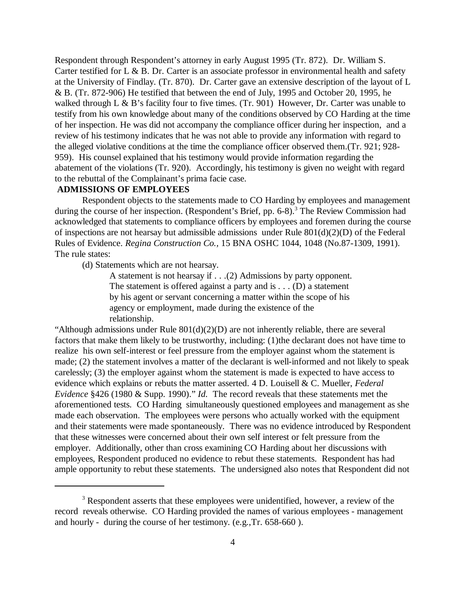Respondent through Respondent's attorney in early August 1995 (Tr. 872). Dr. William S. Carter testified for L & B. Dr. Carter is an associate professor in environmental health and safety at the University of Findlay. (Tr. 870). Dr. Carter gave an extensive description of the layout of L & B. (Tr. 872-906) He testified that between the end of July, 1995 and October 20, 1995, he walked through L & B's facility four to five times. (Tr. 901) However, Dr. Carter was unable to testify from his own knowledge about many of the conditions observed by CO Harding at the time of her inspection. He was did not accompany the compliance officer during her inspection, and a review of his testimony indicates that he was not able to provide any information with regard to the alleged violative conditions at the time the compliance officer observed them.(Tr. 921; 928- 959). His counsel explained that his testimony would provide information regarding the abatement of the violations (Tr. 920). Accordingly, his testimony is given no weight with regard to the rebuttal of the Complainant's prima facie case.

# **ADMISSIONS OF EMPLOYEES**

Respondent objects to the statements made to CO Harding by employees and management during the course of her inspection. (Respondent's Brief, pp. 6-8).<sup>3</sup> The Review Commission had acknowledged that statements to compliance officers by employees and foremen during the course of inspections are not hearsay but admissible admissions under Rule 801(d)(2)(D) of the Federal Rules of Evidence. *Regina Construction Co.,* 15 BNA OSHC 1044, 1048 (No.87-1309, 1991). The rule states:

(d) Statements which are not hearsay.

A statement is not hearsay if . . .(2) Admissions by party opponent. The statement is offered against a party and is  $\dots$  (D) a statement by his agent or servant concerning a matter within the scope of his agency or employment, made during the existence of the relationship.

"Although admissions under Rule  $801(d)(2)(D)$  are not inherently reliable, there are several factors that make them likely to be trustworthy, including: (1)the declarant does not have time to realize his own self-interest or feel pressure from the employer against whom the statement is made; (2) the statement involves a matter of the declarant is well-informed and not likely to speak carelessly; (3) the employer against whom the statement is made is expected to have access to evidence which explains or rebuts the matter asserted. 4 D. Louisell & C. Mueller, *Federal Evidence* §426 (1980 & Supp. 1990)." *Id.* The record reveals that these *s*tatements met the aforementioned tests. CO Harding simultaneously questioned employees and management as she made each observation. The employees were persons who actually worked with the equipment and their statements were made spontaneously. There was no evidence introduced by Respondent that these witnesses were concerned about their own self interest or felt pressure from the employer. Additionally, other than cross examining CO Harding about her discussions with employees, Respondent produced no evidence to rebut these statements. Respondent has had ample opportunity to rebut these statements. The undersigned also notes that Respondent did not

<sup>&</sup>lt;sup>3</sup> Respondent asserts that these employees were unidentified, however, a review of the record reveals otherwise. CO Harding provided the names of various employees - management and hourly - during the course of her testimony. (e.g.,Tr. 658-660 ).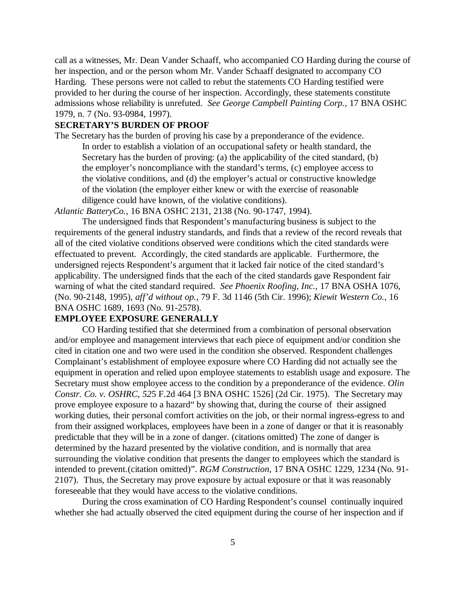call as a witnesses, Mr. Dean Vander Schaaff, who accompanied CO Harding during the course of her inspection, and or the person whom Mr. Vander Schaaff designated to accompany CO Harding. These persons were not called to rebut the statements CO Harding testified were provided to her during the course of her inspection. Accordingly, these statements constitute admissions whose reliability is unrefuted. *See George Campbell Painting Corp.,* 17 BNA OSHC 1979, n. 7 (No. 93-0984, 1997).

# **SECRETARY'S BURDEN OF PROOF**

The Secretary has the burden of proving his case by a preponderance of the evidence. In order to establish a violation of an occupational safety or health standard, the Secretary has the burden of proving: (a) the applicability of the cited standard, (b) the employer's noncompliance with the standard's terms, (c) employee access to the violative conditions, and (d) the employer's actual or constructive knowledge of the violation (the employer either knew or with the exercise of reasonable diligence could have known, of the violative conditions).

*Atlantic BatteryCo.,* 16 BNA OSHC 2131, 2138 (No. 90-1747, 1994).

The undersigned finds that Respondent's manufacturing business is subject to the requirements of the general industry standards, and finds that a review of the record reveals that all of the cited violative conditions observed were conditions which the cited standards were effectuated to prevent. Accordingly, the cited standards are applicable. Furthermore, the undersigned rejects Respondent's argument that it lacked fair notice of the cited standard's applicability. The undersigned finds that the each of the cited standards gave Respondent fair warning of what the cited standard required. *See Phoenix Roofing, Inc.,* 17 BNA OSHA 1076, (No. 90-2148, 1995), *aff'd without op.,* 79 F. 3d 1146 (5th Cir. 1996); *Kiewit Western Co.*, 16 BNA OSHC 1689, 1693 (No. 91-2578).

# **EMPLOYEE EXPOSURE GENERALLY**

CO Harding testified that she determined from a combination of personal observation and/or employee and management interviews that each piece of equipment and/or condition she cited in citation one and two were used in the condition she observed. Respondent challenges Complainant's establishment of employee exposure where CO Harding did not actually see the equipment in operation and relied upon employee statements to establish usage and exposure. The Secretary must show employee access to the condition by a preponderance of the evidence. *Olin Constr. Co. v. OSHRC, 52*5 F.2d 464 [3 BNA OSHC 1526] (2d Cir. 1975). The Secretary may prove employee exposure to a hazard" by showing that, during the course of their assigned working duties, their personal comfort activities on the job, or their normal ingress-egress to and from their assigned workplaces, employees have been in a zone of danger or that it is reasonably predictable that they will be in a zone of danger. (citations omitted) The zone of danger is determined by the hazard presented by the violative condition, and is normally that area surrounding the violative condition that presents the danger to employees which the standard is intended to prevent.(citation omitted)". *RGM Construction,* 17 BNA OSHC 1229, 1234 (No. 91- 2107). Thus, the Secretary may prove exposure by actual exposure or that it was reasonably foreseeable that they would have access to the violative conditions.

During the cross examination of CO Harding Respondent's counsel continually inquired whether she had actually observed the cited equipment during the course of her inspection and if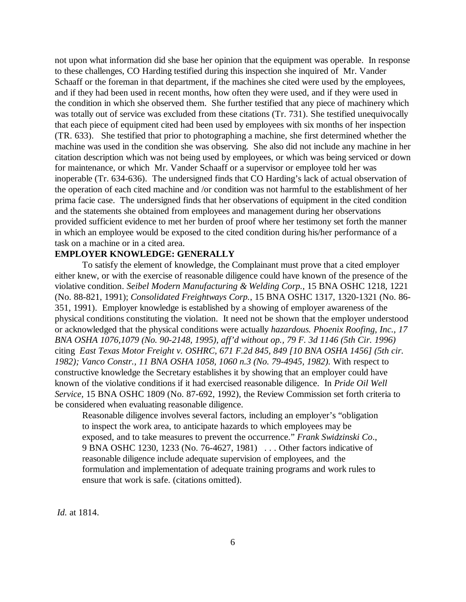not upon what information did she base her opinion that the equipment was operable. In response to these challenges, CO Harding testified during this inspection she inquired of Mr. Vander Schaaff or the foreman in that department, if the machines she cited were used by the employees, and if they had been used in recent months, how often they were used, and if they were used in the condition in which she observed them. She further testified that any piece of machinery which was totally out of service was excluded from these citations (Tr. 731). She testified unequivocally that each piece of equipment cited had been used by employees with six months of her inspection (TR. 633). She testified that prior to photographing a machine, she first determined whether the machine was used in the condition she was observing. She also did not include any machine in her citation description which was not being used by employees, or which was being serviced or down for maintenance, or which Mr. Vander Schaaff or a supervisor or employee told her was inoperable (Tr. 634-636). The undersigned finds that CO Harding's lack of actual observation of the operation of each cited machine and /or condition was not harmful to the establishment of her prima facie case. The undersigned finds that her observations of equipment in the cited condition and the statements she obtained from employees and management during her observations provided sufficient evidence to met her burden of proof where her testimony set forth the manner in which an employee would be exposed to the cited condition during his/her performance of a task on a machine or in a cited area.

## **EMPLOYER KNOWLEDGE: GENERALLY**

To satisfy the element of knowledge, the Complainant must prove that a cited employer either knew, or with the exercise of reasonable diligence could have known of the presence of the violative condition. *Seibel Modern Manufacturing & Welding Corp.*, 15 BNA OSHC 1218, 1221 (No. 88-821, 1991); *Consolidated Freightways Corp.*, 15 BNA OSHC 1317, 1320-1321 (No. 86- 351, 1991). Employer knowledge is established by a showing of employer awareness of the physical conditions constituting the violation. It need not be shown that the employer understood or acknowledged that the physical conditions were actually *hazardous. Phoenix Roofing, Inc., 17 BNA OSHA 1076,1079 (No. 90-2148, 1995), aff'd without op., 79 F. 3d 1146 (5th Cir. 1996)* citing *East Texas Motor Freight v. OSHRC, 671 F.2d 845, 849 [10 BNA OSHA 1456] (5th cir. 1982); Vanco Constr., 11 BNA OSHA 1058, 1060 n.3 (No. 79-4945, 1982).* With respect to constructive knowledge the Secretary establishes it by showing that an employer could have known of the violative conditions if it had exercised reasonable diligence. In *Pride Oil Well Service,* 15 BNA OSHC 1809 (No. 87-692, 1992), the Review Commission set forth criteria to be considered when evaluating reasonable diligence.

Reasonable diligence involves several factors, including an employer's "obligation to inspect the work area, to anticipate hazards to which employees may be exposed, and to take measures to prevent the occurrence." *Frank Swidzinski Co*., 9 BNA OSHC 1230, 1233 (No. 76-4627, 1981) . . . Other factors indicative of reasonable diligence include adequate supervision of employees, and the formulation and implementation of adequate training programs and work rules to ensure that work is safe. (citations omitted).

*Id.* at 1814.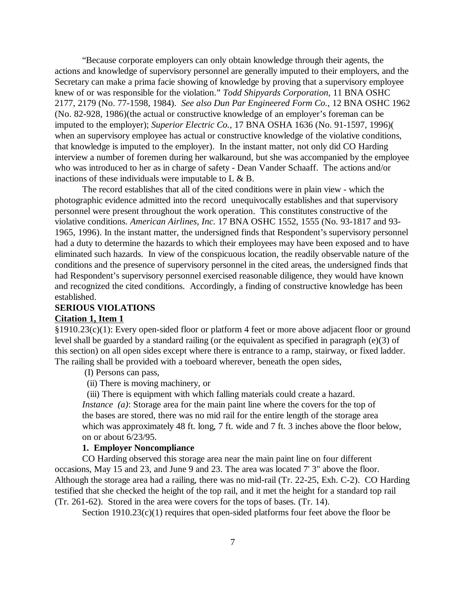"Because corporate employers can only obtain knowledge through their agents, the actions and knowledge of supervisory personnel are generally imputed to their employers, and the Secretary can make a prima facie showing of knowledge by proving that a supervisory employee knew of or was responsible for the violation." *Todd Shipyards Corporation*, 11 BNA OSHC 2177, 2179 (No. 77-1598, 1984). *See also Dun Par Engineered Form Co.*, 12 BNA OSHC 1962 (No. 82-928, 1986)(the actual or constructive knowledge of an employer's foreman can be imputed to the employer); *Superior Electric Co.,* 17 BNA OSHA 1636 (No. 91-1597, 1996)( when an supervisory employee has actual or constructive knowledge of the violative conditions, that knowledge is imputed to the employer). In the instant matter, not only did CO Harding interview a number of foremen during her walkaround, but she was accompanied by the employee who was introduced to her as in charge of safety - Dean Vander Schaaff. The actions and/or inactions of these individuals were imputable to L & B.

The record establishes that all of the cited conditions were in plain view - which the photographic evidence admitted into the record unequivocally establishes and that supervisory personnel were present throughout the work operation. This constitutes constructive of the violative conditions. *American Airlines, Inc.* 17 BNA OSHC 1552, 1555 (No. 93-1817 and 93- 1965, 1996). In the instant matter, the undersigned finds that Respondent's supervisory personnel had a duty to determine the hazards to which their employees may have been exposed and to have eliminated such hazards. In view of the conspicuous location, the readily observable nature of the conditions and the presence of supervisory personnel in the cited areas, the undersigned finds that had Respondent's supervisory personnel exercised reasonable diligence, they would have known and recognized the cited conditions. Accordingly, a finding of constructive knowledge has been established.

# **SERIOUS VIOLATIONS**

# **Citation 1, Item 1**

§1910.23(c)(1): Every open-sided floor or platform 4 feet or more above adjacent floor or ground level shall be guarded by a standard railing (or the equivalent as specified in paragraph (e)(3) of this section) on all open sides except where there is entrance to a ramp, stairway, or fixed ladder. The railing shall be provided with a toeboard wherever, beneath the open sides,

## (I) Persons can pass,

(ii) There is moving machinery, or

 (iii) There is equipment with which falling materials could create a hazard. *Instance* (*a*): Storage area for the main paint line where the covers for the top of the bases are stored, there was no mid rail for the entire length of the storage area which was approximately 48 ft. long, 7 ft. wide and 7 ft. 3 inches above the floor below, on or about 6/23/95.

# **1. Employer Noncompliance**

CO Harding observed this storage area near the main paint line on four different occasions, May 15 and 23, and June 9 and 23. The area was located 7' 3" above the floor. Although the storage area had a railing, there was no mid-rail (Tr. 22-25, Exh. C-2). CO Harding testified that she checked the height of the top rail, and it met the height for a standard top rail (Tr. 261-62). Stored in the area were covers for the tops of bases. (Tr. 14).

Section 1910.23(c)(1) requires that open-sided platforms four feet above the floor be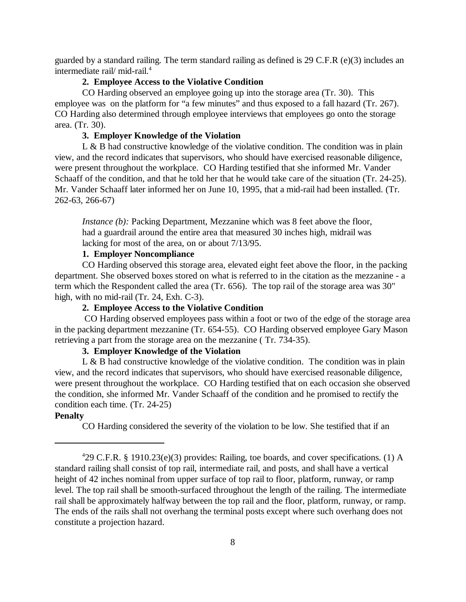guarded by a standard railing. The term standard railing as defined is 29 C.F.R (e)(3) includes an intermediate rail/ mid-rail.<sup>4</sup>

## **2. Employee Access to the Violative Condition**

CO Harding observed an employee going up into the storage area (Tr. 30). This employee was on the platform for "a few minutes" and thus exposed to a fall hazard (Tr. 267). CO Harding also determined through employee interviews that employees go onto the storage area. (Tr. 30).

### **3. Employer Knowledge of the Violation**

L  $\&$  B had constructive knowledge of the violative condition. The condition was in plain view, and the record indicates that supervisors, who should have exercised reasonable diligence, were present throughout the workplace. CO Harding testified that she informed Mr. Vander Schaaff of the condition, and that he told her that he would take care of the situation (Tr. 24-25). Mr. Vander Schaaff later informed her on June 10, 1995, that a mid-rail had been installed. (Tr. 262-63, 266-67)

*Instance (b)*: Packing Department, Mezzanine which was 8 feet above the floor, had a guardrail around the entire area that measured 30 inches high, midrail was lacking for most of the area, on or about 7/13/95.

# **1. Employer Noncompliance**

CO Harding observed this storage area, elevated eight feet above the floor, in the packing department. She observed boxes stored on what is referred to in the citation as the mezzanine - a term which the Respondent called the area (Tr. 656). The top rail of the storage area was 30" high, with no mid-rail (Tr. 24, Exh. C-3).

# **2. Employee Access to the Violative Condition**

 CO Harding observed employees pass within a foot or two of the edge of the storage area in the packing department mezzanine (Tr. 654-55). CO Harding observed employee Gary Mason retrieving a part from the storage area on the mezzanine ( Tr. 734-35).

# **3. Employer Knowledge of the Violation**

 $L \& B$  had constructive knowledge of the violative condition. The condition was in plain view, and the record indicates that supervisors, who should have exercised reasonable diligence, were present throughout the workplace. CO Harding testified that on each occasion she observed the condition, she informed Mr. Vander Schaaff of the condition and he promised to rectify the condition each time. (Tr. 24-25)

## **Penalty**

CO Harding considered the severity of the violation to be low. She testified that if an

<sup>4</sup> 29 C.F.R. § 1910.23(e)(3) provides: Railing, toe boards, and cover specifications. (1) A standard railing shall consist of top rail, intermediate rail, and posts, and shall have a vertical height of 42 inches nominal from upper surface of top rail to floor, platform, runway, or ramp level. The top rail shall be smooth-surfaced throughout the length of the railing. The intermediate rail shall be approximately halfway between the top rail and the floor, platform, runway, or ramp. The ends of the rails shall not overhang the terminal posts except where such overhang does not constitute a projection hazard.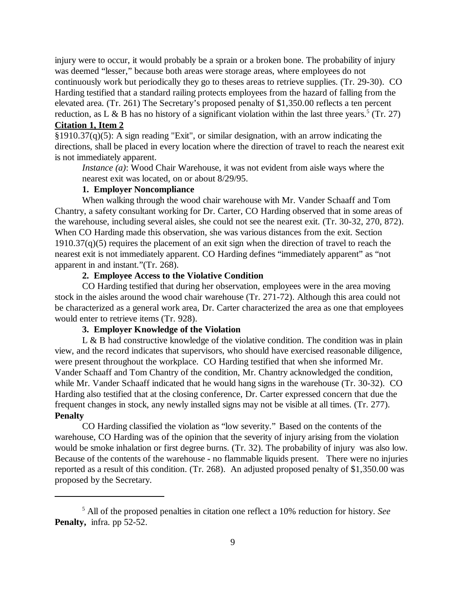injury were to occur, it would probably be a sprain or a broken bone. The probability of injury was deemed "lesser," because both areas were storage areas, where employees do not continuously work but periodically they go to theses areas to retrieve supplies. (Tr. 29-30). CO Harding testified that a standard railing protects employees from the hazard of falling from the elevated area. (Tr. 261) The Secretary's proposed penalty of \$1,350.00 reflects a ten percent reduction, as L & B has no history of a significant violation within the last three years.<sup>5</sup> (Tr. 27) **Citation 1, Item 2**

§1910.37(q)(5): A sign reading "Exit", or similar designation, with an arrow indicating the directions, shall be placed in every location where the direction of travel to reach the nearest exit is not immediately apparent.

*Instance (a)*: Wood Chair Warehouse, it was not evident from aisle ways where the nearest exit was located, on or about 8/29/95.

#### **1. Employer Noncompliance**

When walking through the wood chair warehouse with Mr. Vander Schaaff and Tom Chantry, a safety consultant working for Dr. Carter, CO Harding observed that in some areas of the warehouse, including several aisles, she could not see the nearest exit. (Tr. 30-32, 270, 872). When CO Harding made this observation, she was various distances from the exit. Section  $1910.37(q)(5)$  requires the placement of an exit sign when the direction of travel to reach the nearest exit is not immediately apparent. CO Harding defines "immediately apparent" as "not apparent in and instant."(Tr. 268).

# **2. Employee Access to the Violative Condition**

CO Harding testified that during her observation, employees were in the area moving stock in the aisles around the wood chair warehouse (Tr. 271-72). Although this area could not be characterized as a general work area, Dr. Carter characterized the area as one that employees would enter to retrieve items (Tr. 928).

#### **3. Employer Knowledge of the Violation**

L & B had constructive knowledge of the violative condition. The condition was in plain view, and the record indicates that supervisors, who should have exercised reasonable diligence, were present throughout the workplace. CO Harding testified that when she informed Mr. Vander Schaaff and Tom Chantry of the condition, Mr. Chantry acknowledged the condition, while Mr. Vander Schaaff indicated that he would hang signs in the warehouse (Tr. 30-32). CO Harding also testified that at the closing conference, Dr. Carter expressed concern that due the frequent changes in stock, any newly installed signs may not be visible at all times. (Tr. 277). **Penalty**

CO Harding classified the violation as "low severity." Based on the contents of the warehouse, CO Harding was of the opinion that the severity of injury arising from the violation would be smoke inhalation or first degree burns. (Tr. 32). The probability of injury was also low. Because of the contents of the warehouse - no flammable liquids present. There were no injuries reported as a result of this condition. (Tr. 268). An adjusted proposed penalty of \$1,350.00 was proposed by the Secretary.

<sup>5</sup> All of the proposed penalties in citation one reflect a 10% reduction for history. *See* **Penalty,** infra. pp 52-52.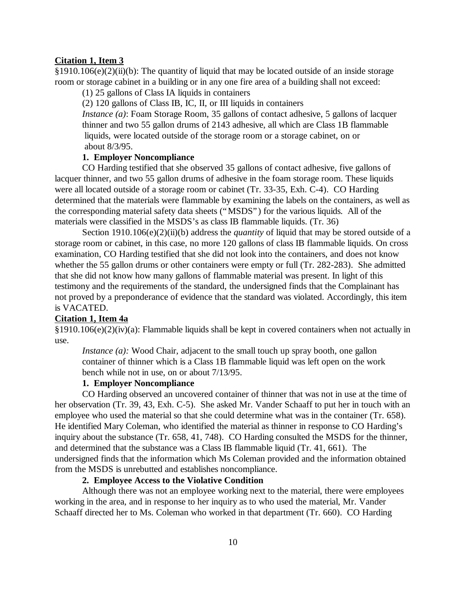## **Citation 1, Item 3**

§1910.106(e)(2)(ii)(b): The quantity of liquid that may be located outside of an inside storage room or storage cabinet in a building or in any one fire area of a building shall not exceed:

(1) 25 gallons of Class IA liquids in containers

(2) 120 gallons of Class IB, IC, II, or III liquids in containers

*Instance (a)*: Foam Storage Room, 35 gallons of contact adhesive, 5 gallons of lacquer thinner and two 55 gallon drums of 2143 adhesive, all which are Class 1B flammable liquids, were located outside of the storage room or a storage cabinet, on or about 8/3/95.

## **1. Employer Noncompliance**

CO Harding testified that she observed 35 gallons of contact adhesive, five gallons of lacquer thinner, and two 55 gallon drums of adhesive in the foam storage room. These liquids were all located outside of a storage room or cabinet (Tr. 33-35, Exh. C-4). CO Harding determined that the materials were flammable by examining the labels on the containers, as well as the corresponding material safety data sheets ("MSDS") for the various liquids. All of the materials were classified in the MSDS's as class IB flammable liquids. (Tr. 36)

Section 1910.106(e)(2)(ii)(b) address the *quantity* of liquid that may be stored outside of a storage room or cabinet, in this case, no more 120 gallons of class IB flammable liquids. On cross examination, CO Harding testified that she did not look into the containers, and does not know whether the 55 gallon drums or other containers were empty or full (Tr. 282-283). She admitted that she did not know how many gallons of flammable material was present. In light of this testimony and the requirements of the standard, the undersigned finds that the Complainant has not proved by a preponderance of evidence that the standard was violated. Accordingly, this item is VACATED.

## **Citation 1, Item 4a**

§1910.106(e)(2)(iv)(a): Flammable liquids shall be kept in covered containers when not actually in use.

*Instance (a):* Wood Chair, adjacent to the small touch up spray booth, one gallon container of thinner which is a Class 1B flammable liquid was left open on the work bench while not in use, on or about 7/13/95.

#### **1. Employer Noncompliance**

CO Harding observed an uncovered container of thinner that was not in use at the time of her observation (Tr. 39, 43, Exh. C-5). She asked Mr. Vander Schaaff to put her in touch with an employee who used the material so that she could determine what was in the container (Tr. 658). He identified Mary Coleman, who identified the material as thinner in response to CO Harding's inquiry about the substance (Tr. 658, 41, 748). CO Harding consulted the MSDS for the thinner, and determined that the substance was a Class IB flammable liquid (Tr. 41, 661). The undersigned finds that the information which Ms Coleman provided and the information obtained from the MSDS is unrebutted and establishes noncompliance.

## **2. Employee Access to the Violative Condition**

Although there was not an employee working next to the material, there were employees working in the area, and in response to her inquiry as to who used the material, Mr. Vander Schaaff directed her to Ms. Coleman who worked in that department (Tr. 660). CO Harding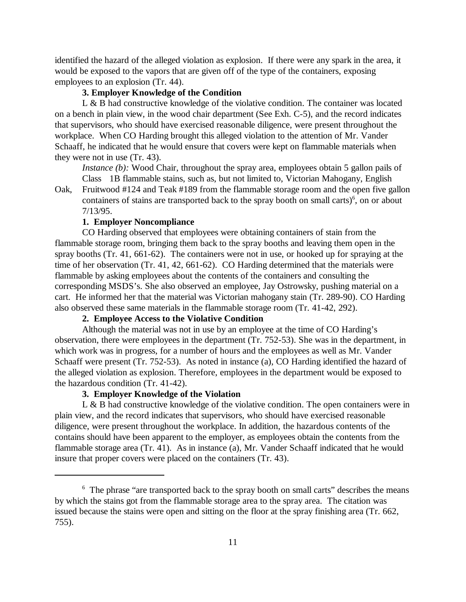identified the hazard of the alleged violation as explosion. If there were any spark in the area, it would be exposed to the vapors that are given off of the type of the containers, exposing employees to an explosion (Tr. 44).

# **3. Employer Knowledge of the Condition**

L & B had constructive knowledge of the violative condition. The container was located on a bench in plain view, in the wood chair department (See Exh. C-5), and the record indicates that supervisors, who should have exercised reasonable diligence, were present throughout the workplace. When CO Harding brought this alleged violation to the attention of Mr. Vander Schaaff, he indicated that he would ensure that covers were kept on flammable materials when they were not in use (Tr. 43).

*Instance (b):* Wood Chair, throughout the spray area, employees obtain 5 gallon pails of Class 1B flammable stains, such as, but not limited to, Victorian Mahogany, English

Oak, Fruitwood #124 and Teak #189 from the flammable storage room and the open five gallon containers of stains are transported back to the spray booth on small carts) $<sup>6</sup>$ , on or about</sup> 7/13/95.

## **1. Employer Noncompliance**

CO Harding observed that employees were obtaining containers of stain from the flammable storage room, bringing them back to the spray booths and leaving them open in the spray booths (Tr. 41, 661-62). The containers were not in use, or hooked up for spraying at the time of her observation (Tr. 41, 42, 661-62). CO Harding determined that the materials were flammable by asking employees about the contents of the containers and consulting the corresponding MSDS's. She also observed an employee, Jay Ostrowsky, pushing material on a cart. He informed her that the material was Victorian mahogany stain (Tr. 289-90). CO Harding also observed these same materials in the flammable storage room (Tr. 41-42, 292).

# **2. Employee Access to the Violative Condition**

Although the material was not in use by an employee at the time of CO Harding's observation, there were employees in the department (Tr. 752-53). She was in the department, in which work was in progress, for a number of hours and the employees as well as Mr. Vander Schaaff were present (Tr. 752-53). As noted in instance (a), CO Harding identified the hazard of the alleged violation as explosion. Therefore, employees in the department would be exposed to the hazardous condition (Tr. 41-42).

# **3. Employer Knowledge of the Violation**

L & B had constructive knowledge of the violative condition. The open containers were in plain view, and the record indicates that supervisors, who should have exercised reasonable diligence, were present throughout the workplace. In addition, the hazardous contents of the contains should have been apparent to the employer, as employees obtain the contents from the flammable storage area (Tr. 41). As in instance (a), Mr. Vander Schaaff indicated that he would insure that proper covers were placed on the containers (Tr. 43).

<sup>&</sup>lt;sup>6</sup> The phrase "are transported back to the spray booth on small carts" describes the means by which the stains got from the flammable storage area to the spray area. The citation was issued because the stains were open and sitting on the floor at the spray finishing area (Tr. 662, 755).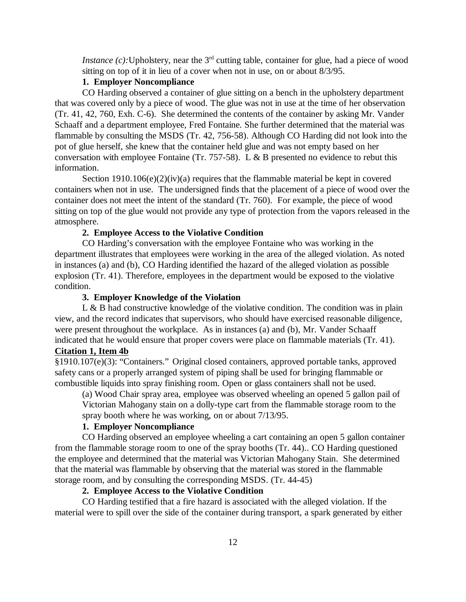*Instance (c):* Upholstery, near the  $3<sup>rd</sup>$  cutting table, container for glue, had a piece of wood sitting on top of it in lieu of a cover when not in use, on or about 8/3/95.

## **1. Employer Noncompliance**

CO Harding observed a container of glue sitting on a bench in the upholstery department that was covered only by a piece of wood. The glue was not in use at the time of her observation (Tr. 41, 42, 760, Exh. C-6). She determined the contents of the container by asking Mr. Vander Schaaff and a department employee, Fred Fontaine. She further determined that the material was flammable by consulting the MSDS (Tr. 42, 756-58). Although CO Harding did not look into the pot of glue herself, she knew that the container held glue and was not empty based on her conversation with employee Fontaine (Tr. 757-58). L & B presented no evidence to rebut this information.

Section 1910.106(e)(2)(iv)(a) requires that the flammable material be kept in covered containers when not in use. The undersigned finds that the placement of a piece of wood over the container does not meet the intent of the standard (Tr. 760). For example, the piece of wood sitting on top of the glue would not provide any type of protection from the vapors released in the atmosphere.

#### **2. Employee Access to the Violative Condition**

CO Harding's conversation with the employee Fontaine who was working in the department illustrates that employees were working in the area of the alleged violation. As noted in instances (a) and (b), CO Harding identified the hazard of the alleged violation as possible explosion (Tr. 41). Therefore, employees in the department would be exposed to the violative condition.

## **3. Employer Knowledge of the Violation**

L & B had constructive knowledge of the violative condition. The condition was in plain view, and the record indicates that supervisors, who should have exercised reasonable diligence, were present throughout the workplace. As in instances (a) and (b), Mr. Vander Schaaff indicated that he would ensure that proper covers were place on flammable materials (Tr. 41). **Citation 1, Item 4b**

§1910.107(e)(3): "Containers." Original closed containers, approved portable tanks, approved safety cans or a properly arranged system of piping shall be used for bringing flammable or combustible liquids into spray finishing room. Open or glass containers shall not be used.

(a) Wood Chair spray area, employee was observed wheeling an opened 5 gallon pail of Victorian Mahogany stain on a dolly-type cart from the flammable storage room to the spray booth where he was working, on or about 7/13/95.

# **1. Employer Noncompliance**

CO Harding observed an employee wheeling a cart containing an open 5 gallon container from the flammable storage room to one of the spray booths (Tr. 44).. CO Harding questioned the employee and determined that the material was Victorian Mahogany Stain. She determined that the material was flammable by observing that the material was stored in the flammable storage room, and by consulting the corresponding MSDS. (Tr. 44-45)

#### **2. Employee Access to the Violative Condition**

CO Harding testified that a fire hazard is associated with the alleged violation. If the material were to spill over the side of the container during transport, a spark generated by either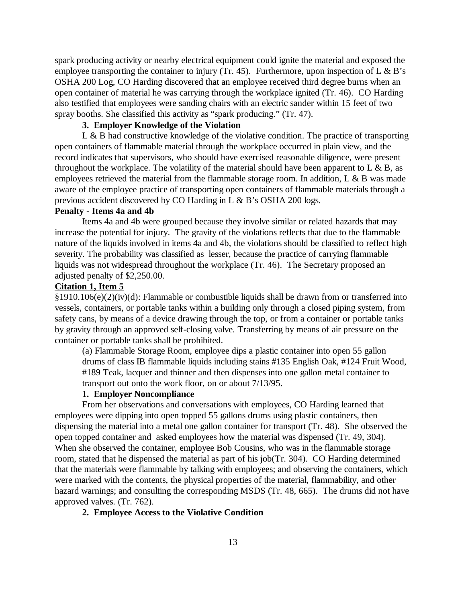spark producing activity or nearby electrical equipment could ignite the material and exposed the employee transporting the container to injury (Tr. 45). Furthermore, upon inspection of  $L \& B$ 's OSHA 200 Log, CO Harding discovered that an employee received third degree burns when an open container of material he was carrying through the workplace ignited (Tr. 46). CO Harding also testified that employees were sanding chairs with an electric sander within 15 feet of two spray booths. She classified this activity as "spark producing." (Tr. 47).

# **3. Employer Knowledge of the Violation**

L & B had constructive knowledge of the violative condition. The practice of transporting open containers of flammable material through the workplace occurred in plain view, and the record indicates that supervisors, who should have exercised reasonable diligence, were present throughout the workplace. The volatility of the material should have been apparent to  $L \& B$ , as employees retrieved the material from the flammable storage room. In addition, L & B was made aware of the employee practice of transporting open containers of flammable materials through a previous accident discovered by CO Harding in L & B's OSHA 200 logs.

# **Penalty - Items 4a and 4b**

Items 4a and 4b were grouped because they involve similar or related hazards that may increase the potential for injury. The gravity of the violations reflects that due to the flammable nature of the liquids involved in items 4a and 4b, the violations should be classified to reflect high severity. The probability was classified as lesser, because the practice of carrying flammable liquids was not widespread throughout the workplace (Tr. 46). The Secretary proposed an adjusted penalty of \$2,250.00.

## **Citation 1, Item 5**

§1910.106(e)(2)(iv)(d): Flammable or combustible liquids shall be drawn from or transferred into vessels, containers, or portable tanks within a building only through a closed piping system, from safety cans, by means of a device drawing through the top, or from a container or portable tanks by gravity through an approved self-closing valve. Transferring by means of air pressure on the container or portable tanks shall be prohibited.

(a) Flammable Storage Room, employee dips a plastic container into open 55 gallon drums of class IB flammable liquids including stains #135 English Oak, #124 Fruit Wood, #189 Teak, lacquer and thinner and then dispenses into one gallon metal container to transport out onto the work floor, on or about 7/13/95.

# **1. Employer Noncompliance**

From her observations and conversations with employees, CO Harding learned that employees were dipping into open topped 55 gallons drums using plastic containers, then dispensing the material into a metal one gallon container for transport (Tr. 48). She observed the open topped container and asked employees how the material was dispensed (Tr. 49, 304). When she observed the container, employee Bob Cousins, who was in the flammable storage room, stated that he dispensed the material as part of his job(Tr. 304). CO Harding determined that the materials were flammable by talking with employees; and observing the containers, which were marked with the contents, the physical properties of the material, flammability, and other hazard warnings; and consulting the corresponding MSDS (Tr. 48, 665). The drums did not have approved valves. (Tr. 762).

### **2. Employee Access to the Violative Condition**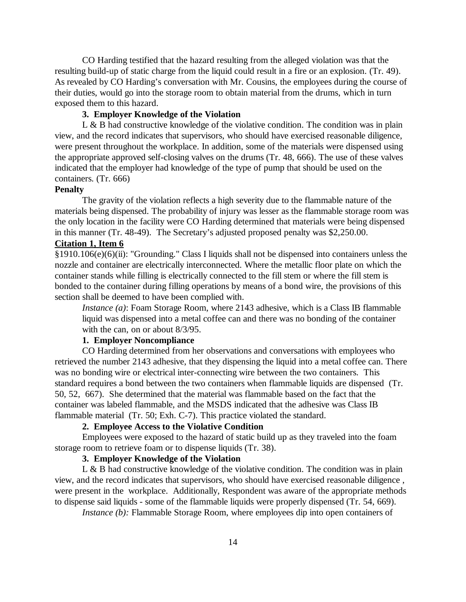CO Harding testified that the hazard resulting from the alleged violation was that the resulting build-up of static charge from the liquid could result in a fire or an explosion. (Tr. 49). As revealed by CO Harding's conversation with Mr. Cousins, the employees during the course of their duties, would go into the storage room to obtain material from the drums, which in turn exposed them to this hazard.

## **3. Employer Knowledge of the Violation**

L & B had constructive knowledge of the violative condition. The condition was in plain view, and the record indicates that supervisors, who should have exercised reasonable diligence, were present throughout the workplace. In addition, some of the materials were dispensed using the appropriate approved self-closing valves on the drums (Tr. 48, 666). The use of these valves indicated that the employer had knowledge of the type of pump that should be used on the containers. (Tr. 666)

## **Penalty**

The gravity of the violation reflects a high severity due to the flammable nature of the materials being dispensed. The probability of injury was lesser as the flammable storage room was the only location in the facility were CO Harding determined that materials were being dispensed in this manner (Tr. 48-49). The Secretary's adjusted proposed penalty was \$2,250.00.

#### **Citation 1, Item 6**

§1910.106(e)(6)(ii): "Grounding." Class I liquids shall not be dispensed into containers unless the nozzle and container are electrically interconnected. Where the metallic floor plate on which the container stands while filling is electrically connected to the fill stem or where the fill stem is bonded to the container during filling operations by means of a bond wire, the provisions of this section shall be deemed to have been complied with.

*Instance (a)*: Foam Storage Room, where 2143 adhesive, which is a Class IB flammable liquid was dispensed into a metal coffee can and there was no bonding of the container with the can, on or about 8/3/95.

# **1. Employer Noncompliance**

CO Harding determined from her observations and conversations with employees who retrieved the number 2143 adhesive, that they dispensing the liquid into a metal coffee can. There was no bonding wire or electrical inter-connecting wire between the two containers. This standard requires a bond between the two containers when flammable liquids are dispensed (Tr. 50, 52, 667). She determined that the material was flammable based on the fact that the container was labeled flammable, and the MSDS indicated that the adhesive was Class IB flammable material (Tr. 50; Exh. C-7). This practice violated the standard.

# **2. Employee Access to the Violative Condition**

Employees were exposed to the hazard of static build up as they traveled into the foam storage room to retrieve foam or to dispense liquids (Tr. 38).

## **3. Employer Knowledge of the Violation**

L & B had constructive knowledge of the violative condition. The condition was in plain view, and the record indicates that supervisors, who should have exercised reasonable diligence , were present in the workplace. Additionally, Respondent was aware of the appropriate methods to dispense said liquids - some of the flammable liquids were properly dispensed (Tr. 54, 669).

*Instance (b):* Flammable Storage Room, where employees dip into open containers of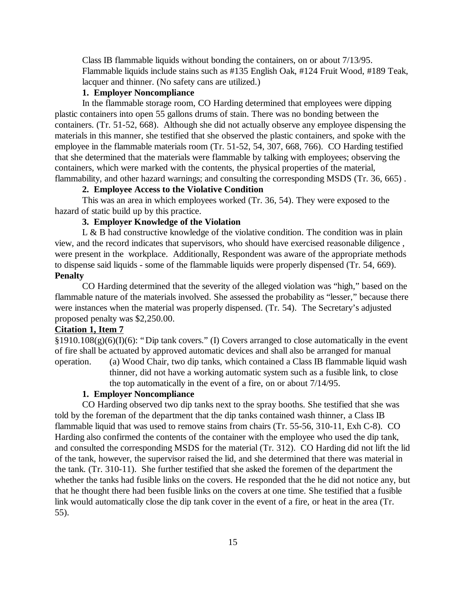Class IB flammable liquids without bonding the containers, on or about 7/13/95. Flammable liquids include stains such as #135 English Oak, #124 Fruit Wood, #189 Teak, lacquer and thinner. (No safety cans are utilized.)

# **1. Employer Noncompliance**

In the flammable storage room, CO Harding determined that employees were dipping plastic containers into open 55 gallons drums of stain. There was no bonding between the containers. (Tr. 51-52, 668). Although she did not actually observe any employee dispensing the materials in this manner, she testified that she observed the plastic containers, and spoke with the employee in the flammable materials room (Tr. 51-52, 54, 307, 668, 766). CO Harding testified that she determined that the materials were flammable by talking with employees; observing the containers, which were marked with the contents, the physical properties of the material, flammability, and other hazard warnings; and consulting the corresponding MSDS (Tr. 36, 665) .

# **2. Employee Access to the Violative Condition**

This was an area in which employees worked (Tr. 36, 54). They were exposed to the hazard of static build up by this practice.

# **3. Employer Knowledge of the Violation**

 $L \& B$  had constructive knowledge of the violative condition. The condition was in plain view, and the record indicates that supervisors, who should have exercised reasonable diligence , were present in the workplace. Additionally, Respondent was aware of the appropriate methods to dispense said liquids - some of the flammable liquids were properly dispensed (Tr. 54, 669). **Penalty**

CO Harding determined that the severity of the alleged violation was "high," based on the flammable nature of the materials involved. She assessed the probability as "lesser," because there were instances when the material was properly dispensed. (Tr. 54). The Secretary's adjusted proposed penalty was \$2,250.00.

## **Citation 1, Item 7**

 $§1910.108(g)(6)(I)(6)$ : "Dip tank covers." (I) Covers arranged to close automatically in the event of fire shall be actuated by approved automatic devices and shall also be arranged for manual operation. (a) Wood Chair, two dip tanks, which contained a Class IB flammable liquid wash thinner, did not have a working automatic system such as a fusible link, to close the top automatically in the event of a fire, on or about 7/14/95.

#### **1. Employer Noncompliance**

CO Harding observed two dip tanks next to the spray booths. She testified that she was told by the foreman of the department that the dip tanks contained wash thinner, a Class IB flammable liquid that was used to remove stains from chairs (Tr. 55-56, 310-11, Exh C-8). CO Harding also confirmed the contents of the container with the employee who used the dip tank, and consulted the corresponding MSDS for the material (Tr. 312). CO Harding did not lift the lid of the tank, however, the supervisor raised the lid, and she determined that there was material in the tank. (Tr. 310-11). She further testified that she asked the foremen of the department the whether the tanks had fusible links on the covers. He responded that the he did not notice any, but that he thought there had been fusible links on the covers at one time. She testified that a fusible link would automatically close the dip tank cover in the event of a fire, or heat in the area (Tr. 55).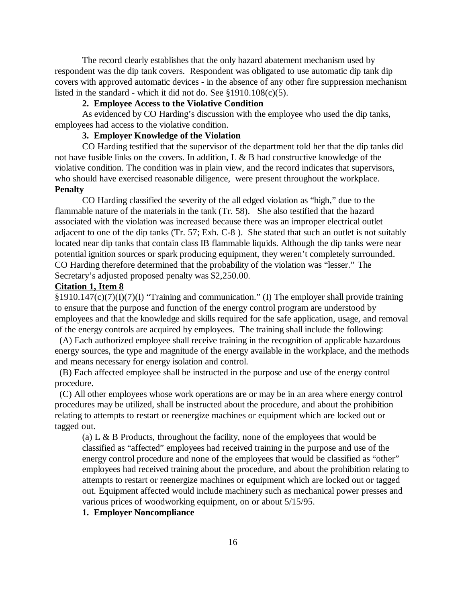The record clearly establishes that the only hazard abatement mechanism used by respondent was the dip tank covers. Respondent was obligated to use automatic dip tank dip covers with approved automatic devices - in the absence of any other fire suppression mechanism listed in the standard - which it did not do. See §1910.108(c)(5).

### **2. Employee Access to the Violative Condition**

As evidenced by CO Harding's discussion with the employee who used the dip tanks, employees had access to the violative condition.

# **3. Employer Knowledge of the Violation**

CO Harding testified that the supervisor of the department told her that the dip tanks did not have fusible links on the covers. In addition, L & B had constructive knowledge of the violative condition. The condition was in plain view, and the record indicates that supervisors, who should have exercised reasonable diligence, were present throughout the workplace. **Penalty**

CO Harding classified the severity of the all edged violation as "high," due to the flammable nature of the materials in the tank (Tr. 58). She also testified that the hazard associated with the violation was increased because there was an improper electrical outlet adjacent to one of the dip tanks (Tr. 57; Exh. C-8 ). She stated that such an outlet is not suitably located near dip tanks that contain class IB flammable liquids. Although the dip tanks were near potential ignition sources or spark producing equipment, they weren't completely surrounded. CO Harding therefore determined that the probability of the violation was "lesser." The Secretary's adjusted proposed penalty was \$2,250.00.

#### **Citation 1, Item 8**

§1910.147(c)(7)(I)(7)(I) "Training and communication." (I) The employer shall provide training to ensure that the purpose and function of the energy control program are understood by employees and that the knowledge and skills required for the safe application, usage, and removal of the energy controls are acquired by employees. The training shall include the following:

 (A) Each authorized employee shall receive training in the recognition of applicable hazardous energy sources, the type and magnitude of the energy available in the workplace, and the methods and means necessary for energy isolation and control.

 (B) Each affected employee shall be instructed in the purpose and use of the energy control procedure.

 (C) All other employees whose work operations are or may be in an area where energy control procedures may be utilized, shall be instructed about the procedure, and about the prohibition relating to attempts to restart or reenergize machines or equipment which are locked out or tagged out.

(a) L  $\&$  B Products, throughout the facility, none of the employees that would be classified as "affected" employees had received training in the purpose and use of the energy control procedure and none of the employees that would be classified as "other" employees had received training about the procedure, and about the prohibition relating to attempts to restart or reenergize machines or equipment which are locked out or tagged out. Equipment affected would include machinery such as mechanical power presses and various prices of woodworking equipment, on or about 5/15/95.

## **1. Employer Noncompliance**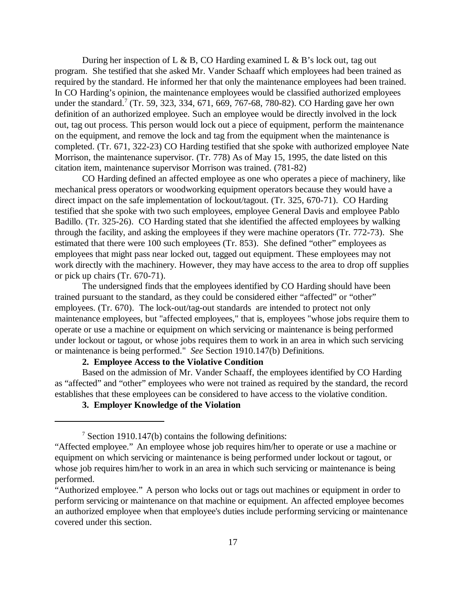During her inspection of L & B, CO Harding examined L & B's lock out, tag out program. She testified that she asked Mr. Vander Schaaff which employees had been trained as required by the standard. He informed her that only the maintenance employees had been trained. In CO Harding's opinion, the maintenance employees would be classified authorized employees under the standard.<sup>7</sup> (Tr. 59, 323, 334, 671, 669, 767-68, 780-82). CO Harding gave her own definition of an authorized employee. Such an employee would be directly involved in the lock out, tag out process. This person would lock out a piece of equipment, perform the maintenance on the equipment, and remove the lock and tag from the equipment when the maintenance is completed. (Tr. 671, 322-23) CO Harding testified that she spoke with authorized employee Nate Morrison, the maintenance supervisor. (Tr. 778) As of May 15, 1995, the date listed on this citation item, maintenance supervisor Morrison was trained. (781-82)

CO Harding defined an affected employee as one who operates a piece of machinery, like mechanical press operators or woodworking equipment operators because they would have a direct impact on the safe implementation of lockout/tagout. (Tr. 325, 670-71). CO Harding testified that she spoke with two such employees, employee General Davis and employee Pablo Badillo. (Tr. 325-26). CO Harding stated that she identified the affected employees by walking through the facility, and asking the employees if they were machine operators (Tr. 772-73). She estimated that there were 100 such employees (Tr. 853). She defined "other" employees as employees that might pass near locked out, tagged out equipment. These employees may not work directly with the machinery. However, they may have access to the area to drop off supplies or pick up chairs (Tr. 670-71).

The undersigned finds that the employees identified by CO Harding should have been trained pursuant to the standard, as they could be considered either "affected" or "other" employees. (Tr. 670). The lock-out/tag-out standards are intended to protect not only maintenance employees, but "affected employees," that is, employees "whose jobs require them to operate or use a machine or equipment on which servicing or maintenance is being performed under lockout or tagout, or whose jobs requires them to work in an area in which such servicing or maintenance is being performed." *See* Section 1910.147(b) Definitions.

# **2. Employee Access to the Violative Condition**

Based on the admission of Mr. Vander Schaaff, the employees identified by CO Harding as "affected" and "other" employees who were not trained as required by the standard, the record establishes that these employees can be considered to have access to the violative condition.

# **3. Employer Knowledge of the Violation**

<sup>&</sup>lt;sup>7</sup> Section 1910.147(b) contains the following definitions:

<sup>&</sup>quot;Affected employee." An employee whose job requires him/her to operate or use a machine or equipment on which servicing or maintenance is being performed under lockout or tagout, or whose job requires him/her to work in an area in which such servicing or maintenance is being performed.

<sup>&</sup>quot;Authorized employee." A person who locks out or tags out machines or equipment in order to perform servicing or maintenance on that machine or equipment. An affected employee becomes an authorized employee when that employee's duties include performing servicing or maintenance covered under this section.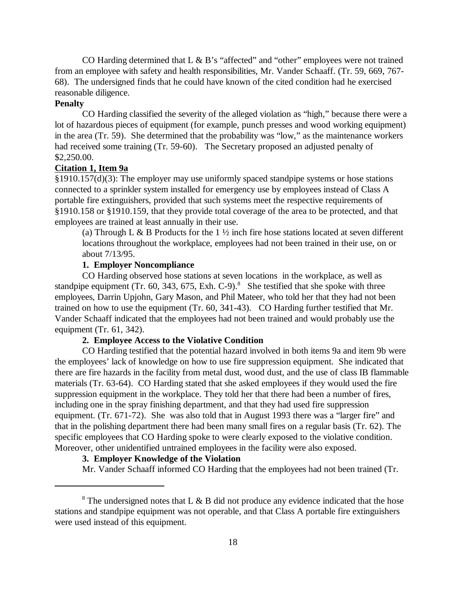CO Harding determined that L & B's "affected" and "other" employees were not trained from an employee with safety and health responsibilities, Mr. Vander Schaaff. (Tr. 59, 669, 767- 68). The undersigned finds that he could have known of the cited condition had he exercised reasonable diligence.

## **Penalty**

CO Harding classified the severity of the alleged violation as "high," because there were a lot of hazardous pieces of equipment (for example, punch presses and wood working equipment) in the area (Tr. 59). She determined that the probability was "low," as the maintenance workers had received some training (Tr. 59-60). The Secretary proposed an adjusted penalty of \$2,250.00.

## **Citation 1, Item 9a**

§1910.157(d)(3): The employer may use uniformly spaced standpipe systems or hose stations connected to a sprinkler system installed for emergency use by employees instead of Class A portable fire extinguishers, provided that such systems meet the respective requirements of §1910.158 or §1910.159, that they provide total coverage of the area to be protected, and that employees are trained at least annually in their use.

(a) Through L & B Products for the  $1\frac{1}{2}$  inch fire hose stations located at seven different locations throughout the workplace, employees had not been trained in their use, on or about 7/13/95.

## **1. Employer Noncompliance**

CO Harding observed hose stations at seven locations in the workplace, as well as standpipe equipment (Tr. 60, 343, 675, Exh. C-9).<sup>8</sup> She testified that she spoke with three employees, Darrin Upjohn, Gary Mason, and Phil Mateer, who told her that they had not been trained on how to use the equipment (Tr. 60, 341-43). CO Harding further testified that Mr. Vander Schaaff indicated that the employees had not been trained and would probably use the equipment (Tr. 61, 342).

## **2. Employee Access to the Violative Condition**

CO Harding testified that the potential hazard involved in both items 9a and item 9b were the employees' lack of knowledge on how to use fire suppression equipment. She indicated that there are fire hazards in the facility from metal dust, wood dust, and the use of class IB flammable materials (Tr. 63-64). CO Harding stated that she asked employees if they would used the fire suppression equipment in the workplace. They told her that there had been a number of fires, including one in the spray finishing department, and that they had used fire suppression equipment. (Tr. 671-72). She was also told that in August 1993 there was a "larger fire" and that in the polishing department there had been many small fires on a regular basis (Tr. 62). The specific employees that CO Harding spoke to were clearly exposed to the violative condition. Moreover, other unidentified untrained employees in the facility were also exposed.

# **3. Employer Knowledge of the Violation**

Mr. Vander Schaaff informed CO Harding that the employees had not been trained (Tr.

<sup>&</sup>lt;sup>8</sup> The undersigned notes that L & B did not produce any evidence indicated that the hose stations and standpipe equipment was not operable, and that Class A portable fire extinguishers were used instead of this equipment.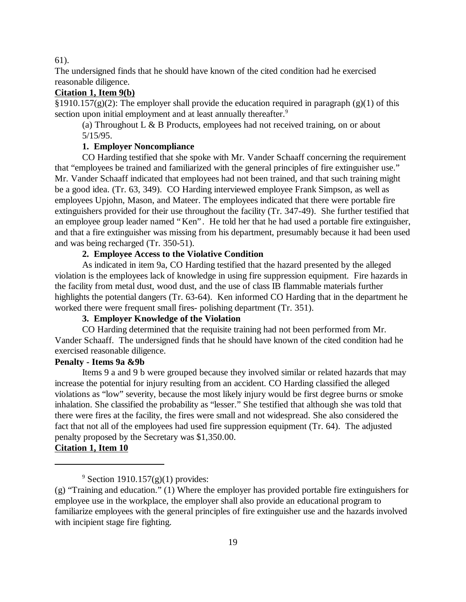#### 61).

The undersigned finds that he should have known of the cited condition had he exercised reasonable diligence.

# **Citation 1, Item 9(b)**

§1910.157(g)(2): The employer shall provide the education required in paragraph (g)(1) of this section upon initial employment and at least annually thereafter.<sup>9</sup>

(a) Throughout  $L & B$  Products, employees had not received training, on or about 5/15/95.

## **1. Employer Noncompliance**

CO Harding testified that she spoke with Mr. Vander Schaaff concerning the requirement that "employees be trained and familiarized with the general principles of fire extinguisher use." Mr. Vander Schaaff indicated that employees had not been trained, and that such training might be a good idea. (Tr. 63, 349). CO Harding interviewed employee Frank Simpson, as well as employees Upjohn, Mason, and Mateer. The employees indicated that there were portable fire extinguishers provided for their use throughout the facility (Tr. 347-49). She further testified that an employee group leader named "Ken". He told her that he had used a portable fire extinguisher, and that a fire extinguisher was missing from his department, presumably because it had been used and was being recharged (Tr. 350-51).

# **2. Employee Access to the Violative Condition**

As indicated in item 9a, CO Harding testified that the hazard presented by the alleged violation is the employees lack of knowledge in using fire suppression equipment. Fire hazards in the facility from metal dust, wood dust, and the use of class IB flammable materials further highlights the potential dangers (Tr. 63-64). Ken informed CO Harding that in the department he worked there were frequent small fires- polishing department (Tr. 351).

# **3. Employer Knowledge of the Violation**

CO Harding determined that the requisite training had not been performed from Mr. Vander Schaaff. The undersigned finds that he should have known of the cited condition had he exercised reasonable diligence.

# **Penalty - Items 9a &9b**

Items 9 a and 9 b were grouped because they involved similar or related hazards that may increase the potential for injury resulting from an accident. CO Harding classified the alleged violations as "low" severity, because the most likely injury would be first degree burns or smoke inhalation. She classified the probability as "lesser." She testified that although she was told that there were fires at the facility, the fires were small and not widespread. She also considered the fact that not all of the employees had used fire suppression equipment (Tr. 64). The adjusted penalty proposed by the Secretary was \$1,350.00.

# **Citation 1, Item 10**

<sup>&</sup>lt;sup>9</sup> Section 1910.157 $(g)(1)$  provides:

<sup>(</sup>g) "Training and education." (1) Where the employer has provided portable fire extinguishers for employee use in the workplace, the employer shall also provide an educational program to familiarize employees with the general principles of fire extinguisher use and the hazards involved with incipient stage fire fighting.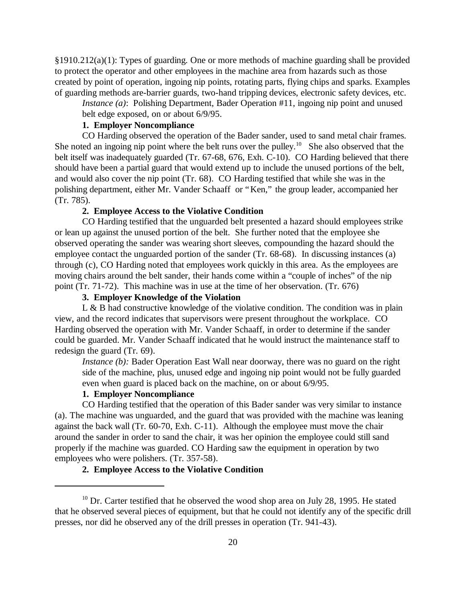§1910.212(a)(1): Types of guarding. One or more methods of machine guarding shall be provided to protect the operator and other employees in the machine area from hazards such as those created by point of operation, ingoing nip points, rotating parts, flying chips and sparks. Examples of guarding methods are-barrier guards, two-hand tripping devices, electronic safety devices, etc.

*Instance (a)*: Polishing Department, Bader Operation #11, ingoing nip point and unused

belt edge exposed, on or about 6/9/95.

# **1. Employer Noncompliance**

CO Harding observed the operation of the Bader sander, used to sand metal chair frames. She noted an ingoing nip point where the belt runs over the pulley.<sup>10</sup> She also observed that the belt itself was inadequately guarded (Tr. 67-68, 676, Exh. C-10). CO Harding believed that there should have been a partial guard that would extend up to include the unused portions of the belt, and would also cover the nip point (Tr. 68). CO Harding testified that while she was in the polishing department, either Mr. Vander Schaaff or "Ken," the group leader, accompanied her (Tr. 785).

### **2. Employee Access to the Violative Condition**

CO Harding testified that the unguarded belt presented a hazard should employees strike or lean up against the unused portion of the belt. She further noted that the employee she observed operating the sander was wearing short sleeves, compounding the hazard should the employee contact the unguarded portion of the sander (Tr. 68-68). In discussing instances (a) through (c), CO Harding noted that employees work quickly in this area. As the employees are moving chairs around the belt sander, their hands come within a "couple of inches" of the nip point (Tr. 71-72). This machine was in use at the time of her observation. (Tr. 676)

# **3. Employer Knowledge of the Violation**

L & B had constructive knowledge of the violative condition. The condition was in plain view, and the record indicates that supervisors were present throughout the workplace. CO Harding observed the operation with Mr. Vander Schaaff, in order to determine if the sander could be guarded. Mr. Vander Schaaff indicated that he would instruct the maintenance staff to redesign the guard (Tr. 69).

*Instance (b):* Bader Operation East Wall near doorway, there was no guard on the right side of the machine, plus, unused edge and ingoing nip point would not be fully guarded even when guard is placed back on the machine, on or about 6/9/95.

# **1. Employer Noncompliance**

CO Harding testified that the operation of this Bader sander was very similar to instance (a). The machine was unguarded, and the guard that was provided with the machine was leaning against the back wall (Tr. 60-70, Exh. C-11). Although the employee must move the chair around the sander in order to sand the chair, it was her opinion the employee could still sand properly if the machine was guarded. CO Harding saw the equipment in operation by two employees who were polishers. (Tr. 357-58).

# **2. Employee Access to the Violative Condition**

 $10$  Dr. Carter testified that he observed the wood shop area on July 28, 1995. He stated that he observed several pieces of equipment, but that he could not identify any of the specific drill presses, nor did he observed any of the drill presses in operation (Tr. 941-43).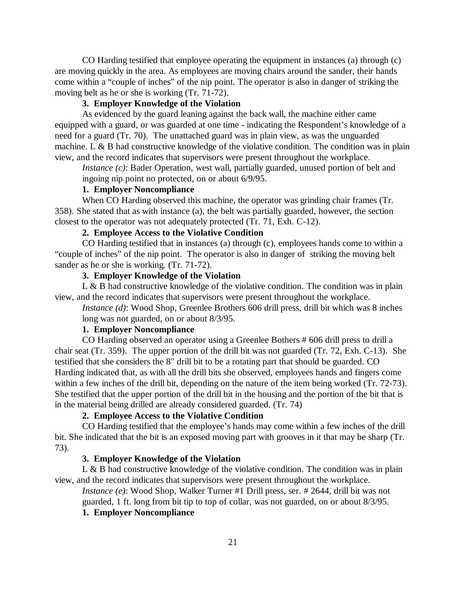CO Harding testified that employee operating the equipment in instances (a) through (c) are moving quickly in the area. As employees are moving chairs around the sander, their hands come within a "couple of inches" of the nip point. The operator is also in danger of striking the moving belt as he or she is working (Tr. 71-72).

# **3. Employer Knowledge of the Violation**

As evidenced by the guard leaning against the back wall, the machine either came equipped with a guard, or was guarded at one time - indicating the Respondent's knowledge of a need for a guard (Tr. 70). The unattached guard was in plain view, as was the unguarded machine. L & B had constructive knowledge of the violative condition. The condition was in plain view, and the record indicates that supervisors were present throughout the workplace.

*Instance (c)*: Bader Operation, west wall, partially guarded, unused portion of belt and ingoing nip point no protected, on or about 6/9/95.

# **1. Employer Noncompliance**

When CO Harding observed this machine, the operator was grinding chair frames (Tr. 358). She stated that as with instance (a), the belt was partially guarded, however, the section closest to the operator was not adequately protected (Tr. 71, Exh. C-12).

## **2. Employee Access to the Violative Condition**

CO Harding testified that in instances (a) through (c), employees hands come to within a "couple of inches" of the nip point. The operator is also in danger of striking the moving belt sander as he or she is working. (Tr. 71-72).

# **3. Employer Knowledge of the Violation**

 $L \& B$  had constructive knowledge of the violative condition. The condition was in plain view, and the record indicates that supervisors were present throughout the workplace.

*Instance (d)*: Wood Shop, Greenlee Brothers 606 drill press, drill bit which was 8 inches long was not guarded, on or about 8/3/95.

# **1. Employer Noncompliance**

CO Harding observed an operator using a Greenlee Bothers # 606 drill press to drill a chair seat (Tr. 359). The upper portion of the drill bit was not guarded (Tr. 72, Exh. C-13). She testified that she considers the 8" drill bit to be a rotating part that should be guarded. CO Harding indicated that, as with all the drill bits she observed, employees hands and fingers come within a few inches of the drill bit, depending on the nature of the item being worked (Tr. 72-73). She testified that the upper portion of the drill bit in the housing and the portion of the bit that is in the material being drilled are already considered guarded. (Tr. 74)

## **2. Employee Access to the Violative Condition**

CO Harding testified that the employee's hands may come within a few inches of the drill bit. She indicated that the bit is an exposed moving part with grooves in it that may be sharp (Tr. 73).

## **3. Employer Knowledge of the Violation**

L & B had constructive knowledge of the violative condition. The condition was in plain view, and the record indicates that supervisors were present throughout the workplace.

*Instance (e)*: Wood Shop, Walker Turner #1 Drill press, ser. # 2644, drill bit was not guarded, 1 ft. long from bit tip to top of collar, was not guarded, on or about 8/3/95.

## **1. Employer Noncompliance**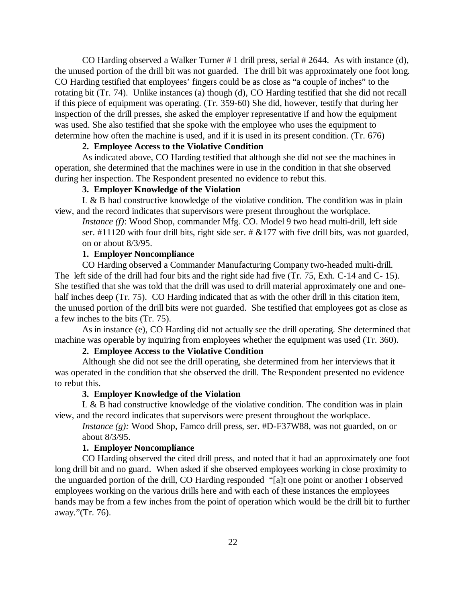CO Harding observed a Walker Turner # 1 drill press, serial # 2644. As with instance (d), the unused portion of the drill bit was not guarded. The drill bit was approximately one foot long. CO Harding testified that employees' fingers could be as close as "a couple of inches" to the rotating bit (Tr. 74). Unlike instances (a) though (d), CO Harding testified that she did not recall if this piece of equipment was operating. (Tr. 359-60) She did, however, testify that during her inspection of the drill presses, she asked the employer representative if and how the equipment was used. She also testified that she spoke with the employee who uses the equipment to determine how often the machine is used, and if it is used in its present condition. (Tr. 676)

## **2. Employee Access to the Violative Condition**

As indicated above, CO Harding testified that although she did not see the machines in operation, she determined that the machines were in use in the condition in that she observed during her inspection. The Respondent presented no evidence to rebut this.

# **3. Employer Knowledge of the Violation**

L & B had constructive knowledge of the violative condition. The condition was in plain view, and the record indicates that supervisors were present throughout the workplace.

*Instance (f)*: Wood Shop, commander Mfg. CO. Model 9 two head multi-drill, left side ser.  $\#11120$  with four drill bits, right side ser.  $\# \&177$  with five drill bits, was not guarded, on or about 8/3/95.

## **1. Employer Noncompliance**

CO Harding observed a Commander Manufacturing Company two-headed multi-drill. The left side of the drill had four bits and the right side had five (Tr. 75, Exh. C-14 and C- 15). She testified that she was told that the drill was used to drill material approximately one and onehalf inches deep (Tr. 75). CO Harding indicated that as with the other drill in this citation item, the unused portion of the drill bits were not guarded. She testified that employees got as close as a few inches to the bits (Tr. 75).

As in instance (e), CO Harding did not actually see the drill operating. She determined that machine was operable by inquiring from employees whether the equipment was used (Tr. 360).

# **2. Employee Access to the Violative Condition**

Although she did not see the drill operating, she determined from her interviews that it was operated in the condition that she observed the drill. The Respondent presented no evidence to rebut this.

## **3. Employer Knowledge of the Violation**

L  $\&$  B had constructive knowledge of the violative condition. The condition was in plain view, and the record indicates that supervisors were present throughout the workplace.

*Instance (g):* Wood Shop, Famco drill press, ser. #D-F37W88, was not guarded, on or about 8/3/95.

## **1. Employer Noncompliance**

CO Harding observed the cited drill press, and noted that it had an approximately one foot long drill bit and no guard. When asked if she observed employees working in close proximity to the unguarded portion of the drill, CO Harding responded "[a]t one point or another I observed employees working on the various drills here and with each of these instances the employees hands may be from a few inches from the point of operation which would be the drill bit to further away."(Tr. 76).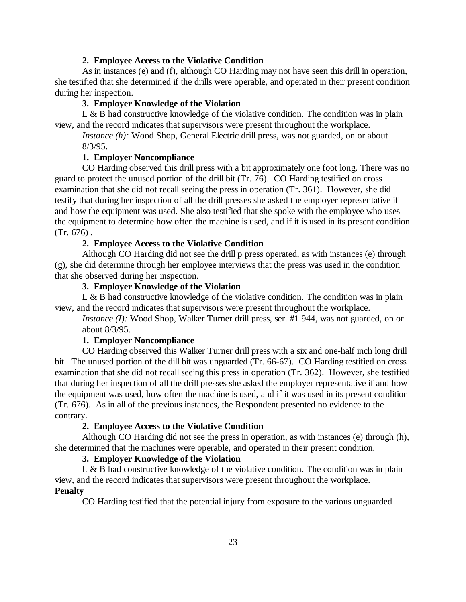#### **2. Employee Access to the Violative Condition**

As in instances (e) and (f), although CO Harding may not have seen this drill in operation, she testified that she determined if the drills were operable, and operated in their present condition during her inspection.

#### **3. Employer Knowledge of the Violation**

L & B had constructive knowledge of the violative condition. The condition was in plain view, and the record indicates that supervisors were present throughout the workplace.

*Instance (h):* Wood Shop, General Electric drill press, was not guarded, on or about 8/3/95.

## **1. Employer Noncompliance**

CO Harding observed this drill press with a bit approximately one foot long. There was no guard to protect the unused portion of the drill bit (Tr. 76). CO Harding testified on cross examination that she did not recall seeing the press in operation (Tr. 361). However, she did testify that during her inspection of all the drill presses she asked the employer representative if and how the equipment was used. She also testified that she spoke with the employee who uses the equipment to determine how often the machine is used, and if it is used in its present condition (Tr. 676) .

## **2. Employee Access to the Violative Condition**

Although CO Harding did not see the drill p press operated, as with instances (e) through (g), she did determine through her employee interviews that the press was used in the condition that she observed during her inspection.

# **3. Employer Knowledge of the Violation**

 $L \& B$  had constructive knowledge of the violative condition. The condition was in plain view, and the record indicates that supervisors were present throughout the workplace.

*Instance (I):* Wood Shop, Walker Turner drill press, ser. #1 944, was not guarded, on or about 8/3/95.

## **1. Employer Noncompliance**

CO Harding observed this Walker Turner drill press with a six and one-half inch long drill bit. The unused portion of the dill bit was unguarded (Tr. 66-67). CO Harding testified on cross examination that she did not recall seeing this press in operation (Tr. 362). However, she testified that during her inspection of all the drill presses she asked the employer representative if and how the equipment was used, how often the machine is used, and if it was used in its present condition (Tr. 676). As in all of the previous instances, the Respondent presented no evidence to the contrary.

## **2. Employee Access to the Violative Condition**

Although CO Harding did not see the press in operation, as with instances (e) through (h), she determined that the machines were operable, and operated in their present condition.

## **3. Employer Knowledge of the Violation**

L & B had constructive knowledge of the violative condition. The condition was in plain view, and the record indicates that supervisors were present throughout the workplace. **Penalty**

## CO Harding testified that the potential injury from exposure to the various unguarded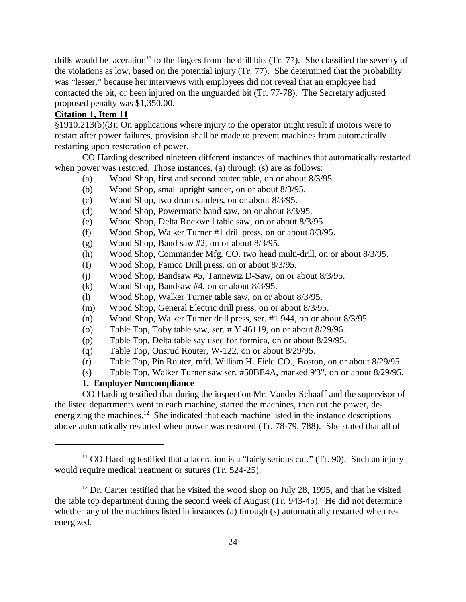drills would be laceration<sup>11</sup> to the fingers from the drill bits (Tr. 77). She classified the severity of the violations as low, based on the potential injury (Tr. 77). She determined that the probability was "lesser," because her interviews with employees did not reveal that an employee had contacted the bit, or been injured on the unguarded bit (Tr. 77-78). The Secretary adjusted proposed penalty was \$1,350.00.

# **Citation 1, Item 11**

§1910.213(b)(3): On applications where injury to the operator might result if motors were to restart after power failures, provision shall be made to prevent machines from automatically restarting upon restoration of power.

CO Harding described nineteen different instances of machines that automatically restarted when power was restored. Those instances, (a) through (s) are as follows:

- (a) Wood Shop, first and second router table, on or about 8/3/95.
- (b) Wood Shop, small upright sander, on or about 8/3/95.
- (c) Wood Shop, two drum sanders, on or about 8/3/95.
- (d) Wood Shop, Powermatic band saw, on or about 8/3/95.
- (e) Wood Shop, Delta Rockwell table saw, on or about 8/3/95.
- (f) Wood Shop, Walker Turner #1 drill press, on or about 8/3/95.
- (g) Wood Shop, Band saw #2, on or about 8/3/95.
- (h) Wood Shop, Commander Mfg. CO. two head multi-drill, on or about 8/3/95.
- (I) Wood Shop, Famco Drill press, on or about 8/3/95.
- (j) Wood Shop, Bandsaw #5, Tannewiz D-Saw, on or about 8/3/95.
- (k) Wood Shop, Bandsaw #4, on or about 8/3/95.
- (l) Wood Shop, Walker Turner table saw, on or about 8/3/95.
- (m) Wood Shop, General Electric drill press, on or about 8/3/95.
- (n) Wood Shop, Walker Turner drill press, ser. #1 944, on or about 8/3/95.
- (o) Table Top, Toby table saw, ser. # Y 46119, on or about 8/29/96.
- (p) Table Top, Delta table say used for formica, on or about 8/29/95.
- (q) Table Top, Onsrud Router, W-122, on or about 8/29/95.
- (r) Table Top, Pin Router, mfd. William H. Field CO., Boston, on or about 8/29/95.
- (s) Table Top, Walker Turner saw ser. #50BE4A, marked 9'3", on or about 8/29/95.

# **1. Employer Noncompliance**

CO Harding testified that during the inspection Mr. Vander Schaaff and the supervisor of the listed departments went to each machine, started the machines, then cut the power, deenergizing the machines.<sup>12</sup> She indicated that each machine listed in the instance descriptions above automatically restarted when power was restored (Tr. 78-79, 788). She stated that all of

<sup>&</sup>lt;sup>11</sup> CO Harding testified that a laceration is a "fairly serious cut." (Tr. 90). Such an injury would require medical treatment or sutures (Tr. 524-25).

 $12$  Dr. Carter testified that he visited the wood shop on July 28, 1995, and that he visited the table top department during the second week of August (Tr. 943-45). He did not determine whether any of the machines listed in instances (a) through (s) automatically restarted when reenergized.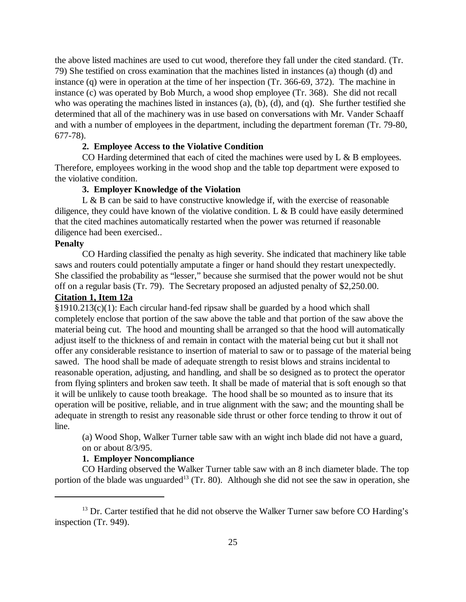the above listed machines are used to cut wood, therefore they fall under the cited standard. (Tr. 79) She testified on cross examination that the machines listed in instances (a) though (d) and instance (q) were in operation at the time of her inspection (Tr. 366-69, 372). The machine in instance (c) was operated by Bob Murch, a wood shop employee (Tr. 368). She did not recall who was operating the machines listed in instances (a), (b), (d), and (q). She further testified she determined that all of the machinery was in use based on conversations with Mr. Vander Schaaff and with a number of employees in the department, including the department foreman (Tr. 79-80, 677-78).

#### **2. Employee Access to the Violative Condition**

CO Harding determined that each of cited the machines were used by  $L \& B$  employees. Therefore, employees working in the wood shop and the table top department were exposed to the violative condition.

# **3. Employer Knowledge of the Violation**

 $L \& B$  can be said to have constructive knowledge if, with the exercise of reasonable diligence, they could have known of the violative condition. L & B could have easily determined that the cited machines automatically restarted when the power was returned if reasonable diligence had been exercised..

## **Penalty**

CO Harding classified the penalty as high severity. She indicated that machinery like table saws and routers could potentially amputate a finger or hand should they restart unexpectedly. She classified the probability as "lesser," because she surmised that the power would not be shut off on a regular basis (Tr. 79). The Secretary proposed an adjusted penalty of \$2,250.00. **Citation 1, Item 12a**

§1910.213(c)(1): Each circular hand-fed ripsaw shall be guarded by a hood which shall completely enclose that portion of the saw above the table and that portion of the saw above the material being cut. The hood and mounting shall be arranged so that the hood will automatically adjust itself to the thickness of and remain in contact with the material being cut but it shall not offer any considerable resistance to insertion of material to saw or to passage of the material being sawed. The hood shall be made of adequate strength to resist blows and strains incidental to reasonable operation, adjusting, and handling, and shall be so designed as to protect the operator from flying splinters and broken saw teeth. It shall be made of material that is soft enough so that it will be unlikely to cause tooth breakage. The hood shall be so mounted as to insure that its operation will be positive, reliable, and in true alignment with the saw; and the mounting shall be adequate in strength to resist any reasonable side thrust or other force tending to throw it out of line.

(a) Wood Shop, Walker Turner table saw with an wight inch blade did not have a guard, on or about 8/3/95.

#### **1. Employer Noncompliance**

CO Harding observed the Walker Turner table saw with an 8 inch diameter blade. The top portion of the blade was unguarded<sup>13</sup> (Tr. 80). Although she did not see the saw in operation, she

 $13$  Dr. Carter testified that he did not observe the Walker Turner saw before CO Harding's inspection (Tr. 949).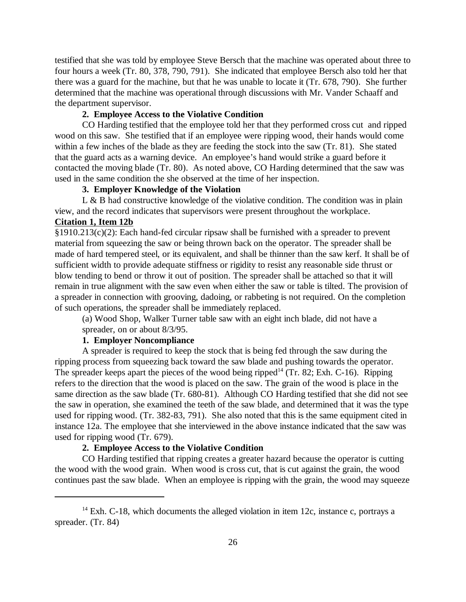testified that she was told by employee Steve Bersch that the machine was operated about three to four hours a week (Tr. 80, 378, 790, 791). She indicated that employee Bersch also told her that there was a guard for the machine, but that he was unable to locate it (Tr. 678, 790). She further determined that the machine was operational through discussions with Mr. Vander Schaaff and the department supervisor.

## **2. Employee Access to the Violative Condition**

CO Harding testified that the employee told her that they performed cross cut and ripped wood on this saw. She testified that if an employee were ripping wood, their hands would come within a few inches of the blade as they are feeding the stock into the saw (Tr. 81). She stated that the guard acts as a warning device. An employee's hand would strike a guard before it contacted the moving blade (Tr. 80). As noted above, CO Harding determined that the saw was used in the same condition the she observed at the time of her inspection.

# **3. Employer Knowledge of the Violation**

L  $\&$  B had constructive knowledge of the violative condition. The condition was in plain view, and the record indicates that supervisors were present throughout the workplace.

# **Citation 1, Item 12b**

§1910.213(c)(2): Each hand-fed circular ripsaw shall be furnished with a spreader to prevent material from squeezing the saw or being thrown back on the operator. The spreader shall be made of hard tempered steel, or its equivalent, and shall be thinner than the saw kerf. It shall be of sufficient width to provide adequate stiffness or rigidity to resist any reasonable side thrust or blow tending to bend or throw it out of position. The spreader shall be attached so that it will remain in true alignment with the saw even when either the saw or table is tilted. The provision of a spreader in connection with grooving, dadoing, or rabbeting is not required. On the completion of such operations, the spreader shall be immediately replaced.

(a) Wood Shop, Walker Turner table saw with an eight inch blade, did not have a spreader, on or about 8/3/95.

## **1. Employer Noncompliance**

A spreader is required to keep the stock that is being fed through the saw during the ripping process from squeezing back toward the saw blade and pushing towards the operator. The spreader keeps apart the pieces of the wood being ripped<sup>14</sup> (Tr. 82; Exh. C-16). Ripping refers to the direction that the wood is placed on the saw. The grain of the wood is place in the same direction as the saw blade (Tr. 680-81). Although CO Harding testified that she did not see the saw in operation, she examined the teeth of the saw blade, and determined that it was the type used for ripping wood. (Tr. 382-83, 791). She also noted that this is the same equipment cited in instance 12a. The employee that she interviewed in the above instance indicated that the saw was used for ripping wood (Tr. 679).

# **2. Employee Access to the Violative Condition**

CO Harding testified that ripping creates a greater hazard because the operator is cutting the wood with the wood grain. When wood is cross cut, that is cut against the grain, the wood continues past the saw blade. When an employee is ripping with the grain, the wood may squeeze

<sup>&</sup>lt;sup>14</sup> Exh. C-18, which documents the alleged violation in item 12c, instance c, portrays a spreader. (Tr. 84)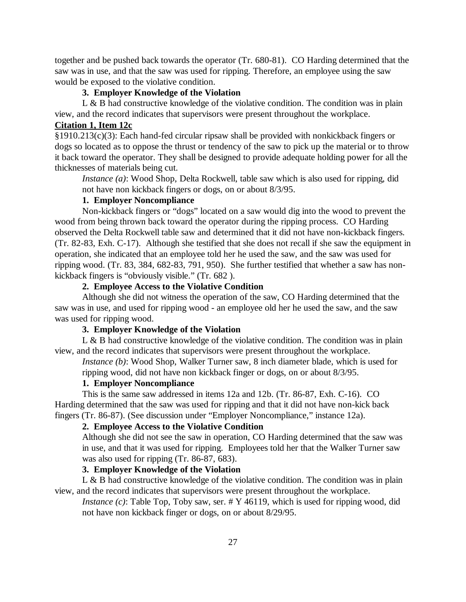together and be pushed back towards the operator (Tr. 680-81). CO Harding determined that the saw was in use, and that the saw was used for ripping. Therefore, an employee using the saw would be exposed to the violative condition.

## **3. Employer Knowledge of the Violation**

L  $\&$  B had constructive knowledge of the violative condition. The condition was in plain view, and the record indicates that supervisors were present throughout the workplace.

# **Citation 1, Item 12c**

§1910.213(c)(3): Each hand-fed circular ripsaw shall be provided with nonkickback fingers or dogs so located as to oppose the thrust or tendency of the saw to pick up the material or to throw it back toward the operator. They shall be designed to provide adequate holding power for all the thicknesses of materials being cut.

*Instance (a)*: Wood Shop, Delta Rockwell, table saw which is also used for ripping, did not have non kickback fingers or dogs, on or about 8/3/95.

# **1. Employer Noncompliance**

Non-kickback fingers or "dogs" located on a saw would dig into the wood to prevent the wood from being thrown back toward the operator during the ripping process. CO Harding observed the Delta Rockwell table saw and determined that it did not have non-kickback fingers. (Tr. 82-83, Exh. C-17). Although she testified that she does not recall if she saw the equipment in operation, she indicated that an employee told her he used the saw, and the saw was used for ripping wood. (Tr. 83, 384, 682-83, 791, 950). She further testified that whether a saw has nonkickback fingers is "obviously visible." (Tr. 682 ).

# **2. Employee Access to the Violative Condition**

Although she did not witness the operation of the saw, CO Harding determined that the saw was in use, and used for ripping wood - an employee old her he used the saw, and the saw was used for ripping wood.

# **3. Employer Knowledge of the Violation**

L & B had constructive knowledge of the violative condition. The condition was in plain view, and the record indicates that supervisors were present throughout the workplace.

*Instance (b)*: Wood Shop, Walker Turner saw, 8 inch diameter blade, which is used for ripping wood, did not have non kickback finger or dogs, on or about 8/3/95.

#### **1. Employer Noncompliance**

This is the same saw addressed in items 12a and 12b. (Tr. 86-87, Exh. C-16). CO Harding determined that the saw was used for ripping and that it did not have non-kick back fingers (Tr. 86-87). (See discussion under "Employer Noncompliance," instance 12a).

# **2. Employee Access to the Violative Condition**

Although she did not see the saw in operation, CO Harding determined that the saw was in use, and that it was used for ripping. Employees told her that the Walker Turner saw was also used for ripping (Tr. 86-87, 683).

# **3. Employer Knowledge of the Violation**

L & B had constructive knowledge of the violative condition. The condition was in plain view, and the record indicates that supervisors were present throughout the workplace.

*Instance (c)*: Table Top, Toby saw, ser. # Y 46119, which is used for ripping wood, did not have non kickback finger or dogs, on or about 8/29/95.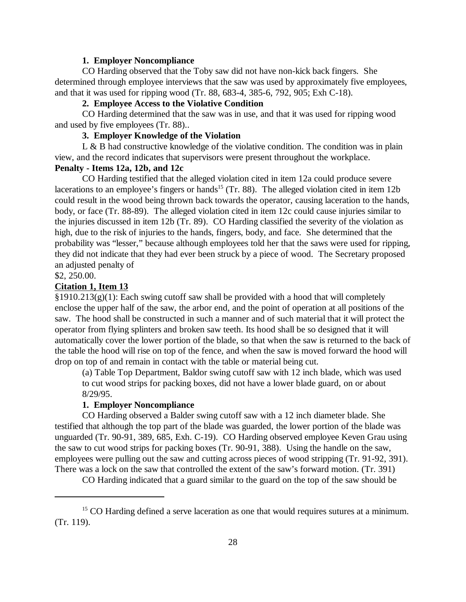#### **1. Employer Noncompliance**

CO Harding observed that the Toby saw did not have non-kick back fingers. She determined through employee interviews that the saw was used by approximately five employees, and that it was used for ripping wood (Tr. 88, 683-4, 385-6, 792, 905; Exh C-18).

## **2. Employee Access to the Violative Condition**

CO Harding determined that the saw was in use, and that it was used for ripping wood and used by five employees (Tr. 88)..

# **3. Employer Knowledge of the Violation**

L & B had constructive knowledge of the violative condition. The condition was in plain view, and the record indicates that supervisors were present throughout the workplace.

## **Penalty - Items 12a, 12b, and 12c**

CO Harding testified that the alleged violation cited in item 12a could produce severe lacerations to an employee's fingers or hands<sup>15</sup> (Tr. 88). The alleged violation cited in item 12b could result in the wood being thrown back towards the operator, causing laceration to the hands, body, or face (Tr. 88-89). The alleged violation cited in item 12c could cause injuries similar to the injuries discussed in item 12b (Tr. 89). CO Harding classified the severity of the violation as high, due to the risk of injuries to the hands, fingers, body, and face. She determined that the probability was "lesser," because although employees told her that the saws were used for ripping, they did not indicate that they had ever been struck by a piece of wood. The Secretary proposed an adjusted penalty of

\$2, 250.00.

### **Citation 1, Item 13**

 $§1910.213(g)(1)$ : Each swing cutoff saw shall be provided with a hood that will completely enclose the upper half of the saw, the arbor end, and the point of operation at all positions of the saw. The hood shall be constructed in such a manner and of such material that it will protect the operator from flying splinters and broken saw teeth. Its hood shall be so designed that it will automatically cover the lower portion of the blade, so that when the saw is returned to the back of the table the hood will rise on top of the fence, and when the saw is moved forward the hood will drop on top of and remain in contact with the table or material being cut.

(a) Table Top Department, Baldor swing cutoff saw with 12 inch blade, which was used to cut wood strips for packing boxes, did not have a lower blade guard, on or about 8/29/95.

## **1. Employer Noncompliance**

CO Harding observed a Balder swing cutoff saw with a 12 inch diameter blade. She testified that although the top part of the blade was guarded, the lower portion of the blade was unguarded (Tr. 90-91, 389, 685, Exh. C-19). CO Harding observed employee Keven Grau using the saw to cut wood strips for packing boxes (Tr. 90-91, 388). Using the handle on the saw, employees were pulling out the saw and cutting across pieces of wood stripping (Tr. 91-92, 391). There was a lock on the saw that controlled the extent of the saw's forward motion. (Tr. 391)

CO Harding indicated that a guard similar to the guard on the top of the saw should be

<sup>&</sup>lt;sup>15</sup> CO Harding defined a serve laceration as one that would requires sutures at a minimum. (Tr. 119).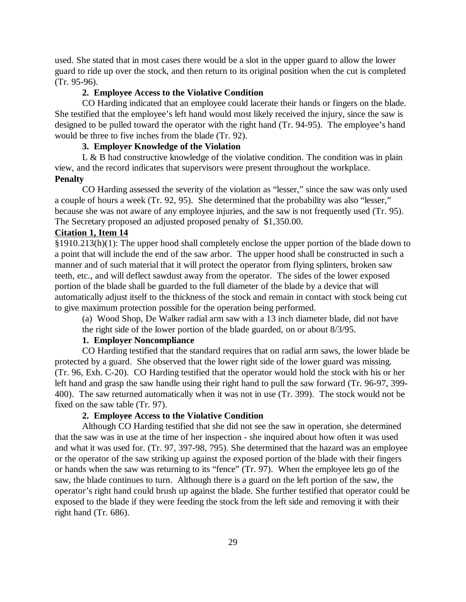used. She stated that in most cases there would be a slot in the upper guard to allow the lower guard to ride up over the stock, and then return to its original position when the cut is completed (Tr. 95-96).

## **2. Employee Access to the Violative Condition**

CO Harding indicated that an employee could lacerate their hands or fingers on the blade. She testified that the employee's left hand would most likely received the injury, since the saw is designed to be pulled toward the operator with the right hand (Tr. 94-95). The employee's hand would be three to five inches from the blade (Tr. 92).

# **3. Employer Knowledge of the Violation**

L & B had constructive knowledge of the violative condition. The condition was in plain view, and the record indicates that supervisors were present throughout the workplace. **Penalty**

CO Harding assessed the severity of the violation as "lesser," since the saw was only used a couple of hours a week (Tr. 92, 95). She determined that the probability was also "lesser," because she was not aware of any employee injuries, and the saw is not frequently used (Tr. 95). The Secretary proposed an adjusted proposed penalty of \$1,350.00.

# **Citation 1, Item 14**

§1910.213(h)(1): The upper hood shall completely enclose the upper portion of the blade down to a point that will include the end of the saw arbor. The upper hood shall be constructed in such a manner and of such material that it will protect the operator from flying splinters, broken saw teeth, etc., and will deflect sawdust away from the operator. The sides of the lower exposed portion of the blade shall be guarded to the full diameter of the blade by a device that will automatically adjust itself to the thickness of the stock and remain in contact with stock being cut to give maximum protection possible for the operation being performed.

(a) Wood Shop, De Walker radial arm saw with a 13 inch diameter blade, did not have the right side of the lower portion of the blade guarded, on or about 8/3/95.

# **1. Employer Noncompliance**

CO Harding testified that the standard requires that on radial arm saws, the lower blade be protected by a guard. She observed that the lower right side of the lower guard was missing. (Tr. 96, Exh. C-20). CO Harding testified that the operator would hold the stock with his or her left hand and grasp the saw handle using their right hand to pull the saw forward (Tr. 96-97, 399- 400). The saw returned automatically when it was not in use (Tr. 399). The stock would not be fixed on the saw table (Tr. 97).

# **2. Employee Access to the Violative Condition**

Although CO Harding testified that she did not see the saw in operation, she determined that the saw was in use at the time of her inspection - she inquired about how often it was used and what it was used for. (Tr. 97, 397-98, 795). She determined that the hazard was an employee or the operator of the saw striking up against the exposed portion of the blade with their fingers or hands when the saw was returning to its "fence" (Tr. 97). When the employee lets go of the saw, the blade continues to turn. Although there is a guard on the left portion of the saw, the operator's right hand could brush up against the blade. She further testified that operator could be exposed to the blade if they were feeding the stock from the left side and removing it with their right hand (Tr. 686).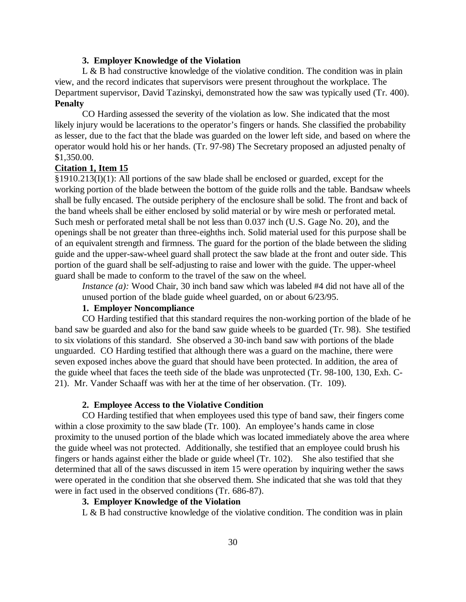#### **3. Employer Knowledge of the Violation**

L  $\&$  B had constructive knowledge of the violative condition. The condition was in plain view, and the record indicates that supervisors were present throughout the workplace. The Department supervisor, David Tazinskyi, demonstrated how the saw was typically used (Tr. 400). **Penalty**

CO Harding assessed the severity of the violation as low. She indicated that the most likely injury would be lacerations to the operator's fingers or hands. She classified the probability as lesser, due to the fact that the blade was guarded on the lower left side, and based on where the operator would hold his or her hands. (Tr. 97-98) The Secretary proposed an adjusted penalty of \$1,350.00.

#### **Citation 1, Item 15**

§1910.213(I)(1): All portions of the saw blade shall be enclosed or guarded, except for the working portion of the blade between the bottom of the guide rolls and the table. Bandsaw wheels shall be fully encased. The outside periphery of the enclosure shall be solid. The front and back of the band wheels shall be either enclosed by solid material or by wire mesh or perforated metal. Such mesh or perforated metal shall be not less than 0.037 inch (U.S. Gage No. 20), and the openings shall be not greater than three-eighths inch. Solid material used for this purpose shall be of an equivalent strength and firmness. The guard for the portion of the blade between the sliding guide and the upper-saw-wheel guard shall protect the saw blade at the front and outer side. This portion of the guard shall be self-adjusting to raise and lower with the guide. The upper-wheel guard shall be made to conform to the travel of the saw on the wheel.

*Instance (a):* Wood Chair, 30 inch band saw which was labeled #4 did not have all of the unused portion of the blade guide wheel guarded, on or about 6/23/95.

#### **1. Employer Noncompliance**

CO Harding testified that this standard requires the non-working portion of the blade of he band saw be guarded and also for the band saw guide wheels to be guarded (Tr. 98). She testified to six violations of this standard. She observed a 30-inch band saw with portions of the blade unguarded. CO Harding testified that although there was a guard on the machine, there were seven exposed inches above the guard that should have been protected. In addition, the area of the guide wheel that faces the teeth side of the blade was unprotected (Tr. 98-100, 130, Exh. C-21). Mr. Vander Schaaff was with her at the time of her observation. (Tr. 109).

#### **2. Employee Access to the Violative Condition**

CO Harding testified that when employees used this type of band saw, their fingers come within a close proximity to the saw blade (Tr. 100). An employee's hands came in close proximity to the unused portion of the blade which was located immediately above the area where the guide wheel was not protected. Additionally, she testified that an employee could brush his fingers or hands against either the blade or guide wheel (Tr. 102). She also testified that she determined that all of the saws discussed in item 15 were operation by inquiring wether the saws were operated in the condition that she observed them. She indicated that she was told that they were in fact used in the observed conditions (Tr. 686-87).

# **3. Employer Knowledge of the Violation**

L  $\&$  B had constructive knowledge of the violative condition. The condition was in plain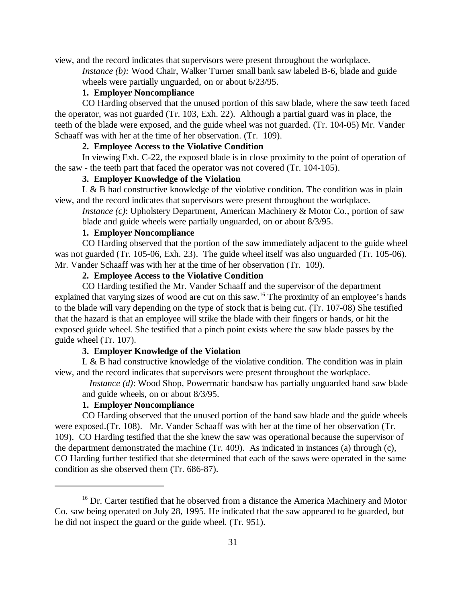view, and the record indicates that supervisors were present throughout the workplace.

*Instance (b):* Wood Chair, Walker Turner small bank saw labeled B-6, blade and guide wheels were partially unguarded, on or about 6/23/95.

# **1. Employer Noncompliance**

CO Harding observed that the unused portion of this saw blade, where the saw teeth faced the operator, was not guarded (Tr. 103, Exh. 22). Although a partial guard was in place, the teeth of the blade were exposed, and the guide wheel was not guarded. (Tr. 104-05) Mr. Vander Schaaff was with her at the time of her observation. (Tr. 109).

## **2. Employee Access to the Violative Condition**

In viewing Exh. C-22, the exposed blade is in close proximity to the point of operation of the saw - the teeth part that faced the operator was not covered (Tr. 104-105).

# **3. Employer Knowledge of the Violation**

L & B had constructive knowledge of the violative condition. The condition was in plain view, and the record indicates that supervisors were present throughout the workplace.

*Instance (c)*: Upholstery Department, American Machinery & Motor Co., portion of saw blade and guide wheels were partially unguarded, on or about 8/3/95.

# **1. Employer Noncompliance**

CO Harding observed that the portion of the saw immediately adjacent to the guide wheel was not guarded (Tr. 105-06, Exh. 23). The guide wheel itself was also unguarded (Tr. 105-06). Mr. Vander Schaaff was with her at the time of her observation (Tr. 109).

# **2. Employee Access to the Violative Condition**

CO Harding testified the Mr. Vander Schaaff and the supervisor of the department explained that varying sizes of wood are cut on this saw.<sup>16</sup> The proximity of an employee's hands to the blade will vary depending on the type of stock that is being cut. (Tr. 107-08) She testified that the hazard is that an employee will strike the blade with their fingers or hands, or hit the exposed guide wheel. She testified that a pinch point exists where the saw blade passes by the guide wheel (Tr. 107).

# **3. Employer Knowledge of the Violation**

L  $\&$  B had constructive knowledge of the violative condition. The condition was in plain view, and the record indicates that supervisors were present throughout the workplace.

 *Instance (d)*: Wood Shop, Powermatic bandsaw has partially unguarded band saw blade and guide wheels, on or about 8/3/95.

## **1. Employer Noncompliance**

CO Harding observed that the unused portion of the band saw blade and the guide wheels were exposed.(Tr. 108). Mr. Vander Schaaff was with her at the time of her observation (Tr. 109). CO Harding testified that the she knew the saw was operational because the supervisor of the department demonstrated the machine (Tr. 409). As indicated in instances (a) through (c), CO Harding further testified that she determined that each of the saws were operated in the same condition as she observed them (Tr. 686-87).

<sup>&</sup>lt;sup>16</sup> Dr. Carter testified that he observed from a distance the America Machinery and Motor Co. saw being operated on July 28, 1995. He indicated that the saw appeared to be guarded, but he did not inspect the guard or the guide wheel. (Tr. 951).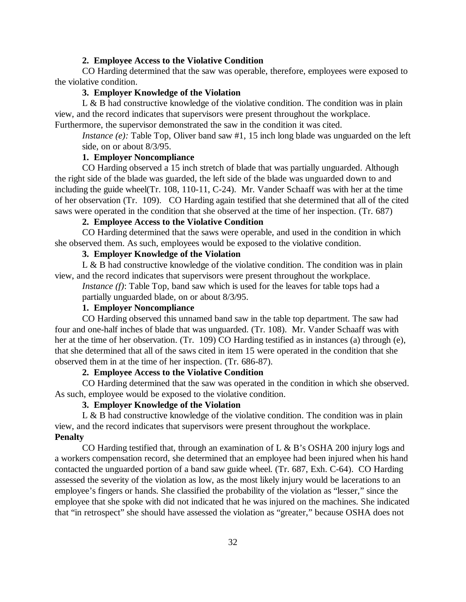#### **2. Employee Access to the Violative Condition**

CO Harding determined that the saw was operable, therefore, employees were exposed to the violative condition.

## **3. Employer Knowledge of the Violation**

L & B had constructive knowledge of the violative condition. The condition was in plain view, and the record indicates that supervisors were present throughout the workplace. Furthermore, the supervisor demonstrated the saw in the condition it was cited.

*Instance (e):* Table Top, Oliver band saw #1, 15 inch long blade was unguarded on the left side, on or about 8/3/95.

## **1. Employer Noncompliance**

CO Harding observed a 15 inch stretch of blade that was partially unguarded. Although the right side of the blade was guarded, the left side of the blade was unguarded down to and including the guide wheel(Tr. 108, 110-11, C-24). Mr. Vander Schaaff was with her at the time of her observation (Tr. 109). CO Harding again testified that she determined that all of the cited saws were operated in the condition that she observed at the time of her inspection. (Tr. 687)

## **2. Employee Access to the Violative Condition**

CO Harding determined that the saws were operable, and used in the condition in which she observed them. As such, employees would be exposed to the violative condition.

## **3. Employer Knowledge of the Violation**

L & B had constructive knowledge of the violative condition. The condition was in plain view, and the record indicates that supervisors were present throughout the workplace.

*Instance (f)*: Table Top, band saw which is used for the leaves for table tops had a partially unguarded blade, on or about 8/3/95.

#### **1. Employer Noncompliance**

CO Harding observed this unnamed band saw in the table top department. The saw had four and one-half inches of blade that was unguarded. (Tr. 108). Mr. Vander Schaaff was with her at the time of her observation. (Tr. 109) CO Harding testified as in instances (a) through (e), that she determined that all of the saws cited in item 15 were operated in the condition that she observed them in at the time of her inspection. (Tr. 686-87).

## **2. Employee Access to the Violative Condition**

CO Harding determined that the saw was operated in the condition in which she observed. As such, employee would be exposed to the violative condition.

## **3. Employer Knowledge of the Violation**

L & B had constructive knowledge of the violative condition. The condition was in plain view, and the record indicates that supervisors were present throughout the workplace. **Penalty**

CO Harding testified that, through an examination of  $L \& B$ 's OSHA 200 injury logs and a workers compensation record, she determined that an employee had been injured when his hand contacted the unguarded portion of a band saw guide wheel. (Tr. 687, Exh. C-64). CO Harding assessed the severity of the violation as low, as the most likely injury would be lacerations to an employee's fingers or hands. She classified the probability of the violation as "lesser," since the employee that she spoke with did not indicated that he was injured on the machines. She indicated that "in retrospect" she should have assessed the violation as "greater," because OSHA does not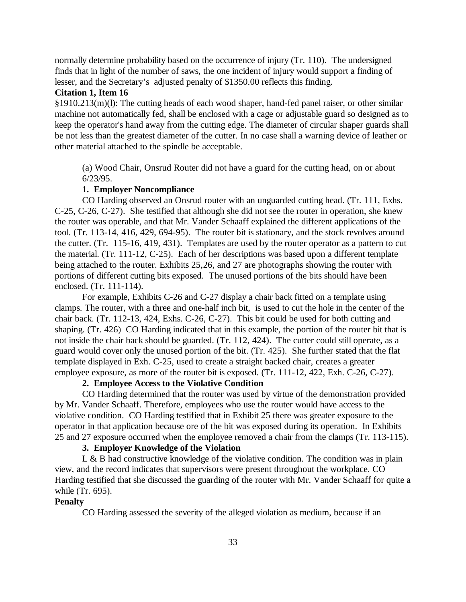normally determine probability based on the occurrence of injury (Tr. 110). The undersigned finds that in light of the number of saws, the one incident of injury would support a finding of lesser, and the Secretary's adjusted penalty of \$1350.00 reflects this finding.

# **Citation 1, Item 16**

§1910.213(m)(l): The cutting heads of each wood shaper, hand-fed panel raiser, or other similar machine not automatically fed, shall be enclosed with a cage or adjustable guard so designed as to keep the operator's hand away from the cutting edge. The diameter of circular shaper guards shall be not less than the greatest diameter of the cutter. In no case shall a warning device of leather or other material attached to the spindle be acceptable.

(a) Wood Chair, Onsrud Router did not have a guard for the cutting head, on or about 6/23/95.

# **1. Employer Noncompliance**

CO Harding observed an Onsrud router with an unguarded cutting head. (Tr. 111, Exhs. C-25, C-26, C-27). She testified that although she did not see the router in operation, she knew the router was operable, and that Mr. Vander Schaaff explained the different applications of the tool. (Tr. 113-14, 416, 429, 694-95). The router bit is stationary, and the stock revolves around the cutter. (Tr. 115-16, 419, 431). Templates are used by the router operator as a pattern to cut the material. (Tr. 111-12, C-25). Each of her descriptions was based upon a different template being attached to the router. Exhibits 25,26, and 27 are photographs showing the router with portions of different cutting bits exposed. The unused portions of the bits should have been enclosed. (Tr. 111-114).

For example, Exhibits C-26 and C-27 display a chair back fitted on a template using clamps. The router, with a three and one-half inch bit, is used to cut the hole in the center of the chair back. (Tr. 112-13, 424, Exhs. C-26, C-27). This bit could be used for both cutting and shaping. (Tr. 426) CO Harding indicated that in this example, the portion of the router bit that is not inside the chair back should be guarded. (Tr. 112, 424). The cutter could still operate, as a guard would cover only the unused portion of the bit. (Tr. 425). She further stated that the flat template displayed in Exh. C-25, used to create a straight backed chair, creates a greater employee exposure, as more of the router bit is exposed. (Tr. 111-12, 422, Exh. C-26, C-27).

## **2. Employee Access to the Violative Condition**

CO Harding determined that the router was used by virtue of the demonstration provided by Mr. Vander Schaaff. Therefore, employees who use the router would have access to the violative condition. CO Harding testified that in Exhibit 25 there was greater exposure to the operator in that application because ore of the bit was exposed during its operation. In Exhibits 25 and 27 exposure occurred when the employee removed a chair from the clamps (Tr. 113-115).

## **3. Employer Knowledge of the Violation**

L & B had constructive knowledge of the violative condition. The condition was in plain view, and the record indicates that supervisors were present throughout the workplace. CO Harding testified that she discussed the guarding of the router with Mr. Vander Schaaff for quite a while (Tr. 695).

# **Penalty**

CO Harding assessed the severity of the alleged violation as medium, because if an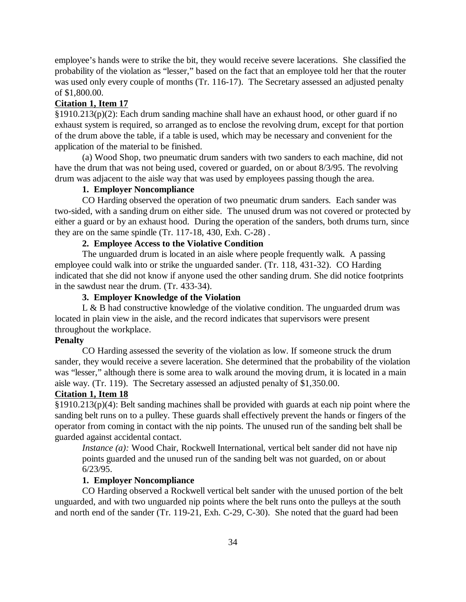employee's hands were to strike the bit, they would receive severe lacerations. She classified the probability of the violation as "lesser," based on the fact that an employee told her that the router was used only every couple of months (Tr. 116-17). The Secretary assessed an adjusted penalty of \$1,800.00.

## **Citation 1, Item 17**

§1910.213(p)(2): Each drum sanding machine shall have an exhaust hood, or other guard if no exhaust system is required, so arranged as to enclose the revolving drum, except for that portion of the drum above the table, if a table is used, which may be necessary and convenient for the application of the material to be finished.

(a) Wood Shop, two pneumatic drum sanders with two sanders to each machine, did not have the drum that was not being used, covered or guarded, on or about 8/3/95. The revolving drum was adjacent to the aisle way that was used by employees passing though the area.

# **1. Employer Noncompliance**

CO Harding observed the operation of two pneumatic drum sanders. Each sander was two-sided, with a sanding drum on either side. The unused drum was not covered or protected by either a guard or by an exhaust hood. During the operation of the sanders, both drums turn, since they are on the same spindle (Tr. 117-18, 430, Exh. C-28) .

## **2. Employee Access to the Violative Condition**

The unguarded drum is located in an aisle where people frequently walk. A passing employee could walk into or strike the unguarded sander. (Tr. 118, 431-32). CO Harding indicated that she did not know if anyone used the other sanding drum. She did notice footprints in the sawdust near the drum. (Tr. 433-34).

## **3. Employer Knowledge of the Violation**

L & B had constructive knowledge of the violative condition. The unguarded drum was located in plain view in the aisle, and the record indicates that supervisors were present throughout the workplace.

#### **Penalty**

CO Harding assessed the severity of the violation as low. If someone struck the drum sander, they would receive a severe laceration. She determined that the probability of the violation was "lesser," although there is some area to walk around the moving drum, it is located in a main aisle way. (Tr. 119). The Secretary assessed an adjusted penalty of \$1,350.00.

## **Citation 1, Item 18**

§1910.213(p)(4): Belt sanding machines shall be provided with guards at each nip point where the sanding belt runs on to a pulley. These guards shall effectively prevent the hands or fingers of the operator from coming in contact with the nip points. The unused run of the sanding belt shall be guarded against accidental contact.

*Instance (a):* Wood Chair, Rockwell International, vertical belt sander did not have nip points guarded and the unused run of the sanding belt was not guarded, on or about 6/23/95.

#### **1. Employer Noncompliance**

CO Harding observed a Rockwell vertical belt sander with the unused portion of the belt unguarded, and with two unguarded nip points where the belt runs onto the pulleys at the south and north end of the sander (Tr. 119-21, Exh. C-29, C-30). She noted that the guard had been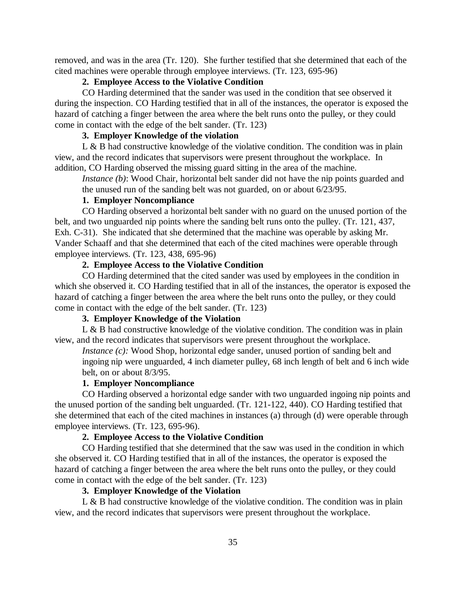removed, and was in the area (Tr. 120). She further testified that she determined that each of the cited machines were operable through employee interviews. (Tr. 123, 695-96)

## **2. Employee Access to the Violative Condition**

CO Harding determined that the sander was used in the condition that see observed it during the inspection. CO Harding testified that in all of the instances, the operator is exposed the hazard of catching a finger between the area where the belt runs onto the pulley, or they could come in contact with the edge of the belt sander. (Tr. 123)

## **3. Employer Knowledge of the violation**

L  $\&$  B had constructive knowledge of the violative condition. The condition was in plain view, and the record indicates that supervisors were present throughout the workplace. In addition, CO Harding observed the missing guard sitting in the area of the machine.

*Instance (b)*: Wood Chair, horizontal belt sander did not have the nip points guarded and the unused run of the sanding belt was not guarded, on or about 6/23/95.

# **1. Employer Noncompliance**

CO Harding observed a horizontal belt sander with no guard on the unused portion of the belt, and two unguarded nip points where the sanding belt runs onto the pulley. (Tr. 121, 437, Exh. C-31). She indicated that she determined that the machine was operable by asking Mr. Vander Schaaff and that she determined that each of the cited machines were operable through employee interviews. (Tr. 123, 438, 695-96)

# **2. Employee Access to the Violative Condition**

CO Harding determined that the cited sander was used by employees in the condition in which she observed it. CO Harding testified that in all of the instances, the operator is exposed the hazard of catching a finger between the area where the belt runs onto the pulley, or they could come in contact with the edge of the belt sander. (Tr. 123)

## **3. Employer Knowledge of the Violation**

L  $\&$  B had constructive knowledge of the violative condition. The condition was in plain view, and the record indicates that supervisors were present throughout the workplace.

*Instance (c)*: Wood Shop, horizontal edge sander, unused portion of sanding belt and ingoing nip were unguarded, 4 inch diameter pulley, 68 inch length of belt and 6 inch wide belt, on or about 8/3/95.

#### **1. Employer Noncompliance**

CO Harding observed a horizontal edge sander with two unguarded ingoing nip points and the unused portion of the sanding belt unguarded. (Tr. 121-122, 440). CO Harding testified that she determined that each of the cited machines in instances (a) through (d) were operable through employee interviews. (Tr. 123, 695-96).

# **2. Employee Access to the Violative Condition**

CO Harding testified that she determined that the saw was used in the condition in which she observed it. CO Harding testified that in all of the instances, the operator is exposed the hazard of catching a finger between the area where the belt runs onto the pulley, or they could come in contact with the edge of the belt sander. (Tr. 123)

## **3. Employer Knowledge of the Violation**

L  $\&$  B had constructive knowledge of the violative condition. The condition was in plain view, and the record indicates that supervisors were present throughout the workplace.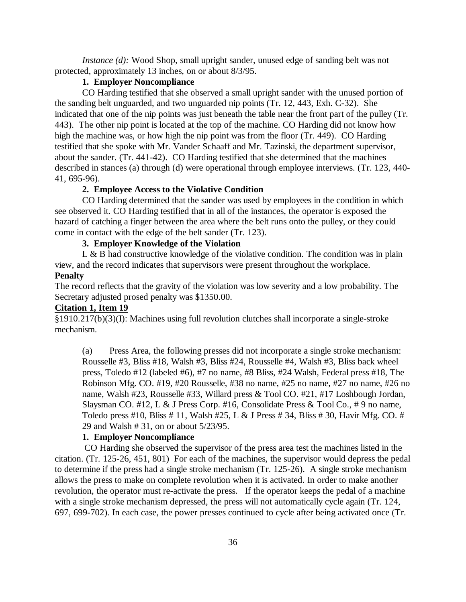*Instance (d)*: Wood Shop, small upright sander, unused edge of sanding belt was not protected, approximately 13 inches, on or about 8/3/95.

## **1. Employer Noncompliance**

CO Harding testified that she observed a small upright sander with the unused portion of the sanding belt unguarded, and two unguarded nip points (Tr. 12, 443, Exh. C-32). She indicated that one of the nip points was just beneath the table near the front part of the pulley (Tr. 443). The other nip point is located at the top of the machine. CO Harding did not know how high the machine was, or how high the nip point was from the floor (Tr. 449). CO Harding testified that she spoke with Mr. Vander Schaaff and Mr. Tazinski, the department supervisor, about the sander. (Tr. 441-42). CO Harding testified that she determined that the machines described in stances (a) through (d) were operational through employee interviews. (Tr. 123, 440- 41, 695-96).

# **2. Employee Access to the Violative Condition**

CO Harding determined that the sander was used by employees in the condition in which see observed it. CO Harding testified that in all of the instances, the operator is exposed the hazard of catching a finger between the area where the belt runs onto the pulley, or they could come in contact with the edge of the belt sander (Tr. 123).

## **3. Employer Knowledge of the Violation**

L  $\&$  B had constructive knowledge of the violative condition. The condition was in plain view, and the record indicates that supervisors were present throughout the workplace. **Penalty**

The record reflects that the gravity of the violation was low severity and a low probability. The Secretary adjusted prosed penalty was \$1350.00.

#### **Citation 1, Item 19**

§1910.217(b)(3)(I): Machines using full revolution clutches shall incorporate a single-stroke mechanism.

(a) Press Area, the following presses did not incorporate a single stroke mechanism: Rousselle #3, Bliss #18, Walsh #3, Bliss #24, Rousselle #4, Walsh #3, Bliss back wheel press, Toledo #12 (labeled #6), #7 no name, #8 Bliss, #24 Walsh, Federal press #18, The Robinson Mfg. CO. #19, #20 Rousselle, #38 no name, #25 no name, #27 no name, #26 no name, Walsh #23, Rousselle #33, Willard press & Tool CO. #21, #17 Loshbough Jordan, Slaysman CO. #12, L & J Press Corp. #16, Consolidate Press & Tool Co., # 9 no name, Toledo press #10, Bliss # 11, Walsh #25, L & J Press # 34, Bliss # 30, Havir Mfg. CO. # 29 and Walsh # 31, on or about 5/23/95.

# **1. Employer Noncompliance**

 CO Harding she observed the supervisor of the press area test the machines listed in the citation. (Tr. 125-26, 451, 801) For each of the machines, the supervisor would depress the pedal to determine if the press had a single stroke mechanism (Tr. 125-26). A single stroke mechanism allows the press to make on complete revolution when it is activated. In order to make another revolution, the operator must re-activate the press. If the operator keeps the pedal of a machine with a single stroke mechanism depressed, the press will not automatically cycle again (Tr. 124, 697, 699-702). In each case, the power presses continued to cycle after being activated once (Tr.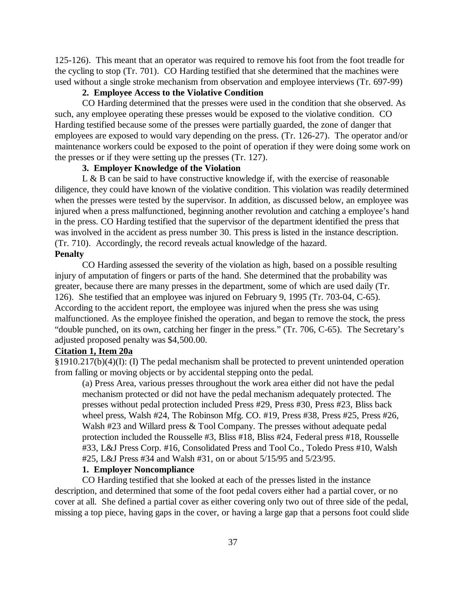125-126). This meant that an operator was required to remove his foot from the foot treadle for the cycling to stop (Tr. 701). CO Harding testified that she determined that the machines were used without a single stroke mechanism from observation and employee interviews (Tr. 697-99)

# **2. Employee Access to the Violative Condition**

CO Harding determined that the presses were used in the condition that she observed. As such, any employee operating these presses would be exposed to the violative condition. CO Harding testified because some of the presses were partially guarded, the zone of danger that employees are exposed to would vary depending on the press. (Tr. 126-27). The operator and/or maintenance workers could be exposed to the point of operation if they were doing some work on the presses or if they were setting up the presses (Tr. 127).

# **3. Employer Knowledge of the Violation**

 $L \& B$  can be said to have constructive knowledge if, with the exercise of reasonable diligence, they could have known of the violative condition. This violation was readily determined when the presses were tested by the supervisor. In addition, as discussed below, an employee was injured when a press malfunctioned, beginning another revolution and catching a employee's hand in the press. CO Harding testified that the supervisor of the department identified the press that was involved in the accident as press number 30. This press is listed in the instance description. (Tr. 710). Accordingly, the record reveals actual knowledge of the hazard.

## **Penalty**

CO Harding assessed the severity of the violation as high, based on a possible resulting injury of amputation of fingers or parts of the hand. She determined that the probability was greater, because there are many presses in the department, some of which are used daily (Tr. 126). She testified that an employee was injured on February 9, 1995 (Tr. 703-04, C-65). According to the accident report, the employee was injured when the press she was using malfunctioned. As the employee finished the operation, and began to remove the stock, the press "double punched, on its own, catching her finger in the press." (Tr. 706, C-65). The Secretary's adjusted proposed penalty was \$4,500.00.

# **Citation 1, Item 20a**

§1910.217(b)(4)(I): (I) The pedal mechanism shall be protected to prevent unintended operation from falling or moving objects or by accidental stepping onto the pedal.

(a) Press Area, various presses throughout the work area either did not have the pedal mechanism protected or did not have the pedal mechanism adequately protected. The presses without pedal protection included Press #29, Press #30, Press #23, Bliss back wheel press, Walsh #24, The Robinson Mfg. CO. #19, Press #38, Press #25, Press #26, Walsh #23 and Willard press & Tool Company. The presses without adequate pedal protection included the Rousselle #3, Bliss #18, Bliss #24, Federal press #18, Rousselle #33, L&J Press Corp. #16, Consolidated Press and Tool Co., Toledo Press #10, Walsh #25, L&J Press #34 and Walsh #31, on or about 5/15/95 and 5/23/95.

# **1. Employer Noncompliance**

CO Harding testified that she looked at each of the presses listed in the instance description, and determined that some of the foot pedal covers either had a partial cover, or no cover at all. She defined a partial cover as either covering only two out of three side of the pedal, missing a top piece, having gaps in the cover, or having a large gap that a persons foot could slide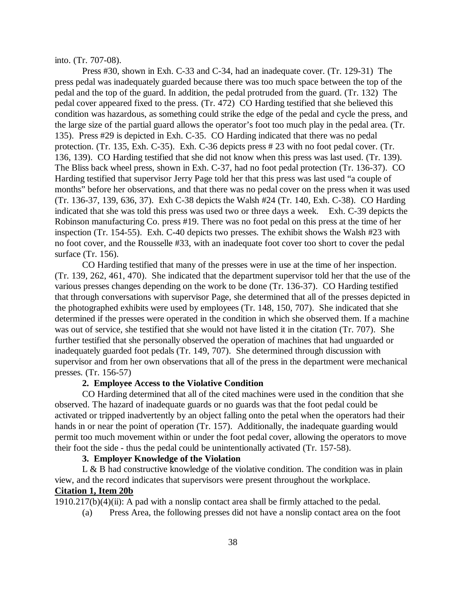#### into. (Tr. 707-08).

Press #30, shown in Exh. C-33 and C-34, had an inadequate cover. (Tr. 129-31) The press pedal was inadequately guarded because there was too much space between the top of the pedal and the top of the guard. In addition, the pedal protruded from the guard. (Tr. 132) The pedal cover appeared fixed to the press. (Tr. 472) CO Harding testified that she believed this condition was hazardous, as something could strike the edge of the pedal and cycle the press, and the large size of the partial guard allows the operator's foot too much play in the pedal area. (Tr. 135). Press #29 is depicted in Exh. C-35. CO Harding indicated that there was no pedal protection. (Tr. 135, Exh. C-35). Exh. C-36 depicts press # 23 with no foot pedal cover. (Tr. 136, 139). CO Harding testified that she did not know when this press was last used. (Tr. 139). The Bliss back wheel press, shown in Exh. C-37, had no foot pedal protection (Tr. 136-37). CO Harding testified that supervisor Jerry Page told her that this press was last used "a couple of months" before her observations, and that there was no pedal cover on the press when it was used (Tr. 136-37, 139, 636, 37). Exh C-38 depicts the Walsh #24 (Tr. 140, Exh. C-38). CO Harding indicated that she was told this press was used two or three days a week. Exh. C-39 depicts the Robinson manufacturing Co. press #19. There was no foot pedal on this press at the time of her inspection (Tr. 154-55). Exh. C-40 depicts two presses. The exhibit shows the Walsh #23 with no foot cover, and the Rousselle #33, with an inadequate foot cover too short to cover the pedal surface (Tr. 156).

CO Harding testified that many of the presses were in use at the time of her inspection. (Tr. 139, 262, 461, 470). She indicated that the department supervisor told her that the use of the various presses changes depending on the work to be done (Tr. 136-37). CO Harding testified that through conversations with supervisor Page, she determined that all of the presses depicted in the photographed exhibits were used by employees (Tr. 148, 150, 707). She indicated that she determined if the presses were operated in the condition in which she observed them. If a machine was out of service, she testified that she would not have listed it in the citation (Tr. 707). She further testified that she personally observed the operation of machines that had unguarded or inadequately guarded foot pedals (Tr. 149, 707). She determined through discussion with supervisor and from her own observations that all of the press in the department were mechanical presses. (Tr. 156-57)

#### **2. Employee Access to the Violative Condition**

CO Harding determined that all of the cited machines were used in the condition that she observed. The hazard of inadequate guards or no guards was that the foot pedal could be activated or tripped inadvertently by an object falling onto the petal when the operators had their hands in or near the point of operation (Tr. 157). Additionally, the inadequate guarding would permit too much movement within or under the foot pedal cover, allowing the operators to move their foot the side - thus the pedal could be unintentionally activated (Tr. 157-58).

## **3. Employer Knowledge of the Violation**

L & B had constructive knowledge of the violative condition. The condition was in plain view, and the record indicates that supervisors were present throughout the workplace.

# **Citation 1, Item 20b**

1910.217(b)(4)(ii): A pad with a nonslip contact area shall be firmly attached to the pedal.

(a) Press Area, the following presses did not have a nonslip contact area on the foot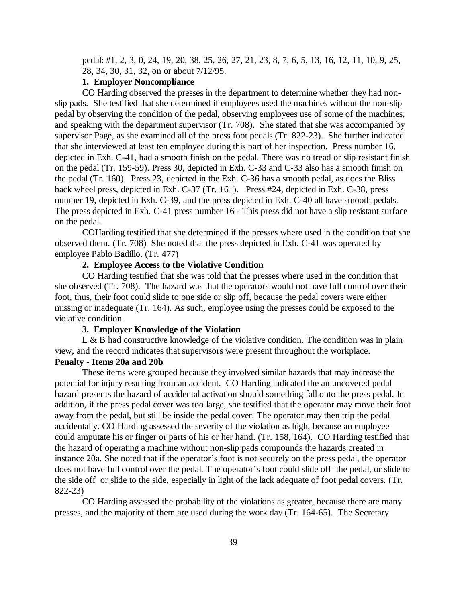pedal: #1, 2, 3, 0, 24, 19, 20, 38, 25, 26, 27, 21, 23, 8, 7, 6, 5, 13, 16, 12, 11, 10, 9, 25, 28, 34, 30, 31, 32, on or about 7/12/95.

## **1. Employer Noncompliance**

CO Harding observed the presses in the department to determine whether they had nonslip pads. She testified that she determined if employees used the machines without the non-slip pedal by observing the condition of the pedal, observing employees use of some of the machines, and speaking with the department supervisor (Tr. 708). She stated that she was accompanied by supervisor Page, as she examined all of the press foot pedals (Tr. 822-23). She further indicated that she interviewed at least ten employee during this part of her inspection. Press number 16, depicted in Exh. C-41, had a smooth finish on the pedal. There was no tread or slip resistant finish on the pedal (Tr. 159-59). Press 30, depicted in Exh. C-33 and C-33 also has a smooth finish on the pedal (Tr. 160). Press 23, depicted in the Exh. C-36 has a smooth pedal, as does the Bliss back wheel press, depicted in Exh. C-37 (Tr. 161). Press #24, depicted in Exh. C-38, press number 19, depicted in Exh. C-39, and the press depicted in Exh. C-40 all have smooth pedals. The press depicted in Exh. C-41 press number 16 - This press did not have a slip resistant surface on the pedal.

COHarding testified that she determined if the presses where used in the condition that she observed them. (Tr. 708) She noted that the press depicted in Exh. C-41 was operated by employee Pablo Badillo. (Tr. 477)

# **2. Employee Access to the Violative Condition**

CO Harding testified that she was told that the presses where used in the condition that she observed (Tr. 708). The hazard was that the operators would not have full control over their foot, thus, their foot could slide to one side or slip off, because the pedal covers were either missing or inadequate (Tr. 164). As such, employee using the presses could be exposed to the violative condition.

#### **3. Employer Knowledge of the Violation**

L & B had constructive knowledge of the violative condition. The condition was in plain view, and the record indicates that supervisors were present throughout the workplace.

# **Penalty - Items 20a and 20b**

These items were grouped because they involved similar hazards that may increase the potential for injury resulting from an accident. CO Harding indicated the an uncovered pedal hazard presents the hazard of accidental activation should something fall onto the press pedal. In addition, if the press pedal cover was too large, she testified that the operator may move their foot away from the pedal, but still be inside the pedal cover. The operator may then trip the pedal accidentally. CO Harding assessed the severity of the violation as high, because an employee could amputate his or finger or parts of his or her hand. (Tr. 158, 164). CO Harding testified that the hazard of operating a machine without non-slip pads compounds the hazards created in instance 20a. She noted that if the operator's foot is not securely on the press pedal, the operator does not have full control over the pedal. The operator's foot could slide off the pedal, or slide to the side off or slide to the side, especially in light of the lack adequate of foot pedal covers. (Tr. 822-23)

CO Harding assessed the probability of the violations as greater, because there are many presses, and the majority of them are used during the work day (Tr. 164-65). The Secretary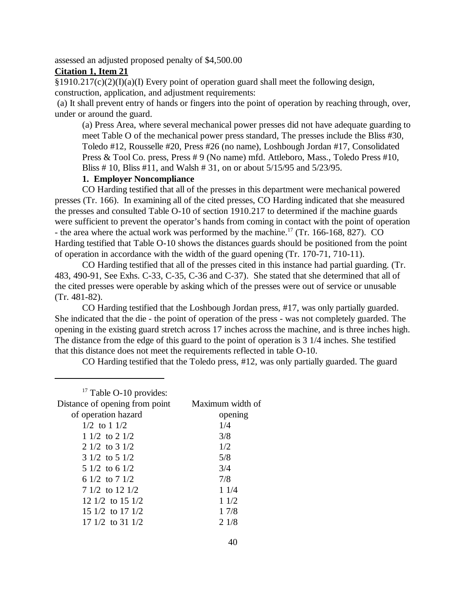assessed an adjusted proposed penalty of \$4,500.00

# **Citation 1, Item 21**

 $§1910.217(c)(2)(I)(a)(I)$  Every point of operation guard shall meet the following design, construction, application, and adjustment requirements:

 (a) It shall prevent entry of hands or fingers into the point of operation by reaching through, over, under or around the guard.

(a) Press Area, where several mechanical power presses did not have adequate guarding to meet Table O of the mechanical power press standard, The presses include the Bliss #30, Toledo #12, Rousselle #20, Press #26 (no name), Loshbough Jordan #17, Consolidated Press & Tool Co. press, Press # 9 (No name) mfd. Attleboro, Mass., Toledo Press #10, Bliss # 10, Bliss #11, and Walsh # 31, on or about 5/15/95 and 5/23/95.

# **1. Employer Noncompliance**

CO Harding testified that all of the presses in this department were mechanical powered presses (Tr. 166). In examining all of the cited presses, CO Harding indicated that she measured the presses and consulted Table O-10 of section 1910.217 to determined if the machine guards were sufficient to prevent the operator's hands from coming in contact with the point of operation - the area where the actual work was performed by the machine.<sup>17</sup> (Tr. 166-168, 827). CO Harding testified that Table O-10 shows the distances guards should be positioned from the point of operation in accordance with the width of the guard opening (Tr. 170-71, 710-11).

CO Harding testified that all of the presses cited in this instance had partial guarding. (Tr. 483, 490-91, See Exhs. C-33, C-35, C-36 and C-37). She stated that she determined that all of the cited presses were operable by asking which of the presses were out of service or unusable (Tr. 481-82).

CO Harding testified that the Loshbough Jordan press, #17, was only partially guarded. She indicated that the die - the point of operation of the press - was not completely guarded. The opening in the existing guard stretch across 17 inches across the machine, and is three inches high. The distance from the edge of this guard to the point of operation is 3 1/4 inches. She testified that this distance does not meet the requirements reflected in table O-10.

CO Harding testified that the Toledo press, #12, was only partially guarded. The guard

| <sup>17</sup> Table O-10 provides: |                  |
|------------------------------------|------------------|
| Distance of opening from point     | Maximum width of |
| of operation hazard                | opening          |
| $1/2$ to $11/2$                    | 1/4              |
| $11/2$ to $21/2$                   | 3/8              |
| $2 \frac{1}{2}$ to $3 \frac{1}{2}$ | 1/2              |
| $3 \frac{1}{2}$ to $5 \frac{1}{2}$ | 5/8              |
| $5\frac{1}{2}$ to 6 $\frac{1}{2}$  | 3/4              |
| 6 1/2 to 7 1/2                     | 7/8              |
| $71/2$ to 12 1/2                   | 11/4             |
| 12 $1/2$ to 15 $1/2$               | 11/2             |
| 15 $1/2$ to 17 $1/2$               | 17/8             |
| 17 $1/2$ to 31 $1/2$               | 21/8             |
|                                    |                  |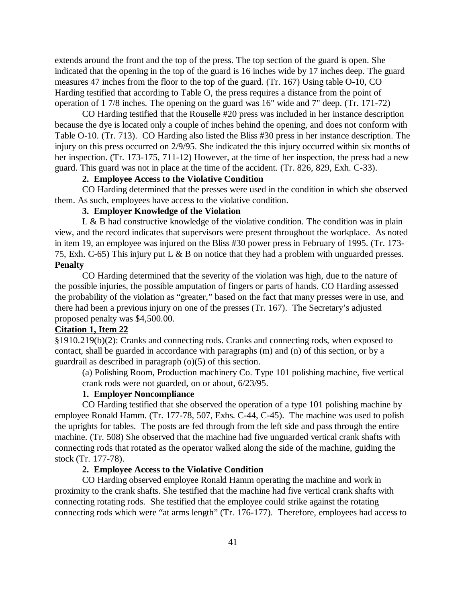extends around the front and the top of the press. The top section of the guard is open. She indicated that the opening in the top of the guard is 16 inches wide by 17 inches deep. The guard measures 47 inches from the floor to the top of the guard. (Tr. 167) Using table O-10, CO Harding testified that according to Table O, the press requires a distance from the point of operation of 1 7/8 inches. The opening on the guard was 16" wide and 7" deep. (Tr. 171-72)

CO Harding testified that the Rouselle #20 press was included in her instance description because the dye is located only a couple of inches behind the opening, and does not conform with Table O-10. (Tr. 713). CO Harding also listed the Bliss #30 press in her instance description. The injury on this press occurred on 2/9/95. She indicated the this injury occurred within six months of her inspection. (Tr. 173-175, 711-12) However, at the time of her inspection, the press had a new guard. This guard was not in place at the time of the accident. (Tr. 826, 829, Exh. C-33).

# **2. Employee Access to the Violative Condition**

CO Harding determined that the presses were used in the condition in which she observed them. As such, employees have access to the violative condition.

## **3. Employer Knowledge of the Violation**

L  $\&$  B had constructive knowledge of the violative condition. The condition was in plain view, and the record indicates that supervisors were present throughout the workplace. As noted in item 19, an employee was injured on the Bliss #30 power press in February of 1995. (Tr. 173- 75, Exh. C-65) This injury put L & B on notice that they had a problem with unguarded presses. **Penalty**

CO Harding determined that the severity of the violation was high, due to the nature of the possible injuries, the possible amputation of fingers or parts of hands. CO Harding assessed the probability of the violation as "greater," based on the fact that many presses were in use, and there had been a previous injury on one of the presses (Tr. 167). The Secretary's adjusted proposed penalty was \$4,500.00.

## **Citation 1, Item 22**

§1910.219(b)(2): Cranks and connecting rods. Cranks and connecting rods, when exposed to contact, shall be guarded in accordance with paragraphs (m) and (n) of this section, or by a guardrail as described in paragraph (o)(5) of this section.

(a) Polishing Room, Production machinery Co. Type 101 polishing machine, five vertical crank rods were not guarded, on or about, 6/23/95.

# **1. Employer Noncompliance**

CO Harding testified that she observed the operation of a type 101 polishing machine by employee Ronald Hamm. (Tr. 177-78, 507, Exhs. C-44, C-45). The machine was used to polish the uprights for tables. The posts are fed through from the left side and pass through the entire machine. (Tr. 508) She observed that the machine had five unguarded vertical crank shafts with connecting rods that rotated as the operator walked along the side of the machine, guiding the stock (Tr. 177-78).

## **2. Employee Access to the Violative Condition**

CO Harding observed employee Ronald Hamm operating the machine and work in proximity to the crank shafts. She testified that the machine had five vertical crank shafts with connecting rotating rods. She testified that the employee could strike against the rotating connecting rods which were "at arms length" (Tr. 176-177). Therefore, employees had access to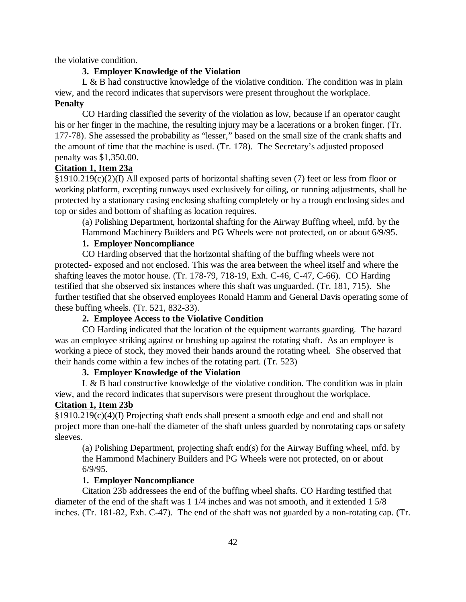the violative condition.

## **3. Employer Knowledge of the Violation**

L & B had constructive knowledge of the violative condition. The condition was in plain view, and the record indicates that supervisors were present throughout the workplace. **Penalty**

CO Harding classified the severity of the violation as low, because if an operator caught his or her finger in the machine, the resulting injury may be a lacerations or a broken finger. (Tr. 177-78). She assessed the probability as "lesser," based on the small size of the crank shafts and the amount of time that the machine is used. (Tr. 178). The Secretary's adjusted proposed penalty was \$1,350.00.

## **Citation 1, Item 23a**

§1910.219(c)(2)(I) All exposed parts of horizontal shafting seven (7) feet or less from floor or working platform, excepting runways used exclusively for oiling, or running adjustments, shall be protected by a stationary casing enclosing shafting completely or by a trough enclosing sides and top or sides and bottom of shafting as location requires.

(a) Polishing Department, horizontal shafting for the Airway Buffing wheel, mfd. by the Hammond Machinery Builders and PG Wheels were not protected, on or about 6/9/95.

# **1. Employer Noncompliance**

CO Harding observed that the horizontal shafting of the buffing wheels were not protected- exposed and not enclosed. This was the area between the wheel itself and where the shafting leaves the motor house. (Tr. 178-79, 718-19, Exh. C-46, C-47, C-66). CO Harding testified that she observed six instances where this shaft was unguarded. (Tr. 181, 715). She further testified that she observed employees Ronald Hamm and General Davis operating some of these buffing wheels. (Tr. 521, 832-33).

# **2. Employee Access to the Violative Condition**

CO Harding indicated that the location of the equipment warrants guarding. The hazard was an employee striking against or brushing up against the rotating shaft. As an employee is working a piece of stock, they moved their hands around the rotating wheel. She observed that their hands come within a few inches of the rotating part. (Tr. 523)

# **3. Employer Knowledge of the Violation**

 $L \& B$  had constructive knowledge of the violative condition. The condition was in plain view, and the record indicates that supervisors were present throughout the workplace.

## **Citation 1, Item 23b**

§1910.219(c)(4)(I) Projecting shaft ends shall present a smooth edge and end and shall not project more than one-half the diameter of the shaft unless guarded by nonrotating caps or safety sleeves.

(a) Polishing Department, projecting shaft end(s) for the Airway Buffing wheel, mfd. by the Hammond Machinery Builders and PG Wheels were not protected, on or about 6/9/95.

## **1. Employer Noncompliance**

Citation 23b addressees the end of the buffing wheel shafts. CO Harding testified that diameter of the end of the shaft was 1 1/4 inches and was not smooth, and it extended 1 5/8 inches. (Tr. 181-82, Exh. C-47). The end of the shaft was not guarded by a non-rotating cap. (Tr.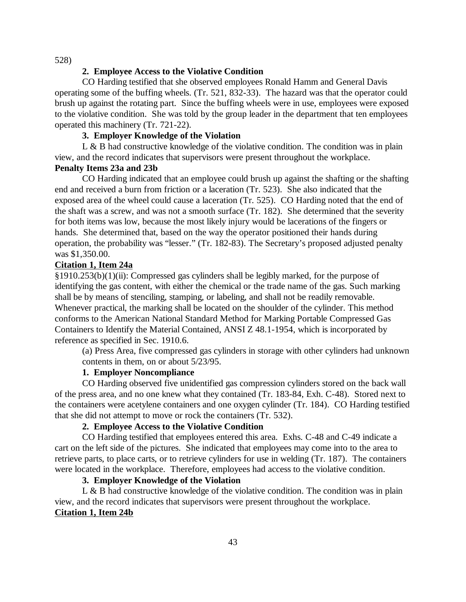528)

## **2. Employee Access to the Violative Condition**

CO Harding testified that she observed employees Ronald Hamm and General Davis operating some of the buffing wheels. (Tr. 521, 832-33). The hazard was that the operator could brush up against the rotating part. Since the buffing wheels were in use, employees were exposed to the violative condition. She was told by the group leader in the department that ten employees operated this machinery (Tr. 721-22).

# **3. Employer Knowledge of the Violation**

L  $\&$  B had constructive knowledge of the violative condition. The condition was in plain view, and the record indicates that supervisors were present throughout the workplace.

## **Penalty Items 23a and 23b**

CO Harding indicated that an employee could brush up against the shafting or the shafting end and received a burn from friction or a laceration (Tr. 523). She also indicated that the exposed area of the wheel could cause a laceration (Tr. 525). CO Harding noted that the end of the shaft was a screw, and was not a smooth surface (Tr. 182). She determined that the severity for both items was low, because the most likely injury would be lacerations of the fingers or hands. She determined that, based on the way the operator positioned their hands during operation, the probability was "lesser." (Tr. 182-83). The Secretary's proposed adjusted penalty was \$1,350.00.

# **Citation 1, Item 24a**

§1910.253(b)(1)(ii): Compressed gas cylinders shall be legibly marked, for the purpose of identifying the gas content, with either the chemical or the trade name of the gas. Such marking shall be by means of stenciling, stamping, or labeling, and shall not be readily removable. Whenever practical, the marking shall be located on the shoulder of the cylinder. This method conforms to the American National Standard Method for Marking Portable Compressed Gas Containers to Identify the Material Contained, ANSI Z 48.1-1954, which is incorporated by reference as specified in Sec. 1910.6.

(a) Press Area, five compressed gas cylinders in storage with other cylinders had unknown contents in them, on or about 5/23/95.

# **1. Employer Noncompliance**

CO Harding observed five unidentified gas compression cylinders stored on the back wall of the press area, and no one knew what they contained (Tr. 183-84, Exh. C-48). Stored next to the containers were acetylene containers and one oxygen cylinder (Tr. 184). CO Harding testified that she did not attempt to move or rock the containers (Tr. 532).

# **2. Employee Access to the Violative Condition**

CO Harding testified that employees entered this area. Exhs. C-48 and C-49 indicate a cart on the left side of the pictures. She indicated that employees may come into to the area to retrieve parts, to place carts, or to retrieve cylinders for use in welding (Tr. 187). The containers were located in the workplace. Therefore, employees had access to the violative condition.

## **3. Employer Knowledge of the Violation**

L & B had constructive knowledge of the violative condition. The condition was in plain view, and the record indicates that supervisors were present throughout the workplace. **Citation 1, Item 24b**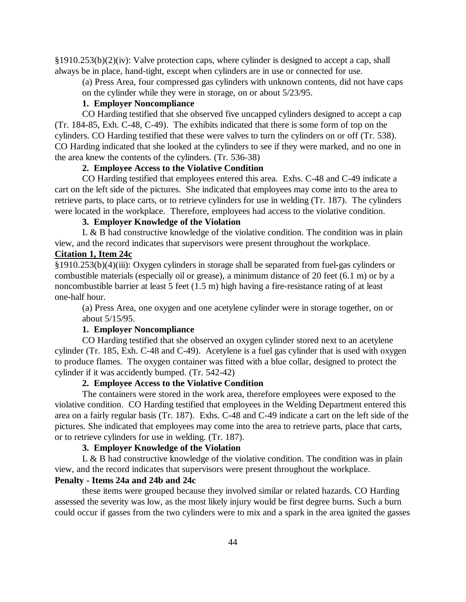§1910.253(b)(2)(iv): Valve protection caps, where cylinder is designed to accept a cap, shall always be in place, hand-tight, except when cylinders are in use or connected for use.

(a) Press Area, four compressed gas cylinders with unknown contents, did not have caps on the cylinder while they were in storage, on or about 5/23/95.

## **1. Employer Noncompliance**

CO Harding testified that she observed five uncapped cylinders designed to accept a cap (Tr. 184-85, Exh. C-48, C-49). The exhibits indicated that there is some form of top on the cylinders. CO Harding testified that these were valves to turn the cylinders on or off (Tr. 538). CO Harding indicated that she looked at the cylinders to see if they were marked, and no one in the area knew the contents of the cylinders. (Tr. 536-38)

## **2. Employee Access to the Violative Condition**

CO Harding testified that employees entered this area. Exhs. C-48 and C-49 indicate a cart on the left side of the pictures. She indicated that employees may come into to the area to retrieve parts, to place carts, or to retrieve cylinders for use in welding (Tr. 187). The cylinders were located in the workplace. Therefore, employees had access to the violative condition.

# **3. Employer Knowledge of the Violation**

L  $\&$  B had constructive knowledge of the violative condition. The condition was in plain view, and the record indicates that supervisors were present throughout the workplace.

# **Citation 1, Item 24c**

§1910.253(b)(4)(iii): Oxygen cylinders in storage shall be separated from fuel-gas cylinders or combustible materials (especially oil or grease), a minimum distance of 20 feet (6.1 m) or by a noncombustible barrier at least 5 feet (1.5 m) high having a fire-resistance rating of at least one-half hour.

(a) Press Area, one oxygen and one acetylene cylinder were in storage together, on or about 5/15/95.

## **1. Employer Noncompliance**

CO Harding testified that she observed an oxygen cylinder stored next to an acetylene cylinder (Tr. 185, Exh. C-48 and C-49). Acetylene is a fuel gas cylinder that is used with oxygen to produce flames. The oxygen container was fitted with a blue collar, designed to protect the cylinder if it was accidently bumped. (Tr. 542-42)

## **2. Employee Access to the Violative Condition**

The containers were stored in the work area, therefore employees were exposed to the violative condition. CO Harding testified that employees in the Welding Department entered this area on a fairly regular basis (Tr. 187). Exhs. C-48 and C-49 indicate a cart on the left side of the pictures. She indicated that employees may come into the area to retrieve parts, place that carts, or to retrieve cylinders for use in welding. (Tr. 187).

## **3. Employer Knowledge of the Violation**

L  $\&$  B had constructive knowledge of the violative condition. The condition was in plain view, and the record indicates that supervisors were present throughout the workplace.

## **Penalty - Items 24a and 24b and 24c**

these items were grouped because they involved similar or related hazards. CO Harding assessed the severity was low, as the most likely injury would be first degree burns. Such a burn could occur if gasses from the two cylinders were to mix and a spark in the area ignited the gasses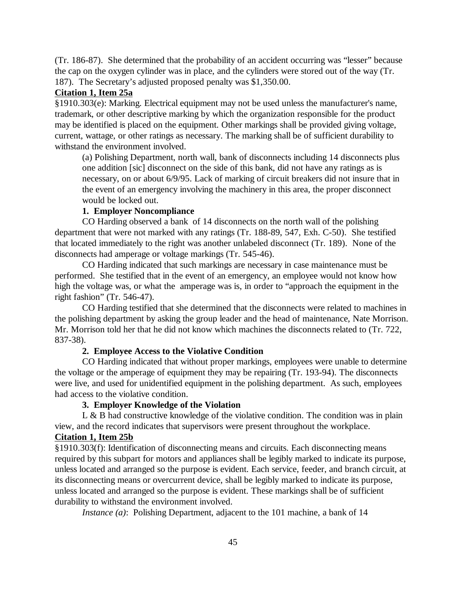(Tr. 186-87). She determined that the probability of an accident occurring was "lesser" because the cap on the oxygen cylinder was in place, and the cylinders were stored out of the way (Tr. 187). The Secretary's adjusted proposed penalty was \$1,350.00.

# **Citation 1, Item 25a**

§1910.303(e): Marking. Electrical equipment may not be used unless the manufacturer's name, trademark, or other descriptive marking by which the organization responsible for the product may be identified is placed on the equipment. Other markings shall be provided giving voltage, current, wattage, or other ratings as necessary. The marking shall be of sufficient durability to withstand the environment involved.

(a) Polishing Department, north wall, bank of disconnects including 14 disconnects plus one addition [sic] disconnect on the side of this bank, did not have any ratings as is necessary, on or about 6/9/95. Lack of marking of circuit breakers did not insure that in the event of an emergency involving the machinery in this area, the proper disconnect would be locked out.

#### **1. Employer Noncompliance**

CO Harding observed a bank of 14 disconnects on the north wall of the polishing department that were not marked with any ratings (Tr. 188-89, 547, Exh. C-50). She testified that located immediately to the right was another unlabeled disconnect (Tr. 189). None of the disconnects had amperage or voltage markings (Tr. 545-46).

CO Harding indicated that such markings are necessary in case maintenance must be performed. She testified that in the event of an emergency, an employee would not know how high the voltage was, or what the amperage was is, in order to "approach the equipment in the right fashion" (Tr. 546-47).

CO Harding testified that she determined that the disconnects were related to machines in the polishing department by asking the group leader and the head of maintenance, Nate Morrison. Mr. Morrison told her that he did not know which machines the disconnects related to (Tr. 722, 837-38).

## **2. Employee Access to the Violative Condition**

CO Harding indicated that without proper markings, employees were unable to determine the voltage or the amperage of equipment they may be repairing (Tr. 193-94). The disconnects were live, and used for unidentified equipment in the polishing department. As such, employees had access to the violative condition.

#### **3. Employer Knowledge of the Violation**

L & B had constructive knowledge of the violative condition. The condition was in plain view, and the record indicates that supervisors were present throughout the workplace.

# **Citation 1, Item 25b**

§1910.303(f): Identification of disconnecting means and circuits. Each disconnecting means required by this subpart for motors and appliances shall be legibly marked to indicate its purpose, unless located and arranged so the purpose is evident. Each service, feeder, and branch circuit, at its disconnecting means or overcurrent device, shall be legibly marked to indicate its purpose, unless located and arranged so the purpose is evident. These markings shall be of sufficient durability to withstand the environment involved.

*Instance (a)*: Polishing Department, adjacent to the 101 machine, a bank of 14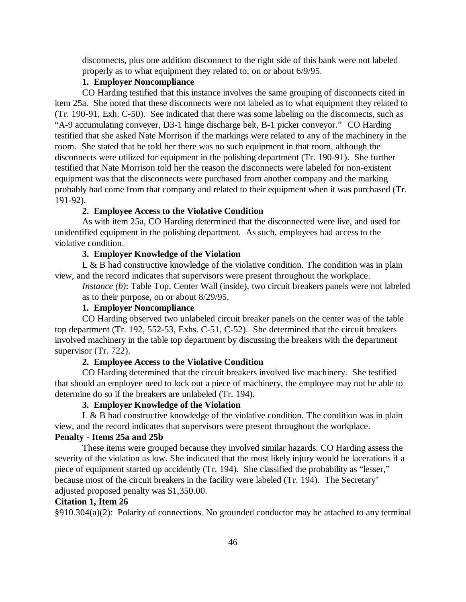disconnects, plus one addition disconnect to the right side of this bank were not labeled properly as to what equipment they related to, on or about 6/9/95.

# **1. Employer Noncompliance**

CO Harding testified that this instance involves the same grouping of disconnects cited in item 25a. She noted that these disconnects were not labeled as to what equipment they related to (Tr. 190-91, Exh. C-50). See indicated that there was some labeling on the disconnects, such as "A-9 accumulating conveyer, D3-1 hinge discharge belt, B-1 picker conveyor." CO Harding testified that she asked Nate Morrison if the markings were related to any of the machinery in the room. She stated that he told her there was no such equipment in that room, although the disconnects were utilized for equipment in the polishing department (Tr. 190-91). She further testified that Nate Morrison told her the reason the disconnects were labeled for non-existent equipment was that the disconnects were purchased from another company and the marking probably had come from that company and related to their equipment when it was purchased (Tr. 191-92).

## **2. Employee Access to the Violative Condition**

As with item 25a, CO Harding determined that the disconnected were live, and used for unidentified equipment in the polishing department. As such, employees had access to the violative condition.

### **3. Employer Knowledge of the Violation**

L & B had constructive knowledge of the violative condition. The condition was in plain view, and the record indicates that supervisors were present throughout the workplace.

*Instance (b)*: Table Top, Center Wall (inside), two circuit breakers panels were not labeled as to their purpose, on or about 8/29/95.

## **1. Employer Noncompliance**

CO Harding observed two unlabeled circuit breaker panels on the center was of the table top department (Tr. 192, 552-53, Exhs. C-51, C-52). She determined that the circuit breakers involved machinery in the table top department by discussing the breakers with the department supervisor (Tr. 722).

## **2. Employee Access to the Violative Condition**

CO Harding determined that the circuit breakers involved live machinery. She testified that should an employee need to lock out a piece of machinery, the employee may not be able to determine do so if the breakers are unlabeled (Tr. 194).

#### **3. Employer Knowledge of the Violation**

L & B had constructive knowledge of the violative condition. The condition was in plain view, and the record indicates that supervisors were present throughout the workplace.

# **Penalty - Items 25a and 25b**

These items were grouped because they involved similar hazards. CO Harding assess the severity of the violation as low. She indicated that the most likely injury would be lacerations if a piece of equipment started up accidently (Tr. 194). She classified the probability as "lesser," because most of the circuit breakers in the facility were labeled (Tr. 194). The Secretary' adjusted proposed penalty was \$1,350.00.

# **Citation 1, Item 26**

§910.304(a)(2): Polarity of connections. No grounded conductor may be attached to any terminal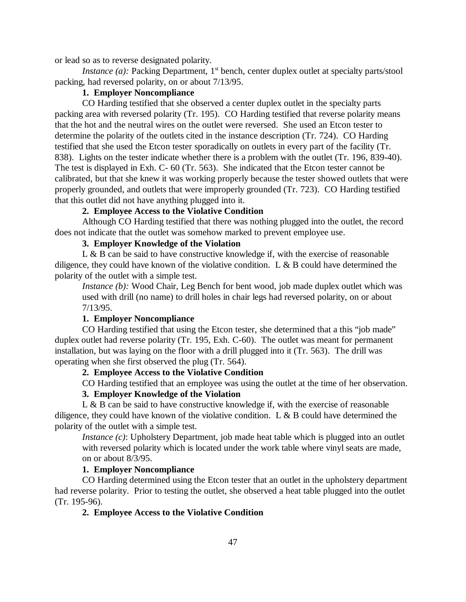or lead so as to reverse designated polarity.

*Instance (a):* Packing Department, 1<sup>st</sup> bench, center duplex outlet at specialty parts/stool packing, had reversed polarity, on or about 7/13/95.

# **1. Employer Noncompliance**

CO Harding testified that she observed a center duplex outlet in the specialty parts packing area with reversed polarity (Tr. 195). CO Harding testified that reverse polarity means that the hot and the neutral wires on the outlet were reversed. She used an Etcon tester to determine the polarity of the outlets cited in the instance description (Tr. 724). CO Harding testified that she used the Etcon tester sporadically on outlets in every part of the facility (Tr. 838). Lights on the tester indicate whether there is a problem with the outlet (Tr. 196, 839-40). The test is displayed in Exh. C- 60 (Tr. 563). She indicated that the Etcon tester cannot be calibrated, but that she knew it was working properly because the tester showed outlets that were properly grounded, and outlets that were improperly grounded (Tr. 723). CO Harding testified that this outlet did not have anything plugged into it.

# **2. Employee Access to the Violative Condition**

Although CO Harding testified that there was nothing plugged into the outlet, the record does not indicate that the outlet was somehow marked to prevent employee use.

# **3. Employer Knowledge of the Violation**

L & B can be said to have constructive knowledge if, with the exercise of reasonable diligence, they could have known of the violative condition. L & B could have determined the polarity of the outlet with a simple test.

*Instance (b):* Wood Chair, Leg Bench for bent wood, job made duplex outlet which was used with drill (no name) to drill holes in chair legs had reversed polarity, on or about 7/13/95.

## **1. Employer Noncompliance**

CO Harding testified that using the Etcon tester, she determined that a this "job made" duplex outlet had reverse polarity (Tr. 195, Exh. C-60). The outlet was meant for permanent installation, but was laying on the floor with a drill plugged into it (Tr. 563). The drill was operating when she first observed the plug (Tr. 564).

# **2. Employee Access to the Violative Condition**

CO Harding testified that an employee was using the outlet at the time of her observation.

## **3. Employer Knowledge of the Violation**

 $L \& B$  can be said to have constructive knowledge if, with the exercise of reasonable diligence, they could have known of the violative condition. L & B could have determined the polarity of the outlet with a simple test.

*Instance (c)*: Upholstery Department, job made heat table which is plugged into an outlet with reversed polarity which is located under the work table where vinyl seats are made, on or about 8/3/95.

# **1. Employer Noncompliance**

CO Harding determined using the Etcon tester that an outlet in the upholstery department had reverse polarity. Prior to testing the outlet, she observed a heat table plugged into the outlet (Tr. 195-96).

## **2. Employee Access to the Violative Condition**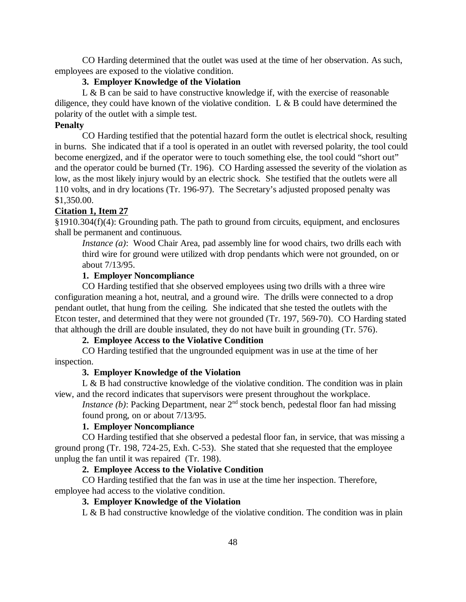CO Harding determined that the outlet was used at the time of her observation. As such, employees are exposed to the violative condition.

## **3. Employer Knowledge of the Violation**

 $L \& B$  can be said to have constructive knowledge if, with the exercise of reasonable diligence, they could have known of the violative condition. L & B could have determined the polarity of the outlet with a simple test.

## **Penalty**

CO Harding testified that the potential hazard form the outlet is electrical shock, resulting in burns. She indicated that if a tool is operated in an outlet with reversed polarity, the tool could become energized, and if the operator were to touch something else, the tool could "short out" and the operator could be burned (Tr. 196). CO Harding assessed the severity of the violation as low, as the most likely injury would by an electric shock. She testified that the outlets were all 110 volts, and in dry locations (Tr. 196-97). The Secretary's adjusted proposed penalty was \$1,350.00.

#### **Citation 1, Item 27**

§1910.304(f)(4): Grounding path. The path to ground from circuits, equipment, and enclosures shall be permanent and continuous.

*Instance (a)*: Wood Chair Area, pad assembly line for wood chairs, two drills each with third wire for ground were utilized with drop pendants which were not grounded, on or about 7/13/95.

# **1. Employer Noncompliance**

CO Harding testified that she observed employees using two drills with a three wire configuration meaning a hot, neutral, and a ground wire. The drills were connected to a drop pendant outlet, that hung from the ceiling. She indicated that she tested the outlets with the Etcon tester, and determined that they were not grounded (Tr. 197, 569-70). CO Harding stated that although the drill are double insulated, they do not have built in grounding (Tr. 576).

# **2. Employee Access to the Violative Condition**

CO Harding testified that the ungrounded equipment was in use at the time of her inspection.

# **3. Employer Knowledge of the Violation**

L  $\&$  B had constructive knowledge of the violative condition. The condition was in plain view, and the record indicates that supervisors were present throughout the workplace.

*Instance (b)*: Packing Department, near 2<sup>nd</sup> stock bench, pedestal floor fan had missing found prong, on or about 7/13/95.

## **1. Employer Noncompliance**

CO Harding testified that she observed a pedestal floor fan, in service, that was missing a ground prong (Tr. 198, 724-25, Exh. C-53). She stated that she requested that the employee unplug the fan until it was repaired (Tr. 198).

# **2. Employee Access to the Violative Condition**

CO Harding testified that the fan was in use at the time her inspection. Therefore, employee had access to the violative condition.

# **3. Employer Knowledge of the Violation**

L  $\&$  B had constructive knowledge of the violative condition. The condition was in plain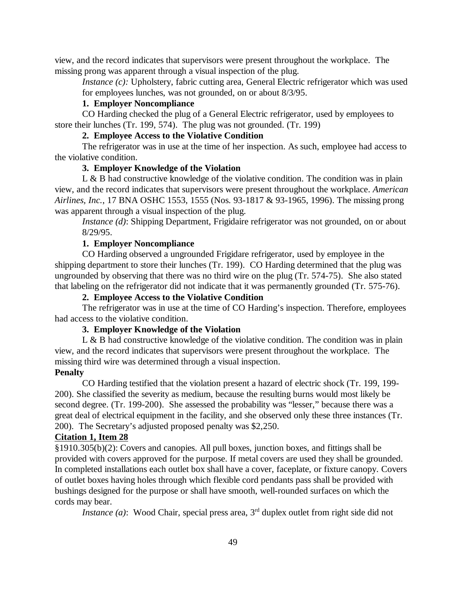view, and the record indicates that supervisors were present throughout the workplace. The missing prong was apparent through a visual inspection of the plug.

*Instance (c):* Upholstery, fabric cutting area, General Electric refrigerator which was used for employees lunches, was not grounded, on or about 8/3/95.

#### **1. Employer Noncompliance**

CO Harding checked the plug of a General Electric refrigerator, used by employees to store their lunches (Tr. 199, 574). The plug was not grounded. (Tr. 199)

# **2. Employee Access to the Violative Condition**

The refrigerator was in use at the time of her inspection. As such, employee had access to the violative condition.

## **3. Employer Knowledge of the Violation**

L & B had constructive knowledge of the violative condition. The condition was in plain view, and the record indicates that supervisors were present throughout the workplace. *American Airlines, Inc.*, 17 BNA OSHC 1553, 1555 (Nos. 93-1817 & 93-1965, 1996). The missing prong was apparent through a visual inspection of the plug.

*Instance (d)*: Shipping Department, Frigidaire refrigerator was not grounded, on or about 8/29/95.

## **1. Employer Noncompliance**

CO Harding observed a ungrounded Frigidare refrigerator, used by employee in the shipping department to store their lunches (Tr. 199). CO Harding determined that the plug was ungrounded by observing that there was no third wire on the plug (Tr. 574-75). She also stated that labeling on the refrigerator did not indicate that it was permanently grounded (Tr. 575-76).

# **2. Employee Access to the Violative Condition**

The refrigerator was in use at the time of CO Harding's inspection. Therefore, employees had access to the violative condition.

## **3. Employer Knowledge of the Violation**

L & B had constructive knowledge of the violative condition. The condition was in plain view, and the record indicates that supervisors were present throughout the workplace. The missing third wire was determined through a visual inspection.

# **Penalty**

CO Harding testified that the violation present a hazard of electric shock (Tr. 199, 199- 200). She classified the severity as medium, because the resulting burns would most likely be second degree. (Tr. 199-200). She assessed the probability was "lesser," because there was a great deal of electrical equipment in the facility, and she observed only these three instances (Tr. 200). The Secretary's adjusted proposed penalty was \$2,250.

# **Citation 1, Item 28**

§1910.305(b)(2): Covers and canopies. All pull boxes, junction boxes, and fittings shall be provided with covers approved for the purpose. If metal covers are used they shall be grounded. In completed installations each outlet box shall have a cover, faceplate, or fixture canopy. Covers of outlet boxes having holes through which flexible cord pendants pass shall be provided with bushings designed for the purpose or shall have smooth, well-rounded surfaces on which the cords may bear.

*Instance (a)*: Wood Chair, special press area, 3<sup>rd</sup> duplex outlet from right side did not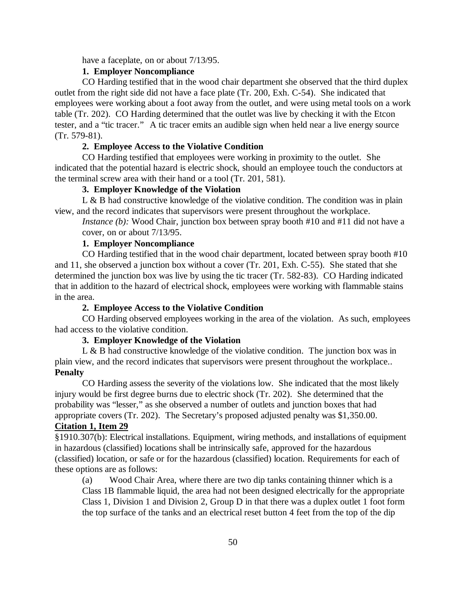have a faceplate, on or about 7/13/95.

# **1. Employer Noncompliance**

CO Harding testified that in the wood chair department she observed that the third duplex outlet from the right side did not have a face plate (Tr. 200, Exh. C-54). She indicated that employees were working about a foot away from the outlet, and were using metal tools on a work table (Tr. 202). CO Harding determined that the outlet was live by checking it with the Etcon tester, and a "tic tracer." A tic tracer emits an audible sign when held near a live energy source (Tr. 579-81).

## **2. Employee Access to the Violative Condition**

CO Harding testified that employees were working in proximity to the outlet. She indicated that the potential hazard is electric shock, should an employee touch the conductors at the terminal screw area with their hand or a tool (Tr. 201, 581).

# **3. Employer Knowledge of the Violation**

L & B had constructive knowledge of the violative condition. The condition was in plain view, and the record indicates that supervisors were present throughout the workplace.

*Instance (b)*: Wood Chair, junction box between spray booth #10 and #11 did not have a cover, on or about 7/13/95.

# **1. Employer Noncompliance**

CO Harding testified that in the wood chair department, located between spray booth #10 and 11, she observed a junction box without a cover (Tr. 201, Exh. C-55). She stated that she determined the junction box was live by using the tic tracer (Tr. 582-83). CO Harding indicated that in addition to the hazard of electrical shock, employees were working with flammable stains in the area.

## **2. Employee Access to the Violative Condition**

CO Harding observed employees working in the area of the violation. As such, employees had access to the violative condition.

# **3. Employer Knowledge of the Violation**

L & B had constructive knowledge of the violative condition. The junction box was in plain view, and the record indicates that supervisors were present throughout the workplace.. **Penalty**

CO Harding assess the severity of the violations low. She indicated that the most likely injury would be first degree burns due to electric shock (Tr. 202). She determined that the probability was "lesser," as she observed a number of outlets and junction boxes that had appropriate covers (Tr. 202). The Secretary's proposed adjusted penalty was \$1,350.00. **Citation 1, Item 29**

# §1910.307(b): Electrical installations. Equipment, wiring methods, and installations of equipment in hazardous (classified) locations shall be intrinsically safe, approved for the hazardous (classified) location, or safe or for the hazardous (classified) location. Requirements for each of these options are as follows:

(a) Wood Chair Area, where there are two dip tanks containing thinner which is a Class 1B flammable liquid, the area had not been designed electrically for the appropriate Class 1, Division 1 and Division 2, Group D in that there was a duplex outlet 1 foot form the top surface of the tanks and an electrical reset button 4 feet from the top of the dip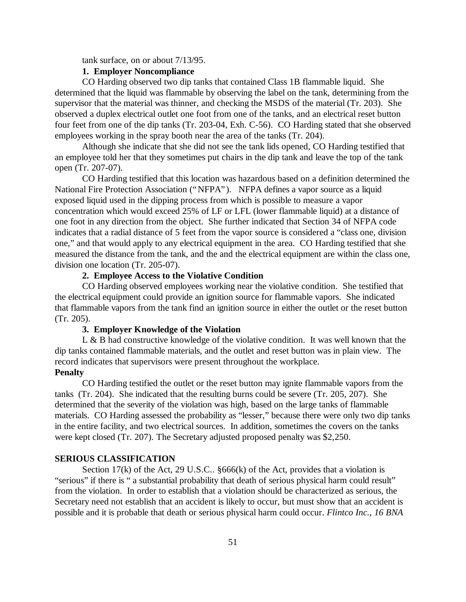tank surface, on or about 7/13/95.

# **1. Employer Noncompliance**

CO Harding observed two dip tanks that contained Class 1B flammable liquid. She determined that the liquid was flammable by observing the label on the tank, determining from the supervisor that the material was thinner, and checking the MSDS of the material (Tr. 203). She observed a duplex electrical outlet one foot from one of the tanks, and an electrical reset button four feet from one of the dip tanks (Tr. 203-04, Exh. C-56). CO Harding stated that she observed employees working in the spray booth near the area of the tanks (Tr. 204).

Although she indicate that she did not see the tank lids opened, CO Harding testified that an employee told her that they sometimes put chairs in the dip tank and leave the top of the tank open (Tr. 207-07).

CO Harding testified that this location was hazardous based on a definition determined the National Fire Protection Association ("NFPA"). NFPA defines a vapor source as a liquid exposed liquid used in the dipping process from which is possible to measure a vapor concentration which would exceed 25% of LF or LFL (lower flammable liquid) at a distance of one foot in any direction from the object. She further indicated that Section 34 of NFPA code indicates that a radial distance of 5 feet from the vapor source is considered a "class one, division one," and that would apply to any electrical equipment in the area. CO Harding testified that she measured the distance from the tank, and the and the electrical equipment are within the class one, division one location (Tr. 205-07).

# **2. Employee Access to the Violative Condition**

CO Harding observed employees working near the violative condition. She testified that the electrical equipment could provide an ignition source for flammable vapors. She indicated that flammable vapors from the tank find an ignition source in either the outlet or the reset button (Tr. 205).

#### **3. Employer Knowledge of the Violation**

L & B had constructive knowledge of the violative condition. It was well known that the dip tanks contained flammable materials, and the outlet and reset button was in plain view. The record indicates that supervisors were present throughout the workplace.

# **Penalty**

CO Harding testified the outlet or the reset button may ignite flammable vapors from the tanks (Tr. 204). She indicated that the resulting burns could be severe (Tr. 205, 207). She determined that the severity of the violation was high, based on the large tanks of flammable materials. CO Harding assessed the probability as "lesser," because there were only two dip tanks in the entire facility, and two electrical sources. In addition, sometimes the covers on the tanks were kept closed (Tr. 207). The Secretary adjusted proposed penalty was \$2,250.

#### **SERIOUS CLASSIFICATION**

Section 17(k) of the Act, 29 U.S.C.. §666(k) of the Act, provides that a violation is "serious" if there is " a substantial probability that death of serious physical harm could result" from the violation. In order to establish that a violation should be characterized as serious, the Secretary need not establish that an accident is likely to occur, but must show that an accident is possible and it is probable that death or serious physical harm could occur. *Flintco Inc., 16 BNA*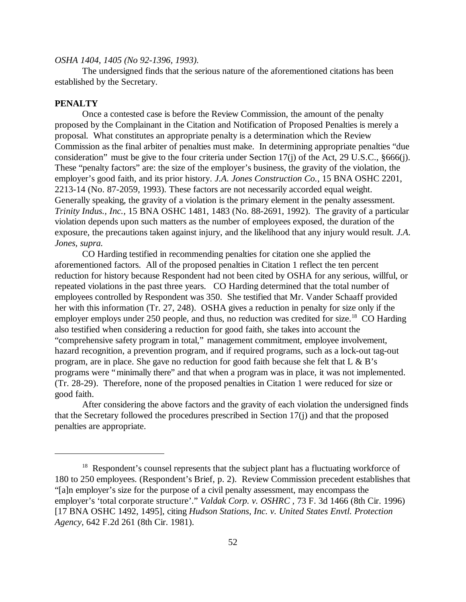#### *OSHA 1404, 1405 (No 92-1396, 1993).*

The undersigned finds that the serious nature of the aforementioned citations has been established by the Secretary.

#### **PENALTY**

Once a contested case is before the Review Commission, the amount of the penalty proposed by the Complainant in the Citation and Notification of Proposed Penalties is merely a proposal. What constitutes an appropriate penalty is a determination which the Review Commission as the final arbiter of penalties must make.In determining appropriate penalties "due consideration" must be give to the four criteria under Section 17(j) of the Act, 29 U.S.C., §666(j). These "penalty factors" are: the size of the employer's business, the gravity of the violation, the employer's good faith, and its prior history. *J.A. Jones Construction Co.*, 15 BNA OSHC 2201, 2213-14 (No. 87-2059, 1993). These factors are not necessarily accorded equal weight. Generally speaking, the gravity of a violation is the primary element in the penalty assessment. *Trinity Indus., Inc.,* 15 BNA OSHC 1481, 1483 (No. 88-2691, 1992). The gravity of a particular violation depends upon such matters as the number of employees exposed, the duration of the exposure, the precautions taken against injury, and the likelihood that any injury would result. *J.A. Jones, supra.*

CO Harding testified in recommending penalties for citation one she applied the aforementioned factors. All of the proposed penalties in Citation 1 reflect the ten percent reduction for history because Respondent had not been cited by OSHA for any serious, willful, or repeated violations in the past three years. CO Harding determined that the total number of employees controlled by Respondent was 350. She testified that Mr. Vander Schaaff provided her with this information (Tr. 27, 248). OSHA gives a reduction in penalty for size only if the employer employs under 250 people, and thus, no reduction was credited for size.<sup>18</sup> CO Harding also testified when considering a reduction for good faith, she takes into account the "comprehensive safety program in total," management commitment, employee involvement, hazard recognition, a prevention program, and if required programs, such as a lock-out tag-out program, are in place. She gave no reduction for good faith because she felt that L & B's programs were "minimally there" and that when a program was in place, it was not implemented. (Tr. 28-29). Therefore, none of the proposed penalties in Citation 1 were reduced for size or good faith.

After considering the above factors and the gravity of each violation the undersigned finds that the Secretary followed the procedures prescribed in Section 17(j) and that the proposed penalties are appropriate.

<sup>&</sup>lt;sup>18</sup> Respondent's counsel represents that the subject plant has a fluctuating workforce of 180 to 250 employees. (Respondent's Brief, p. 2). Review Commission precedent establishes that "[a]n employer's size for the purpose of a civil penalty assessment, may encompass the employer's 'total corporate structure'." *Valdak Corp. v. OSHRC ,* 73 F. 3d 1466 (8th Cir. 1996) [17 BNA OSHC 1492, 1495], citing *Hudson Stations, Inc. v. United States Envtl. Protection Agency,* 642 F.2d 261 (8th Cir. 1981).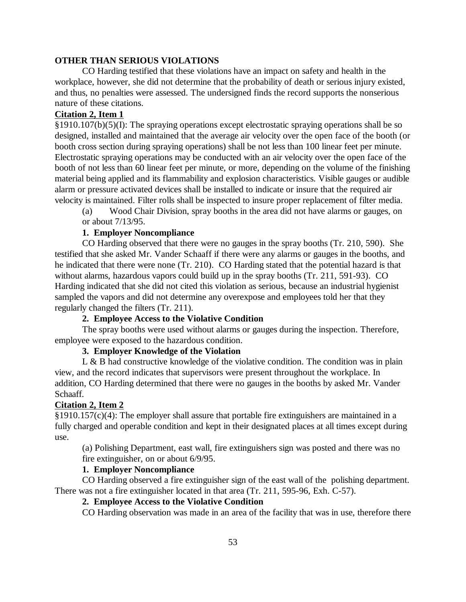## **OTHER THAN SERIOUS VIOLATIONS**

CO Harding testified that these violations have an impact on safety and health in the workplace, however, she did not determine that the probability of death or serious injury existed, and thus, no penalties were assessed. The undersigned finds the record supports the nonserious nature of these citations.

# **Citation 2, Item 1**

§1910.107(b)(5)(I): The spraying operations except electrostatic spraying operations shall be so designed, installed and maintained that the average air velocity over the open face of the booth (or booth cross section during spraying operations) shall be not less than 100 linear feet per minute. Electrostatic spraying operations may be conducted with an air velocity over the open face of the booth of not less than 60 linear feet per minute, or more, depending on the volume of the finishing material being applied and its flammability and explosion characteristics. Visible gauges or audible alarm or pressure activated devices shall be installed to indicate or insure that the required air velocity is maintained. Filter rolls shall be inspected to insure proper replacement of filter media.

(a) Wood Chair Division, spray booths in the area did not have alarms or gauges, on or about 7/13/95.

## **1. Employer Noncompliance**

CO Harding observed that there were no gauges in the spray booths (Tr. 210, 590). She testified that she asked Mr. Vander Schaaff if there were any alarms or gauges in the booths, and he indicated that there were none (Tr. 210). CO Harding stated that the potential hazard is that without alarms, hazardous vapors could build up in the spray booths (Tr. 211, 591-93). CO Harding indicated that she did not cited this violation as serious, because an industrial hygienist sampled the vapors and did not determine any overexpose and employees told her that they regularly changed the filters (Tr. 211).

# **2. Employee Access to the Violative Condition**

The spray booths were used without alarms or gauges during the inspection. Therefore, employee were exposed to the hazardous condition.

# **3. Employer Knowledge of the Violation**

L & B had constructive knowledge of the violative condition. The condition was in plain view, and the record indicates that supervisors were present throughout the workplace. In addition, CO Harding determined that there were no gauges in the booths by asked Mr. Vander Schaaff.

## **Citation 2, Item 2**

 $\S 1910.157(c)(4)$ : The employer shall assure that portable fire extinguishers are maintained in a fully charged and operable condition and kept in their designated places at all times except during use.

(a) Polishing Department, east wall, fire extinguishers sign was posted and there was no fire extinguisher, on or about 6/9/95.

# **1. Employer Noncompliance**

CO Harding observed a fire extinguisher sign of the east wall of the polishing department. There was not a fire extinguisher located in that area (Tr. 211, 595-96, Exh. C-57).

# **2. Employee Access to the Violative Condition**

CO Harding observation was made in an area of the facility that was in use, therefore there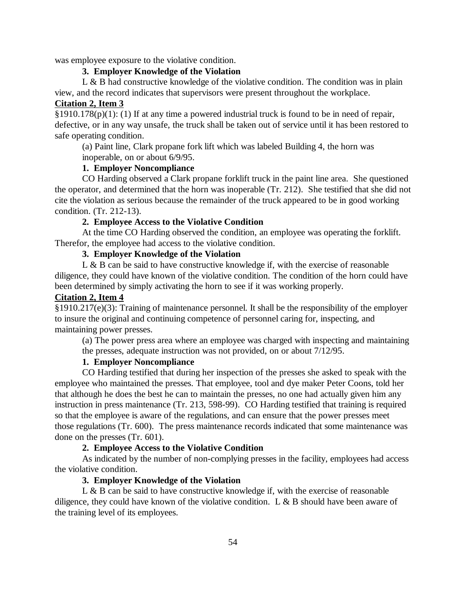was employee exposure to the violative condition.

# **3. Employer Knowledge of the Violation**

L & B had constructive knowledge of the violative condition. The condition was in plain view, and the record indicates that supervisors were present throughout the workplace.

## **Citation 2, Item 3**

 $\S1910.178(p)(1)$ : (1) If at any time a powered industrial truck is found to be in need of repair, defective, or in any way unsafe, the truck shall be taken out of service until it has been restored to safe operating condition.

(a) Paint line, Clark propane fork lift which was labeled Building 4, the horn was inoperable, on or about 6/9/95.

# **1. Employer Noncompliance**

CO Harding observed a Clark propane forklift truck in the paint line area. She questioned the operator, and determined that the horn was inoperable (Tr. 212). She testified that she did not cite the violation as serious because the remainder of the truck appeared to be in good working condition. (Tr. 212-13).

# **2. Employee Access to the Violative Condition**

At the time CO Harding observed the condition, an employee was operating the forklift. Therefor, the employee had access to the violative condition.

## **3. Employer Knowledge of the Violation**

L & B can be said to have constructive knowledge if, with the exercise of reasonable diligence, they could have known of the violative condition. The condition of the horn could have been determined by simply activating the horn to see if it was working properly.

# **Citation 2, Item 4**

§1910.217(e)(3): Training of maintenance personnel. It shall be the responsibility of the employer to insure the original and continuing competence of personnel caring for, inspecting, and maintaining power presses.

(a) The power press area where an employee was charged with inspecting and maintaining the presses, adequate instruction was not provided, on or about 7/12/95.

# **1. Employer Noncompliance**

CO Harding testified that during her inspection of the presses she asked to speak with the employee who maintained the presses. That employee, tool and dye maker Peter Coons, told her that although he does the best he can to maintain the presses, no one had actually given him any instruction in press maintenance (Tr. 213, 598-99). CO Harding testified that training is required so that the employee is aware of the regulations, and can ensure that the power presses meet those regulations (Tr. 600). The press maintenance records indicated that some maintenance was done on the presses (Tr. 601).

# **2. Employee Access to the Violative Condition**

As indicated by the number of non-complying presses in the facility, employees had access the violative condition.

# **3. Employer Knowledge of the Violation**

L & B can be said to have constructive knowledge if, with the exercise of reasonable diligence, they could have known of the violative condition. L & B should have been aware of the training level of its employees.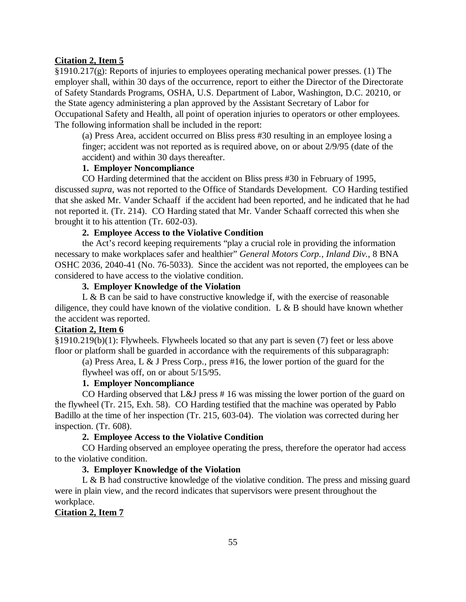#### **Citation 2, Item 5**

§1910.217(g): Reports of injuries to employees operating mechanical power presses. (1) The employer shall, within 30 days of the occurrence, report to either the Director of the Directorate of Safety Standards Programs, OSHA, U.S. Department of Labor, Washington, D.C. 20210, or the State agency administering a plan approved by the Assistant Secretary of Labor for Occupational Safety and Health, all point of operation injuries to operators or other employees. The following information shall be included in the report:

(a) Press Area, accident occurred on Bliss press #30 resulting in an employee losing a finger; accident was not reported as is required above, on or about 2/9/95 (date of the accident) and within 30 days thereafter.

# **1. Employer Noncompliance**

CO Harding determined that the accident on Bliss press #30 in February of 1995, discussed *supra*, was not reported to the Office of Standards Development. CO Harding testified that she asked Mr. Vander Schaaff if the accident had been reported, and he indicated that he had not reported it. (Tr. 214). CO Harding stated that Mr. Vander Schaaff corrected this when she brought it to his attention (Tr. 602-03).

# **2. Employee Access to the Violative Condition**

the Act's record keeping requirements "play a crucial role in providing the information necessary to make workplaces safer and healthier" *General Motors Corp., Inland Div.,* 8 BNA OSHC 2036, 2040-41 (No. 76-5033). Since the accident was not reported, the employees can be considered to have access to the violative condition.

### **3. Employer Knowledge of the Violation**

 $L \& B$  can be said to have constructive knowledge if, with the exercise of reasonable diligence, they could have known of the violative condition. L  $\&$  B should have known whether the accident was reported.

## **Citation 2, Item 6**

§1910.219(b)(1): Flywheels. Flywheels located so that any part is seven (7) feet or less above floor or platform shall be guarded in accordance with the requirements of this subparagraph:

(a) Press Area, L & J Press Corp., press #16, the lower portion of the guard for the flywheel was off, on or about 5/15/95.

## **1. Employer Noncompliance**

CO Harding observed that L&J press # 16 was missing the lower portion of the guard on the flywheel (Tr. 215, Exh. 58). CO Harding testified that the machine was operated by Pablo Badillo at the time of her inspection (Tr. 215, 603-04). The violation was corrected during her inspection. (Tr. 608).

### **2. Employee Access to the Violative Condition**

CO Harding observed an employee operating the press, therefore the operator had access to the violative condition.

#### **3. Employer Knowledge of the Violation**

L & B had constructive knowledge of the violative condition. The press and missing guard were in plain view, and the record indicates that supervisors were present throughout the workplace.

## **Citation 2, Item 7**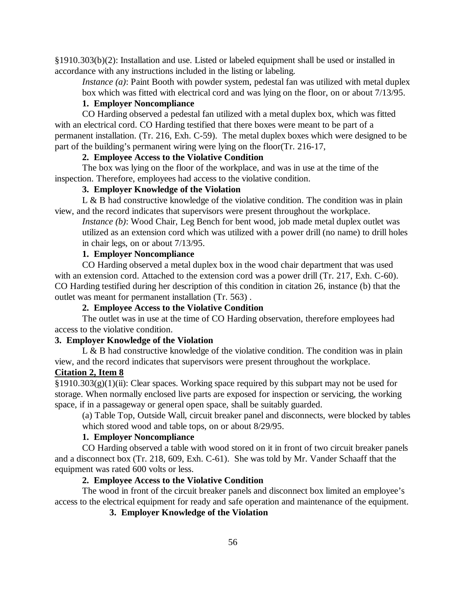§1910.303(b)(2): Installation and use. Listed or labeled equipment shall be used or installed in accordance with any instructions included in the listing or labeling.

*Instance (a)*: Paint Booth with powder system, pedestal fan was utilized with metal duplex box which was fitted with electrical cord and was lying on the floor, on or about 7/13/95.

# **1. Employer Noncompliance**

CO Harding observed a pedestal fan utilized with a metal duplex box, which was fitted with an electrical cord. CO Harding testified that there boxes were meant to be part of a permanent installation. (Tr. 216, Exh. C-59). The metal duplex boxes which were designed to be part of the building's permanent wiring were lying on the floor(Tr. 216-17,

## **2. Employee Access to the Violative Condition**

The box was lying on the floor of the workplace, and was in use at the time of the inspection. Therefore, employees had access to the violative condition.

# **3. Employer Knowledge of the Violation**

L & B had constructive knowledge of the violative condition. The condition was in plain view, and the record indicates that supervisors were present throughout the workplace.

*Instance (b)*: Wood Chair, Leg Bench for bent wood, job made metal duplex outlet was utilized as an extension cord which was utilized with a power drill (no name) to drill holes in chair legs, on or about 7/13/95.

## **1. Employer Noncompliance**

CO Harding observed a metal duplex box in the wood chair department that was used with an extension cord. Attached to the extension cord was a power drill (Tr. 217, Exh. C-60). CO Harding testified during her description of this condition in citation 26, instance (b) that the outlet was meant for permanent installation (Tr. 563) .

## **2. Employee Access to the Violative Condition**

The outlet was in use at the time of CO Harding observation, therefore employees had access to the violative condition.

## **3. Employer Knowledge of the Violation**

L  $\&$  B had constructive knowledge of the violative condition. The condition was in plain view, and the record indicates that supervisors were present throughout the workplace.

# **Citation 2, Item 8**

 $\S1910.303(g)(1)(ii)$ : Clear spaces. Working space required by this subpart may not be used for storage. When normally enclosed live parts are exposed for inspection or servicing, the working space, if in a passageway or general open space, shall be suitably guarded.

(a) Table Top, Outside Wall, circuit breaker panel and disconnects, were blocked by tables which stored wood and table tops, on or about 8/29/95.

# **1. Employer Noncompliance**

CO Harding observed a table with wood stored on it in front of two circuit breaker panels and a disconnect box (Tr. 218, 609, Exh. C-61). She was told by Mr. Vander Schaaff that the equipment was rated 600 volts or less.

## **2. Employee Access to the Violative Condition**

The wood in front of the circuit breaker panels and disconnect box limited an employee's access to the electrical equipment for ready and safe operation and maintenance of the equipment.

**3. Employer Knowledge of the Violation**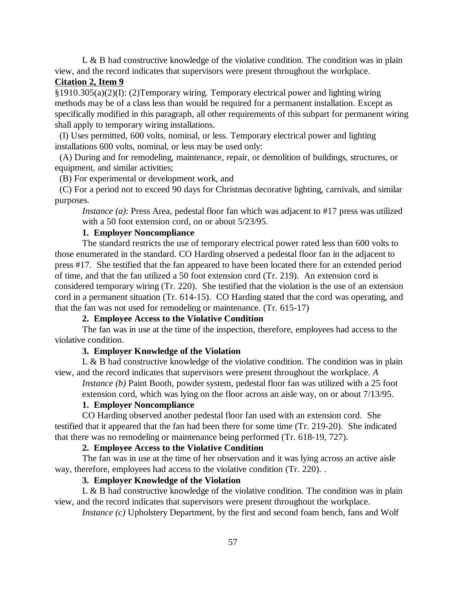$L \& B$  had constructive knowledge of the violative condition. The condition was in plain view, and the record indicates that supervisors were present throughout the workplace.

## **Citation 2, Item 9**

§1910.305(a)(2)(I): (2)Temporary wiring. Temporary electrical power and lighting wiring methods may be of a class less than would be required for a permanent installation. Except as specifically modified in this paragraph, all other requirements of this subpart for permanent wiring shall apply to temporary wiring installations.

 (I) Uses permitted, 600 volts, nominal, or less. Temporary electrical power and lighting installations 600 volts, nominal, or less may be used only:

 (A) During and for remodeling, maintenance, repair, or demolition of buildings, structures, or equipment, and similar activities;

(B) For experimental or development work, and

 (C) For a period not to exceed 90 days for Christmas decorative lighting, carnivals, and similar purposes.

*Instance (a)*: Press Area, pedestal floor fan which was adjacent to #17 press was utilized with a 50 foot extension cord, on or about 5/23/95.

## **1. Employer Noncompliance**

The standard restricts the use of temporary electrical power rated less than 600 volts to those enumerated in the standard. CO Harding observed a pedestal floor fan in the adjacent to press #17. She testified that the fan appeared to have been located there for an extended period of time, and that the fan utilized a 50 foot extension cord (Tr. 219). An extension cord is considered temporary wiring (Tr. 220). She testified that the violation is the use of an extension cord in a permanent situation (Tr. 614-15). CO Harding stated that the cord was operating, and that the fan was not used for remodeling or maintenance. (Tr. 615-17)

# **2. Employee Access to the Violative Condition**

The fan was in use at the time of the inspection, therefore, employees had access to the violative condition.

#### **3. Employer Knowledge of the Violation**

 $L \& B$  had constructive knowledge of the violative condition. The condition was in plain view, and the record indicates that supervisors were present throughout the workplace. *A*

*Instance (b)* Paint Booth, powder system, pedestal floor fan was utilized with a 25 foot extension cord, which was lying on the floor across an aisle way, on or about 7/13/95.

#### **1. Employer Noncompliance**

CO Harding observed another pedestal floor fan used with an extension cord. She testified that it appeared that the fan had been there for some time (Tr. 219-20). She indicated that there was no remodeling or maintenance being performed (Tr. 618-19, 727).

## **2. Employee Access to the Violative Condition**

The fan was in use at the time of her observation and it was lying across an active aisle way, therefore, employees had access to the violative condition (Tr. 220).

#### **3. Employer Knowledge of the Violation**

L & B had constructive knowledge of the violative condition. The condition was in plain view, and the record indicates that supervisors were present throughout the workplace.

*Instance (c)* Upholstery Department, by the first and second foam bench, fans and Wolf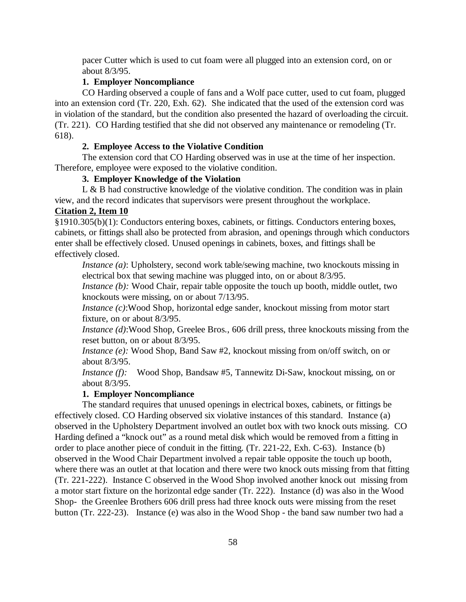pacer Cutter which is used to cut foam were all plugged into an extension cord, on or about 8/3/95.

# **1. Employer Noncompliance**

CO Harding observed a couple of fans and a Wolf pace cutter, used to cut foam, plugged into an extension cord (Tr. 220, Exh. 62). She indicated that the used of the extension cord was in violation of the standard, but the condition also presented the hazard of overloading the circuit. (Tr. 221). CO Harding testified that she did not observed any maintenance or remodeling (Tr. 618).

## **2. Employee Access to the Violative Condition**

The extension cord that CO Harding observed was in use at the time of her inspection. Therefore, employee were exposed to the violative condition.

# **3. Employer Knowledge of the Violation**

L & B had constructive knowledge of the violative condition. The condition was in plain view, and the record indicates that supervisors were present throughout the workplace.

## **Citation 2, Item 10**

§1910.305(b)(1): Conductors entering boxes, cabinets, or fittings. Conductors entering boxes, cabinets, or fittings shall also be protected from abrasion, and openings through which conductors enter shall be effectively closed. Unused openings in cabinets, boxes, and fittings shall be effectively closed.

*Instance (a)*: Upholstery, second work table/sewing machine, two knockouts missing in electrical box that sewing machine was plugged into, on or about 8/3/95.

*Instance (b)*: Wood Chair, repair table opposite the touch up booth, middle outlet, two knockouts were missing, on or about 7/13/95.

*Instance (c)*:Wood Shop, horizontal edge sander, knockout missing from motor start fixture, on or about 8/3/95.

*Instance (d)*:Wood Shop, Greelee Bros., 606 drill press, three knockouts missing from the reset button, on or about 8/3/95.

*Instance (e):* Wood Shop, Band Saw #2, knockout missing from on/off switch, on or about 8/3/95.

*Instance (f):* Wood Shop, Bandsaw #5, Tannewitz Di-Saw, knockout missing, on or about 8/3/95.

## **1. Employer Noncompliance**

The standard requires that unused openings in electrical boxes, cabinets, or fittings be effectively closed. CO Harding observed six violative instances of this standard. Instance (a) observed in the Upholstery Department involved an outlet box with two knock outs missing. CO Harding defined a "knock out" as a round metal disk which would be removed from a fitting in order to place another piece of conduit in the fitting. (Tr. 221-22, Exh. C-63). Instance (b) observed in the Wood Chair Department involved a repair table opposite the touch up booth, where there was an outlet at that location and there were two knock outs missing from that fitting (Tr. 221-222). Instance C observed in the Wood Shop involved another knock out missing from a motor start fixture on the horizontal edge sander (Tr. 222). Instance (d) was also in the Wood Shop- the Greenlee Brothers 606 drill press had three knock outs were missing from the reset button (Tr. 222-23). Instance (e) was also in the Wood Shop - the band saw number two had a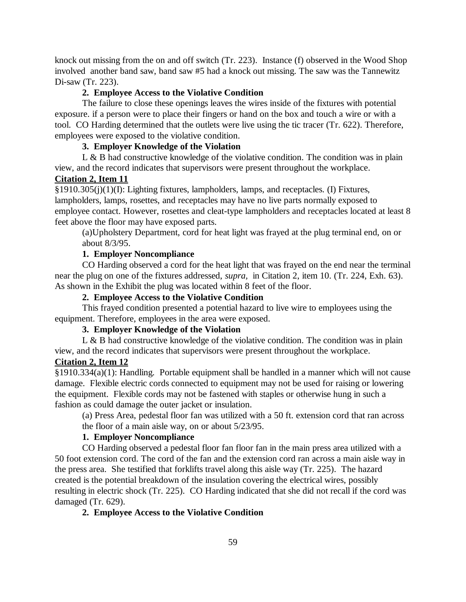knock out missing from the on and off switch (Tr. 223). Instance (f) observed in the Wood Shop involved another band saw, band saw #5 had a knock out missing. The saw was the Tannewitz Di-saw (Tr. 223).

## **2. Employee Access to the Violative Condition**

The failure to close these openings leaves the wires inside of the fixtures with potential exposure. if a person were to place their fingers or hand on the box and touch a wire or with a tool. CO Harding determined that the outlets were live using the tic tracer (Tr. 622). Therefore, employees were exposed to the violative condition.

## **3. Employer Knowledge of the Violation**

L & B had constructive knowledge of the violative condition. The condition was in plain view, and the record indicates that supervisors were present throughout the workplace.

#### **Citation 2, Item 11**

§1910.305(j)(1)(I): Lighting fixtures, lampholders, lamps, and receptacles. (I) Fixtures, lampholders, lamps, rosettes, and receptacles may have no live parts normally exposed to employee contact. However, rosettes and cleat-type lampholders and receptacles located at least 8 feet above the floor may have exposed parts.

(a)Upholstery Department, cord for heat light was frayed at the plug terminal end, on or about 8/3/95.

## **1. Employer Noncompliance**

CO Harding observed a cord for the heat light that was frayed on the end near the terminal near the plug on one of the fixtures addressed, *supra,* in Citation 2, item 10. (Tr. 224, Exh. 63). As shown in the Exhibit the plug was located within 8 feet of the floor.

# **2. Employee Access to the Violative Condition**

This frayed condition presented a potential hazard to live wire to employees using the equipment. Therefore, employees in the area were exposed.

# **3. Employer Knowledge of the Violation**

L & B had constructive knowledge of the violative condition. The condition was in plain view, and the record indicates that supervisors were present throughout the workplace.

# **Citation 2, Item 12**

§1910.334(a)(1): Handling. Portable equipment shall be handled in a manner which will not cause damage. Flexible electric cords connected to equipment may not be used for raising or lowering the equipment. Flexible cords may not be fastened with staples or otherwise hung in such a fashion as could damage the outer jacket or insulation.

(a) Press Area, pedestal floor fan was utilized with a 50 ft. extension cord that ran across the floor of a main aisle way, on or about 5/23/95.

# **1. Employer Noncompliance**

CO Harding observed a pedestal floor fan floor fan in the main press area utilized with a 50 foot extension cord. The cord of the fan and the extension cord ran across a main aisle way in the press area. She testified that forklifts travel along this aisle way (Tr. 225). The hazard created is the potential breakdown of the insulation covering the electrical wires, possibly resulting in electric shock (Tr. 225). CO Harding indicated that she did not recall if the cord was damaged (Tr. 629).

## **2. Employee Access to the Violative Condition**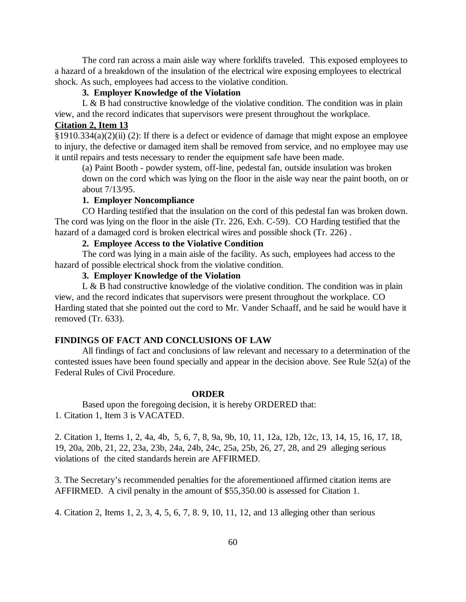The cord ran across a main aisle way where forklifts traveled. This exposed employees to a hazard of a breakdown of the insulation of the electrical wire exposing employees to electrical shock. As such, employees had access to the violative condition.

# **3. Employer Knowledge of the Violation**

L  $\&$  B had constructive knowledge of the violative condition. The condition was in plain view, and the record indicates that supervisors were present throughout the workplace.

# **Citation 2, Item 13**

§1910.334(a)(2)(ii) (2): If there is a defect or evidence of damage that might expose an employee to injury, the defective or damaged item shall be removed from service, and no employee may use it until repairs and tests necessary to render the equipment safe have been made.

(a) Paint Booth - powder system, off-line, pedestal fan, outside insulation was broken down on the cord which was lying on the floor in the aisle way near the paint booth, on or about 7/13/95.

## **1. Employer Noncompliance**

CO Harding testified that the insulation on the cord of this pedestal fan was broken down. The cord was lying on the floor in the aisle (Tr. 226, Exh. C-59). CO Harding testified that the hazard of a damaged cord is broken electrical wires and possible shock (Tr. 226) .

# **2. Employee Access to the Violative Condition**

The cord was lying in a main aisle of the facility. As such, employees had access to the hazard of possible electrical shock from the violative condition.

# **3. Employer Knowledge of the Violation**

 $L \& B$  had constructive knowledge of the violative condition. The condition was in plain view, and the record indicates that supervisors were present throughout the workplace. CO Harding stated that she pointed out the cord to Mr. Vander Schaaff, and he said he would have it removed (Tr. 633).

# **FINDINGS OF FACT AND CONCLUSIONS OF LAW**

All findings of fact and conclusions of law relevant and necessary to a determination of the contested issues have been found specially and appear in the decision above. See Rule 52(a) of the Federal Rules of Civil Procedure.

#### **ORDER**

Based upon the foregoing decision, it is hereby ORDERED that: 1. Citation 1, Item 3 is VACATED.

2. Citation 1, Items 1, 2, 4a, 4b, 5, 6, 7, 8, 9a, 9b, 10, 11, 12a, 12b, 12c, 13, 14, 15, 16, 17, 18, 19, 20a, 20b, 21, 22, 23a, 23b, 24a, 24b, 24c, 25a, 25b, 26, 27, 28, and 29 alleging serious violations of the cited standards herein are AFFIRMED.

3. The Secretary's recommended penalties for the aforementioned affirmed citation items are AFFIRMED. A civil penalty in the amount of \$55,350.00 is assessed for Citation 1.

4. Citation 2, Items 1, 2, 3, 4, 5, 6, 7, 8. 9, 10, 11, 12, and 13 alleging other than serious